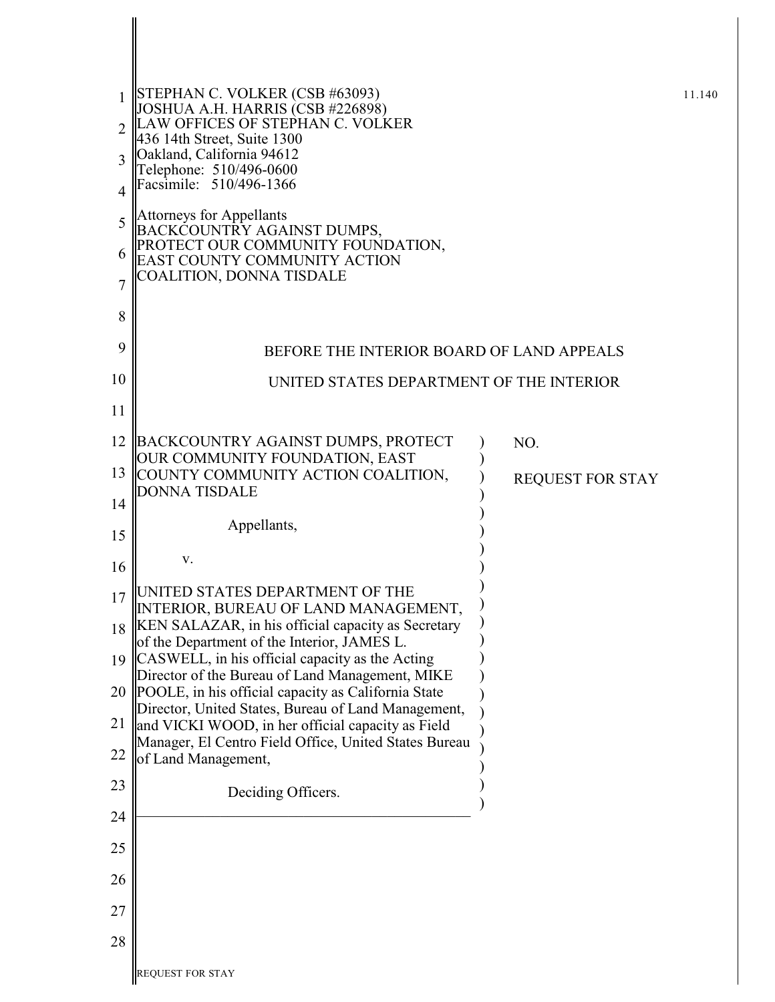|                | STEPHAN C. VOLKER (CSB #63093)<br>JOSHUA A.H. HARRIS (CSB #226898)                                       |                         | 11.140 |
|----------------|----------------------------------------------------------------------------------------------------------|-------------------------|--------|
| $\overline{2}$ | LAW OFFICES OF STEPHAN C. VOLKER<br>436 14th Street, Suite 1300                                          |                         |        |
| 3              | Oakland, California 94612<br>Telephone: 510/496-0600                                                     |                         |        |
| $\overline{4}$ | Facsimile: 510/496-1366                                                                                  |                         |        |
| 5              | <b>Attorneys for Appellants</b><br>BACKCOUNTRY AGAINST DUMPS,                                            |                         |        |
| 6              | PROTECT OUR COMMUNITY FOUNDATION,<br>EAST COUNTY COMMUNITY ACTION                                        |                         |        |
| 7              | COALITION, DONNA TISDALE                                                                                 |                         |        |
| 8              |                                                                                                          |                         |        |
| 9              | BEFORE THE INTERIOR BOARD OF LAND APPEALS                                                                |                         |        |
| 10             | UNITED STATES DEPARTMENT OF THE INTERIOR                                                                 |                         |        |
| 11             |                                                                                                          |                         |        |
| 12             | BACKCOUNTRY AGAINST DUMPS, PROTECT                                                                       | NO.                     |        |
| 13             | OUR COMMUNITY FOUNDATION, EAST<br>COUNTY COMMUNITY ACTION COALITION,                                     | <b>REQUEST FOR STAY</b> |        |
| 14             | <b>DONNA TISDALE</b>                                                                                     |                         |        |
| 15             | Appellants,                                                                                              |                         |        |
| 16             | V.                                                                                                       |                         |        |
| 17             | UNITED STATES DEPARTMENT OF THE                                                                          |                         |        |
| 18             | TERIOR, BUREAU OF LAND MANAGEMENT,<br>KEN SALAZAR, in his official capacity as Secretary                 |                         |        |
| 19             | of the Department of the Interior, JAMES L.<br>CASWELL, in his official capacity as the Acting           |                         |        |
| 20             | Director of the Bureau of Land Management, MIKE<br>POOLE, in his official capacity as California State   |                         |        |
| 21             | Director, United States, Bureau of Land Management,<br>and VICKI WOOD, in her official capacity as Field |                         |        |
| 22             | Manager, El Centro Field Office, United States Bureau<br>of Land Management,                             |                         |        |
| 23             |                                                                                                          |                         |        |
| 24             | Deciding Officers.                                                                                       |                         |        |
| 25             |                                                                                                          |                         |        |
| 26             |                                                                                                          |                         |        |
| 27             |                                                                                                          |                         |        |
| 28             |                                                                                                          |                         |        |
|                |                                                                                                          |                         |        |
|                | REQUEST FOR STAY                                                                                         |                         |        |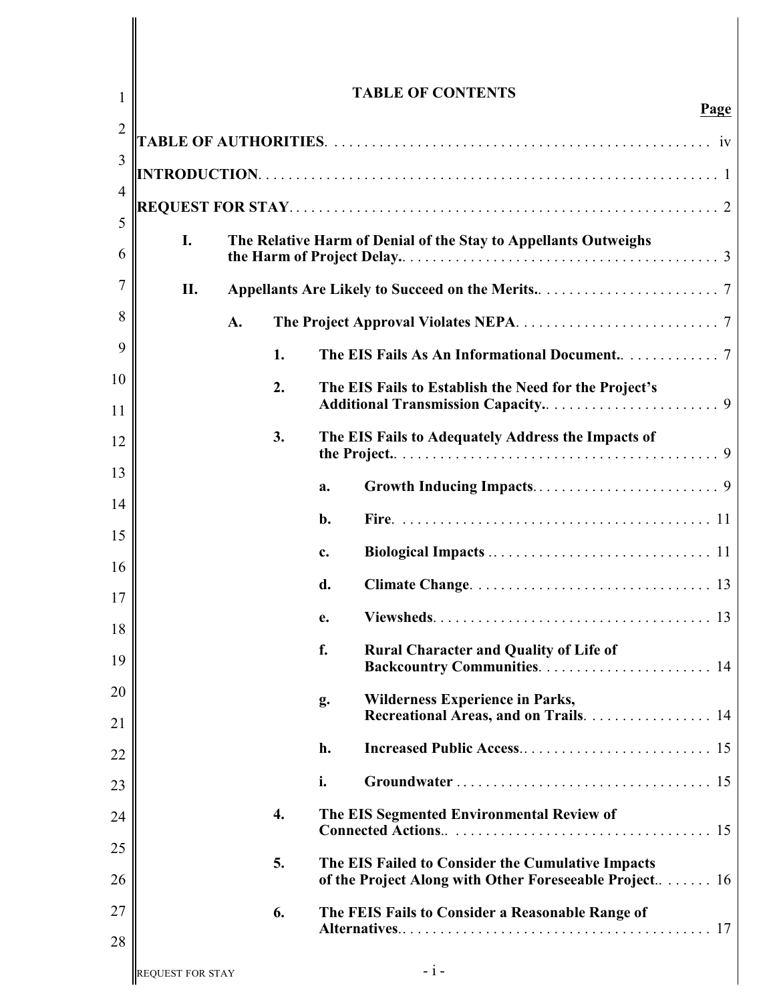| 1              |                         |    |    | <b>TABLE OF CONTENTS</b><br>Page                                                                            |
|----------------|-------------------------|----|----|-------------------------------------------------------------------------------------------------------------|
| $\overline{2}$ |                         |    |    |                                                                                                             |
| 3              |                         |    |    |                                                                                                             |
| $\overline{4}$ |                         |    |    |                                                                                                             |
| 5              |                         |    |    |                                                                                                             |
| 6              | I.                      |    |    | The Relative Harm of Denial of the Stay to Appellants Outweighs                                             |
| 7              | II.                     |    |    |                                                                                                             |
| 8              |                         | A. |    |                                                                                                             |
| 9              |                         |    | 1. |                                                                                                             |
| 10             |                         |    | 2. | The EIS Fails to Establish the Need for the Project's                                                       |
| 11             |                         |    | 3. | The EIS Fails to Adequately Address the Impacts of                                                          |
| 12             |                         |    |    |                                                                                                             |
| 13             |                         |    |    | a.                                                                                                          |
| 14             |                         |    |    | b.                                                                                                          |
| 15<br>16       |                         |    |    | c.                                                                                                          |
| 17             |                         |    |    | d.                                                                                                          |
| 18             |                         |    |    | е.                                                                                                          |
| 19             |                         |    |    | f.<br><b>Rural Character and Quality of Life of</b>                                                         |
| 20             |                         |    |    | <b>Wilderness Experience in Parks,</b><br>g.                                                                |
| 21             |                         |    |    | Recreational Areas, and on Trails. 14                                                                       |
| 22             |                         |    |    | h.                                                                                                          |
| 23             |                         |    |    | i.                                                                                                          |
| 24             |                         |    | 4. | The EIS Segmented Environmental Review of                                                                   |
| 25<br>26       |                         |    | 5. | The EIS Failed to Consider the Cumulative Impacts<br>of the Project Along with Other Foreseeable Project 16 |
|                |                         |    |    |                                                                                                             |
| 27<br>28       |                         |    | 6. | The FEIS Fails to Consider a Reasonable Range of                                                            |
|                | <b>REQUEST FOR STAY</b> |    |    | $-i-$                                                                                                       |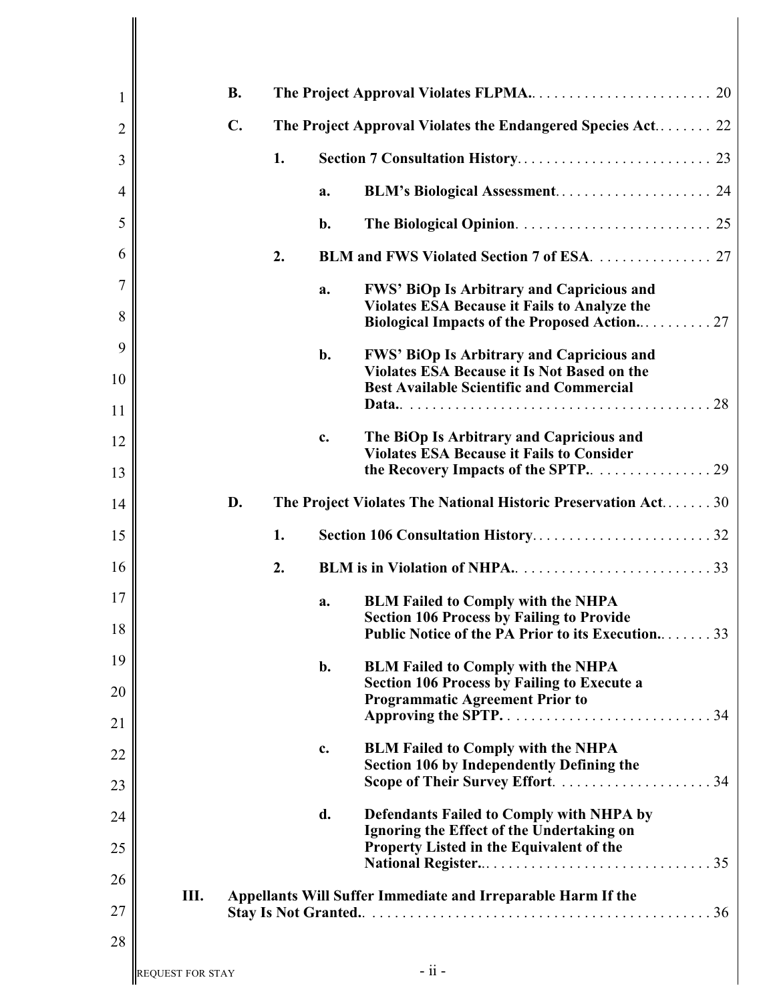| 1              |                         | <b>B.</b>      |    |    | The Project Approval Violates FLPMA<br>20                                                       |
|----------------|-------------------------|----------------|----|----|-------------------------------------------------------------------------------------------------|
| $\overline{2}$ |                         | $\mathbf{C}$ . |    |    | The Project Approval Violates the Endangered Species Act 22                                     |
| 3              |                         |                | 1. |    |                                                                                                 |
| 4              |                         |                |    | a. |                                                                                                 |
| 5              |                         |                |    | b. |                                                                                                 |
| 6              |                         |                | 2. |    |                                                                                                 |
| $\overline{7}$ |                         |                |    | a. | <b>FWS' BiOp Is Arbitrary and Capricious and</b>                                                |
| 8              |                         |                |    |    | <b>Violates ESA Because it Fails to Analyze the</b>                                             |
| 9              |                         |                |    | b. | FWS' BiOp Is Arbitrary and Capricious and                                                       |
| 10             |                         |                |    |    | Violates ESA Because it Is Not Based on the<br><b>Best Available Scientific and Commercial</b>  |
| 11             |                         |                |    |    |                                                                                                 |
| 12             |                         |                |    | c. | The BiOp Is Arbitrary and Capricious and<br><b>Violates ESA Because it Fails to Consider</b>    |
| 13             |                         |                |    |    |                                                                                                 |
| 14             |                         | D.             |    |    | The Project Violates The National Historic Preservation Act30                                   |
| 15             |                         |                | 1. |    | Section 106 Consultation History32                                                              |
| 16             |                         |                | 2. |    |                                                                                                 |
| 17             |                         |                |    | a. | <b>BLM Failed to Comply with the NHPA</b><br><b>Section 106 Process by Failing to Provide</b>   |
| 18             |                         |                |    |    | Public Notice of the PA Prior to its Execution<br>33                                            |
| 19             |                         |                |    | b. | <b>BLM Failed to Comply with the NHPA</b><br><b>Section 106 Process by Failing to Execute a</b> |
| 20             |                         |                |    |    | <b>Programmatic Agreement Prior to</b>                                                          |
| 21             |                         |                |    |    |                                                                                                 |
| 22             |                         |                |    | c. | <b>BLM Failed to Comply with the NHPA</b><br>Section 106 by Independently Defining the          |
| 23             |                         |                |    |    |                                                                                                 |
| 24             |                         |                |    | d. | Defendants Failed to Comply with NHPA by<br>Ignoring the Effect of the Undertaking on           |
| 25             |                         |                |    |    | Property Listed in the Equivalent of the                                                        |
| 26             | Ш.                      |                |    |    | Appellants Will Suffer Immediate and Irreparable Harm If the                                    |
| 27             |                         |                |    |    |                                                                                                 |
| 28             |                         |                |    |    |                                                                                                 |
|                | <b>REQUEST FOR STAY</b> |                |    |    | $-$ ii $-$                                                                                      |

 $\mathsf I$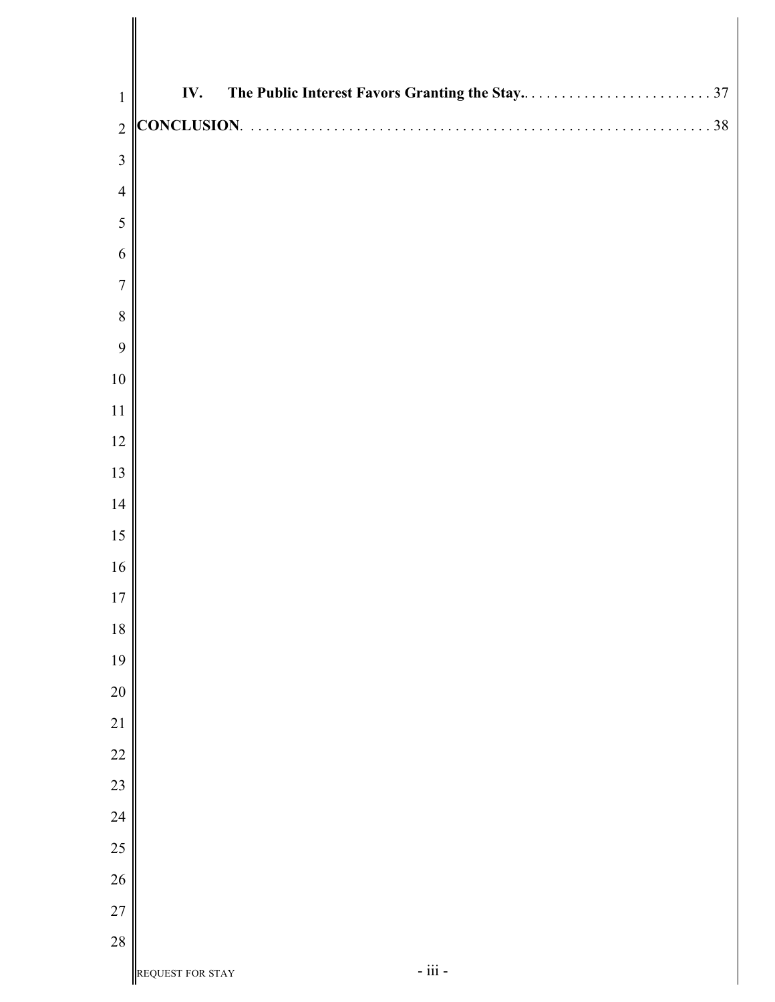| $\mathbf{1}$   | IV.              |              |  |
|----------------|------------------|--------------|--|
| $\overline{2}$ |                  |              |  |
| $\overline{3}$ |                  |              |  |
| $\overline{4}$ |                  |              |  |
| 5              |                  |              |  |
| 6              |                  |              |  |
| $\overline{7}$ |                  |              |  |
| $8\,$          |                  |              |  |
| 9              |                  |              |  |
| $10\,$         |                  |              |  |
| 11             |                  |              |  |
| 12             |                  |              |  |
| 13             |                  |              |  |
| 14             |                  |              |  |
| 15             |                  |              |  |
| 16             |                  |              |  |
| $17$           |                  |              |  |
| $18\,$         |                  |              |  |
| 19             |                  |              |  |
| $20\,$         |                  |              |  |
| $21\,$         |                  |              |  |
| $22\,$         |                  |              |  |
| $23\,$         |                  |              |  |
| $24\,$         |                  |              |  |
| $25\,$         |                  |              |  |
| 26             |                  |              |  |
| $27\,$         |                  |              |  |
| 28             |                  |              |  |
|                | REQUEST FOR STAY | - iii - $\,$ |  |

∥ I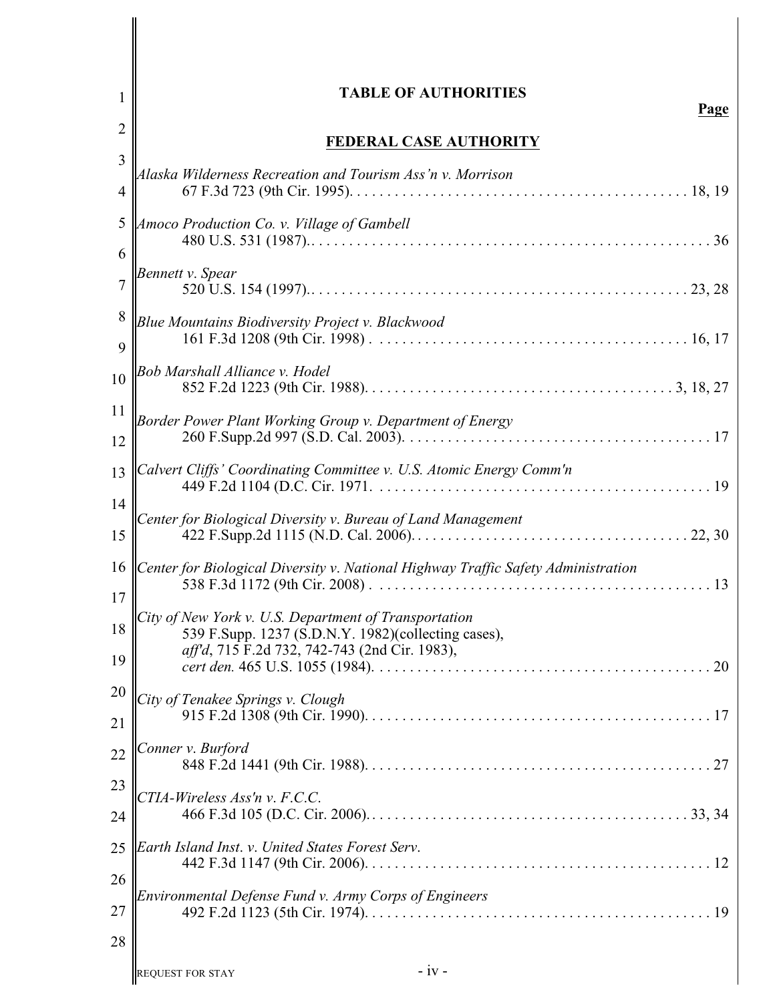| 1                        | <b>TABLE OF AUTHORITIES</b><br>Page                                                                  |
|--------------------------|------------------------------------------------------------------------------------------------------|
| $\overline{2}$           | FEDERAL CASE AUTHORITY                                                                               |
| 3                        | Alaska Wilderness Recreation and Tourism Ass'n v. Morrison                                           |
| $\overline{\mathcal{A}}$ |                                                                                                      |
| 5<br>6                   | Amoco Production Co. v. Village of Gambell                                                           |
| 7                        | Bennett v. Spear                                                                                     |
| 8<br>9                   | Blue Mountains Biodiversity Project v. Blackwood                                                     |
| 10                       | Bob Marshall Alliance v. Hodel                                                                       |
| 11                       | Border Power Plant Working Group v. Department of Energy                                             |
| 12                       |                                                                                                      |
| 13                       | Calvert Cliffs' Coordinating Committee v. U.S. Atomic Energy Comm'n                                  |
| 14                       | Center for Biological Diversity v. Bureau of Land Management                                         |
| 15                       |                                                                                                      |
| 16<br>17                 | Center for Biological Diversity v. National Highway Traffic Safety Administration                    |
| 18                       | City of New York v. U.S. Department of Transportation                                                |
| 19                       | 539 F.Supp. 1237 (S.D.N.Y. 1982)(collecting cases),<br>aff'd, 715 F.2d 732, 742-743 (2nd Cir. 1983), |
| 20                       | City of Tenakee Springs v. Clough                                                                    |
| 21                       |                                                                                                      |
| 22                       | Conner v. Burford                                                                                    |
| 23                       | CTIA-Wireless Ass'n v. F.C.C.                                                                        |
| 24                       |                                                                                                      |
| 25                       | Earth Island Inst. v. United States Forest Serv.                                                     |
| 26                       |                                                                                                      |
| 27                       | Environmental Defense Fund v. Army Corps of Engineers                                                |
| 28                       |                                                                                                      |
|                          | $-iv -$<br><b>REQUEST FOR STAY</b>                                                                   |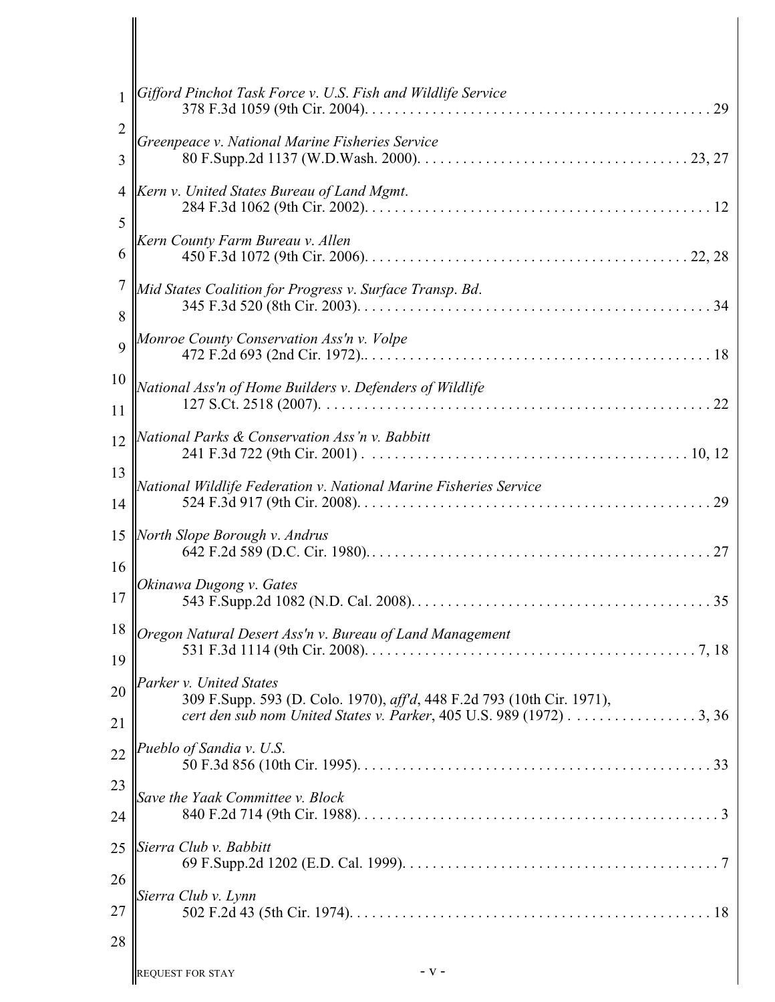| 1                   | Gifford Pinchot Task Force v. U.S. Fish and Wildlife Service<br>29                                                                                                       |
|---------------------|--------------------------------------------------------------------------------------------------------------------------------------------------------------------------|
| $\overline{2}$<br>3 | Greenpeace v. National Marine Fisheries Service                                                                                                                          |
| 4<br>5              | Kern v. United States Bureau of Land Mgmt.                                                                                                                               |
| 6                   | Kern County Farm Bureau v. Allen                                                                                                                                         |
| 7<br>8              | Mid States Coalition for Progress v. Surface Transp. Bd.                                                                                                                 |
| $\overline{Q}$      | Monroe County Conservation Ass'n v. Volpe                                                                                                                                |
| 10<br>11            | National Ass'n of Home Builders v. Defenders of Wildlife                                                                                                                 |
| 12                  | National Parks & Conservation Ass'n v. Babbitt                                                                                                                           |
| 13<br>14            | National Wildlife Federation v. National Marine Fisheries Service                                                                                                        |
| 15                  | North Slope Borough v. Andrus                                                                                                                                            |
| 16<br>17            | Okinawa Dugong v. Gates                                                                                                                                                  |
| 19                  | 18 <i>Oregon Natural Desert Ass'n v. Bureau of Land Management</i>                                                                                                       |
| 20<br>21            | Parker v. United States<br>309 F.Supp. 593 (D. Colo. 1970), aff'd, 448 F.2d 793 (10th Cir. 1971),<br>cert den sub nom United States v. Parker, 405 U.S. 989 (1972) 3, 36 |
| 22                  | Pueblo of Sandia v. U.S.                                                                                                                                                 |
| 23<br>24            | Save the Yaak Committee v. Block                                                                                                                                         |
| 25                  | Sierra Club v. Babbitt                                                                                                                                                   |
| 26<br>27            | Sierra Club v. Lynn                                                                                                                                                      |
| 28                  |                                                                                                                                                                          |
|                     | - v -<br><b>REQUEST FOR STAY</b>                                                                                                                                         |

 $\mathbf l$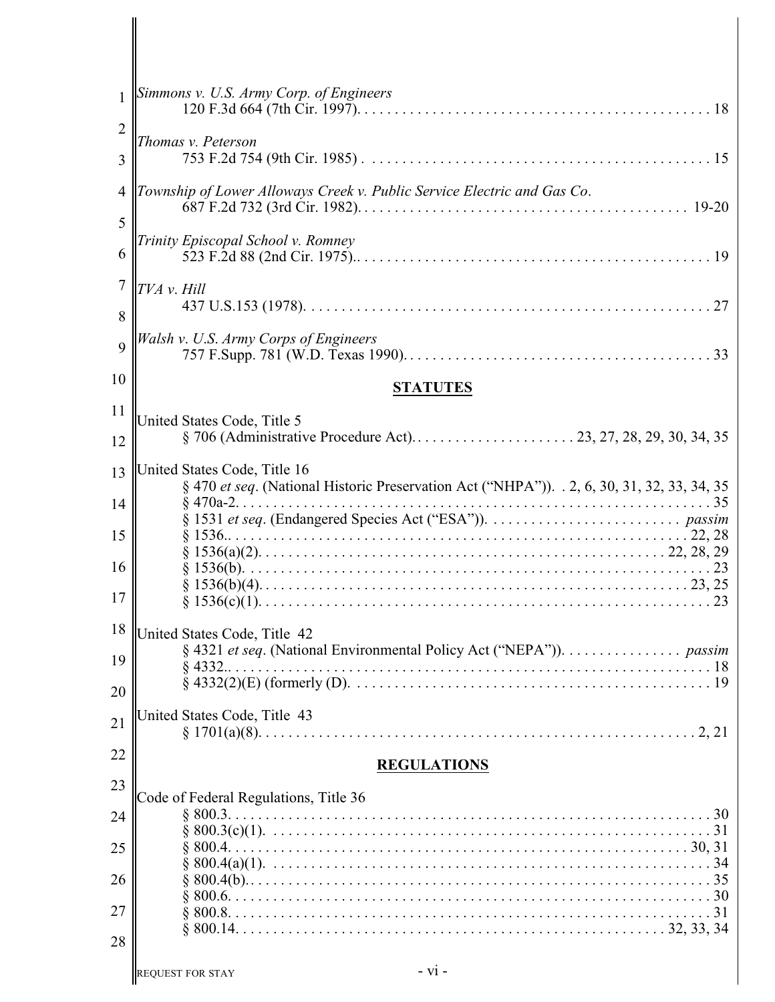| $\mathbf{1}$        | Simmons v. U.S. Army Corp. of Engineers                                                                                     |
|---------------------|-----------------------------------------------------------------------------------------------------------------------------|
| $\overline{2}$<br>3 | Thomas v. Peterson                                                                                                          |
| $\overline{4}$      | Township of Lower Alloways Creek v. Public Service Electric and Gas Co.                                                     |
| 5                   |                                                                                                                             |
| 6                   | Trinity Episcopal School v. Romney                                                                                          |
| 7<br>8              | TVA v. Hill                                                                                                                 |
| $\overline{Q}$      | Walsh v. U.S. Army Corps of Engineers                                                                                       |
| 10                  | <b>STATUTES</b>                                                                                                             |
| 11<br>12            | United States Code, Title 5                                                                                                 |
| 13<br>14            | United States Code, Title 16<br>§ 470 et seq. (National Historic Preservation Act ("NHPA")). . 2, 6, 30, 31, 32, 33, 34, 35 |
| 15                  |                                                                                                                             |
| 16<br>17            |                                                                                                                             |
| 19<br>20            | 18 United States Code, Title 42<br>§ 4321 et seq. (National Environmental Policy Act ("NEPA")). passim                      |
| 21                  | United States Code, Title 43                                                                                                |
| 22                  | <b>REGULATIONS</b>                                                                                                          |
| 23                  | Code of Federal Regulations, Title 36                                                                                       |
| 24                  |                                                                                                                             |
| 25<br>26            |                                                                                                                             |
| 27                  |                                                                                                                             |
| 28                  |                                                                                                                             |
|                     | $- vi -$<br><b>REQUEST FOR STAY</b>                                                                                         |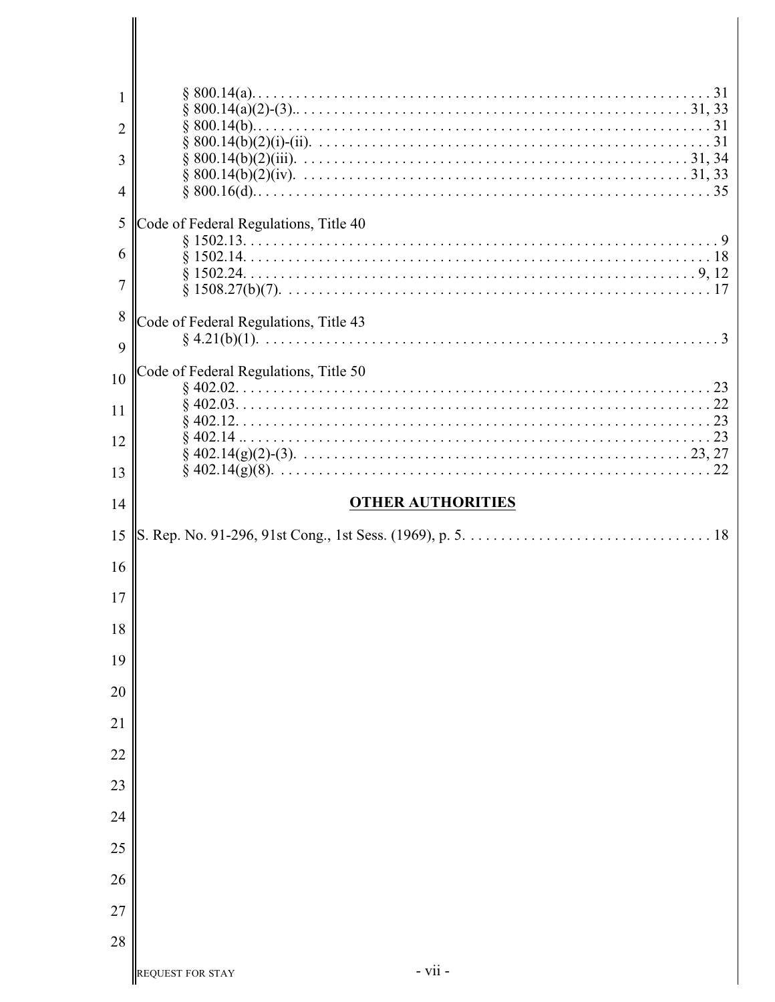| 1              |                                       |
|----------------|---------------------------------------|
| $\overline{2}$ |                                       |
| 3              |                                       |
| 4              |                                       |
| 5              | Code of Federal Regulations, Title 40 |
| 6              |                                       |
| 7              |                                       |
| 8              | Code of Federal Regulations, Title 43 |
| 9              |                                       |
| 10             | Code of Federal Regulations, Title 50 |
| 11             |                                       |
| 12             |                                       |
| 13             |                                       |
| 14             | <b>OTHER AUTHORITIES</b>              |
|                |                                       |
| 15             |                                       |
| 16             |                                       |
| 17             |                                       |
| 18             |                                       |
| 19             |                                       |
| 20             |                                       |
|                |                                       |
| 21             |                                       |
| 22             |                                       |
| 23             |                                       |
| 24             |                                       |
| 25             |                                       |
| 26             |                                       |
| 27<br>28       |                                       |

∥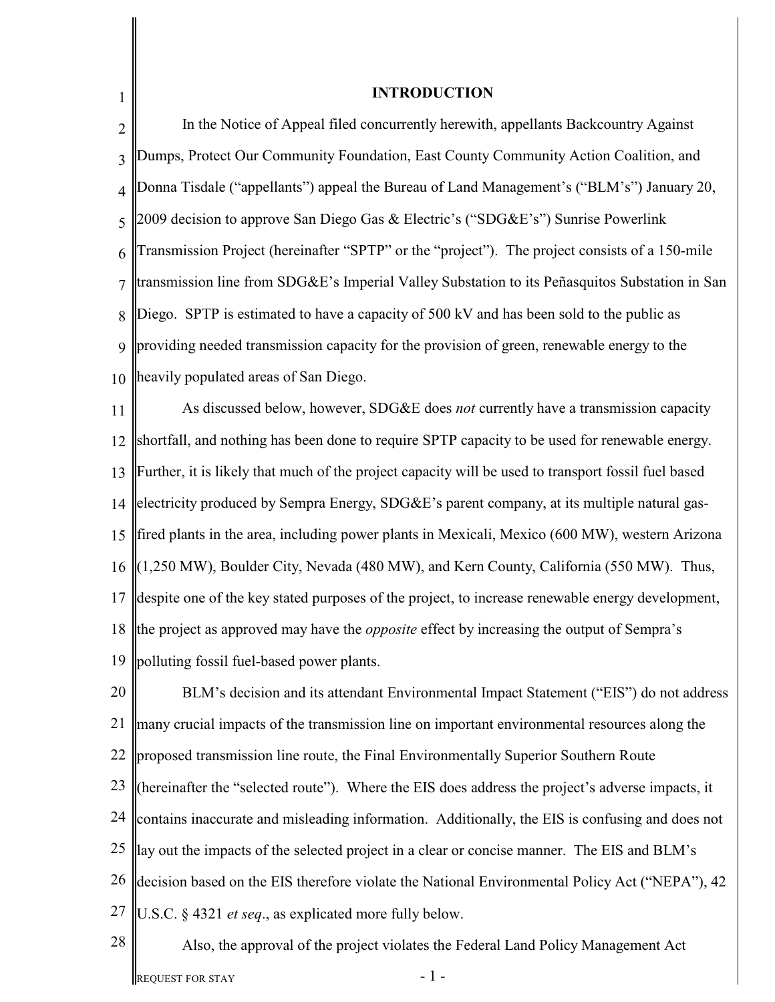| 1              | <b>INTRODUCTION</b>                                                                                 |
|----------------|-----------------------------------------------------------------------------------------------------|
| $\overline{2}$ | In the Notice of Appeal filed concurrently herewith, appellants Backcountry Against                 |
| 3              | Dumps, Protect Our Community Foundation, East County Community Action Coalition, and                |
| $\overline{4}$ | Donna Tisdale ("appellants") appeal the Bureau of Land Management's ("BLM's") January 20,           |
| 5              | 2009 decision to approve San Diego Gas & Electric's ("SDG&E's") Sunrise Powerlink                   |
| 6              | Transmission Project (hereinafter "SPTP" or the "project"). The project consists of a 150-mile      |
| 7              | transmission line from SDG&E's Imperial Valley Substation to its Peñasquitos Substation in San      |
| 8              | Diego. SPTP is estimated to have a capacity of 500 kV and has been sold to the public as            |
| 9              | providing needed transmission capacity for the provision of green, renewable energy to the          |
| 10             | heavily populated areas of San Diego.                                                               |
| 11             | As discussed below, however, SDG&E does not currently have a transmission capacity                  |
| 12             | shortfall, and nothing has been done to require SPTP capacity to be used for renewable energy.      |
| 13             | Further, it is likely that much of the project capacity will be used to transport fossil fuel based |
| 14             | electricity produced by Sempra Energy, SDG&E's parent company, at its multiple natural gas-         |
| 15             | ffired plants in the area, including power plants in Mexicali, Mexico (600 MW), western Arizona     |
| 16             | $\ (1,250 \text{ MW})$ , Boulder City, Nevada (480 MW), and Kern County, California (550 MW). Thus, |
| 17             | despite one of the key stated purposes of the project, to increase renewable energy development,    |
| 18             | the project as approved may have the <i>opposite</i> effect by increasing the output of Sempra's    |
| 19             | polluting fossil fuel-based power plants.                                                           |
| 20             | BLM's decision and its attendant Environmental Impact Statement ("EIS") do not address              |
| 21             | many crucial impacts of the transmission line on important environmental resources along the        |
| 22             | proposed transmission line route, the Final Environmentally Superior Southern Route                 |
| 23             | (hereinafter the "selected route"). Where the EIS does address the project's adverse impacts, it    |
| 24             | contains inaccurate and misleading information. Additionally, the EIS is confusing and does not     |
| 25             | lay out the impacts of the selected project in a clear or concise manner. The EIS and BLM's         |
| 26             | decision based on the EIS therefore violate the National Environmental Policy Act ("NEPA"), 42      |
| 27             | U.S.C. § 4321 et seq., as explicated more fully below.                                              |
| 28             | Also, the approval of the project violates the Federal Land Policy Management Act                   |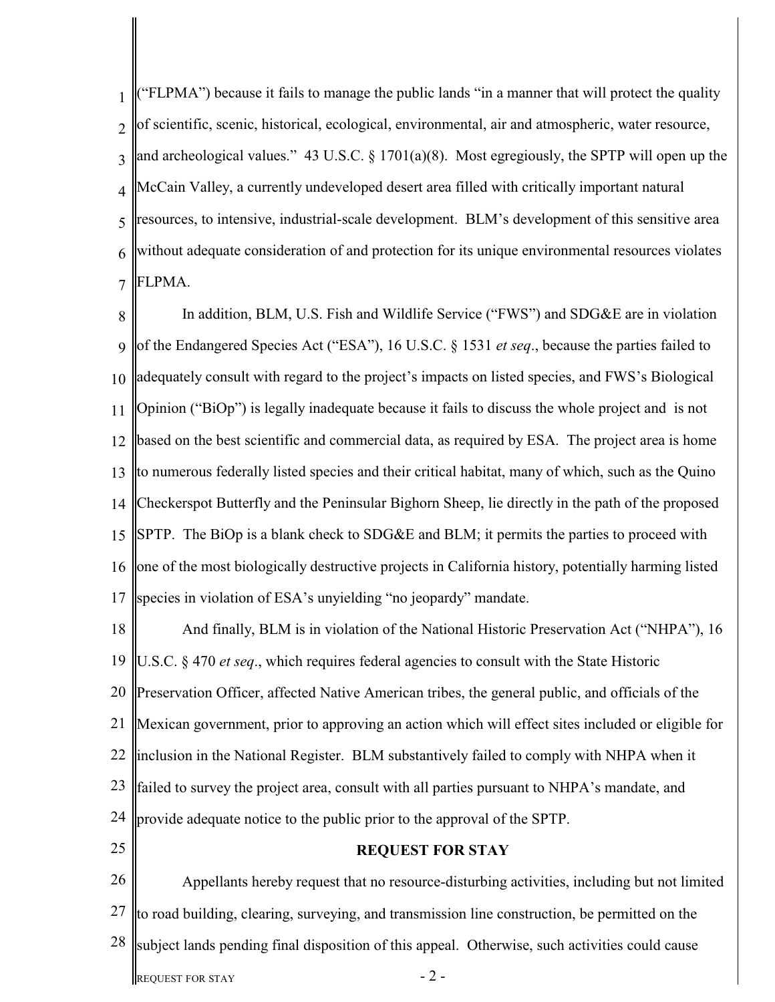1  $\mathcal{D}$ 3 4 5 6 7 ("FLPMA") because it fails to manage the public lands "in a manner that will protect the quality of scientific, scenic, historical, ecological, environmental, air and atmospheric, water resource, and archeological values." 43 U.S.C. § 1701(a)(8). Most egregiously, the SPTP will open up the McCain Valley, a currently undeveloped desert area filled with critically important natural resources, to intensive, industrial-scale development. BLM's development of this sensitive area without adequate consideration of and protection for its unique environmental resources violates FLPMA.

8 9 10 11 12 13 14 15 16 17 In addition, BLM, U.S. Fish and Wildlife Service ("FWS") and SDG&E are in violation of the Endangered Species Act ("ESA"), 16 U.S.C. § 1531 *et seq*., because the parties failed to adequately consult with regard to the project's impacts on listed species, and FWS's Biological Opinion ("BiOp") is legally inadequate because it fails to discuss the whole project and is not based on the best scientific and commercial data, as required by ESA. The project area is home to numerous federally listed species and their critical habitat, many of which, such as the Quino Checkerspot Butterfly and the Peninsular Bighorn Sheep, lie directly in the path of the proposed SPTP. The BiOp is a blank check to SDG&E and BLM; it permits the parties to proceed with one of the most biologically destructive projects in California history, potentially harming listed species in violation of ESA's unyielding "no jeopardy" mandate.

18 19 20 21 22 23 24 And finally, BLM is in violation of the National Historic Preservation Act ("NHPA"), 16 U.S.C. § 470 *et seq*., which requires federal agencies to consult with the State Historic Preservation Officer, affected Native American tribes, the general public, and officials of the Mexican government, prior to approving an action which will effect sites included or eligible for inclusion in the National Register. BLM substantively failed to comply with NHPA when it failed to survey the project area, consult with all parties pursuant to NHPA's mandate, and provide adequate notice to the public prior to the approval of the SPTP.

25

# **REQUEST FOR STAY**

26 27 28 REQUEST FOR STAY  $-2$  -Appellants hereby request that no resource-disturbing activities, including but not limited to road building, clearing, surveying, and transmission line construction, be permitted on the subject lands pending final disposition of this appeal. Otherwise, such activities could cause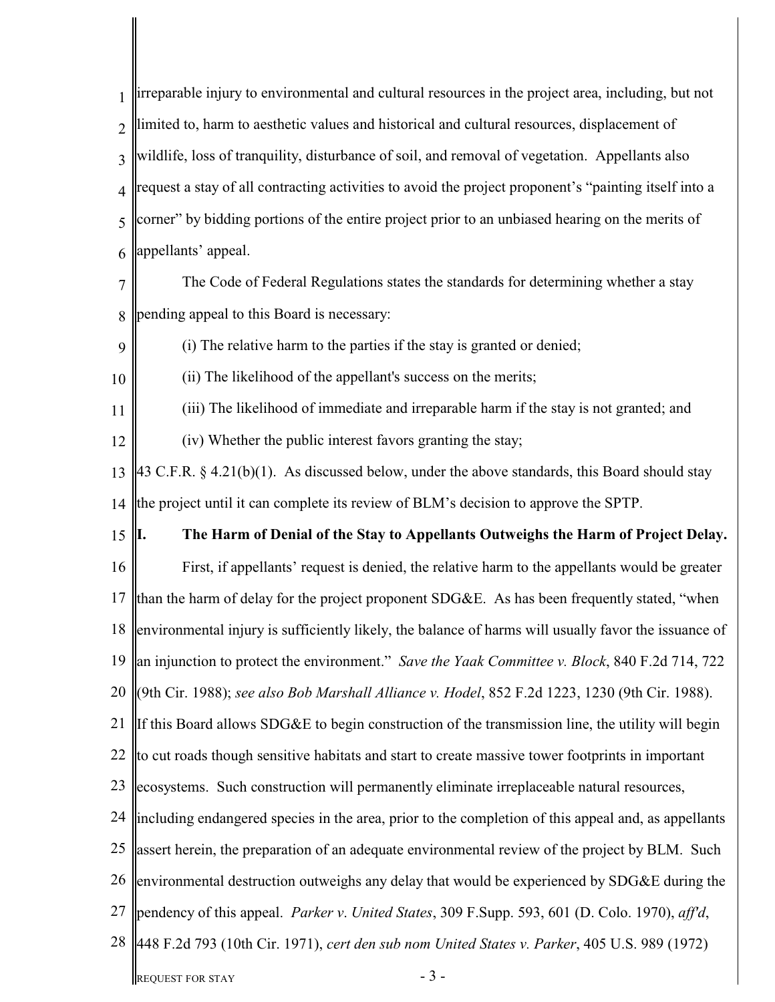1  $\overline{\mathcal{L}}$ 3 4 5 6 7 8 9 10 11 12 13 14 15 16 17 18 19 20 (9th Cir. 1988); *see also Bob Marshall Alliance v. Hodel*, 852 F.2d 1223, 1230 (9th Cir. 1988). 21 22 23 24 25 26 ||environmental destruction outweighs any delay that would be experienced by SDG&E during the 27 28 REQUEST FOR STAY  $-3$  irreparable injury to environmental and cultural resources in the project area, including, but not limited to, harm to aesthetic values and historical and cultural resources, displacement of wildlife, loss of tranquility, disturbance of soil, and removal of vegetation. Appellants also request a stay of all contracting activities to avoid the project proponent's "painting itself into a corner" by bidding portions of the entire project prior to an unbiased hearing on the merits of appellants' appeal. The Code of Federal Regulations states the standards for determining whether a stay pending appeal to this Board is necessary: (i) The relative harm to the parties if the stay is granted or denied; (ii) The likelihood of the appellant's success on the merits; (iii) The likelihood of immediate and irreparable harm if the stay is not granted; and (iv) Whether the public interest favors granting the stay; 43 C.F.R.  $\S$  4.21(b)(1). As discussed below, under the above standards, this Board should stay the project until it can complete its review of BLM's decision to approve the SPTP. **I. The Harm of Denial of the Stay to Appellants Outweighs the Harm of Project Delay.** First, if appellants' request is denied, the relative harm to the appellants would be greater than the harm of delay for the project proponent SDG&E. As has been frequently stated, "when environmental injury is sufficiently likely, the balance of harms will usually favor the issuance of an injunction to protect the environment." *Save the Yaak Committee v. Block*, 840 F.2d 714, 722 If this Board allows SDG&E to begin construction of the transmission line, the utility will begin to cut roads though sensitive habitats and start to create massive tower footprints in important ecosystems. Such construction will permanently eliminate irreplaceable natural resources, including endangered species in the area, prior to the completion of this appeal and, as appellants assert herein, the preparation of an adequate environmental review of the project by BLM. Such pendency of this appeal. *Parker v*. *United States*, 309 F.Supp. 593, 601 (D. Colo. 1970), *aff'd*, 448 F.2d 793 (10th Cir. 1971), *cert den sub nom United States v. Parker*, 405 U.S. 989 (1972)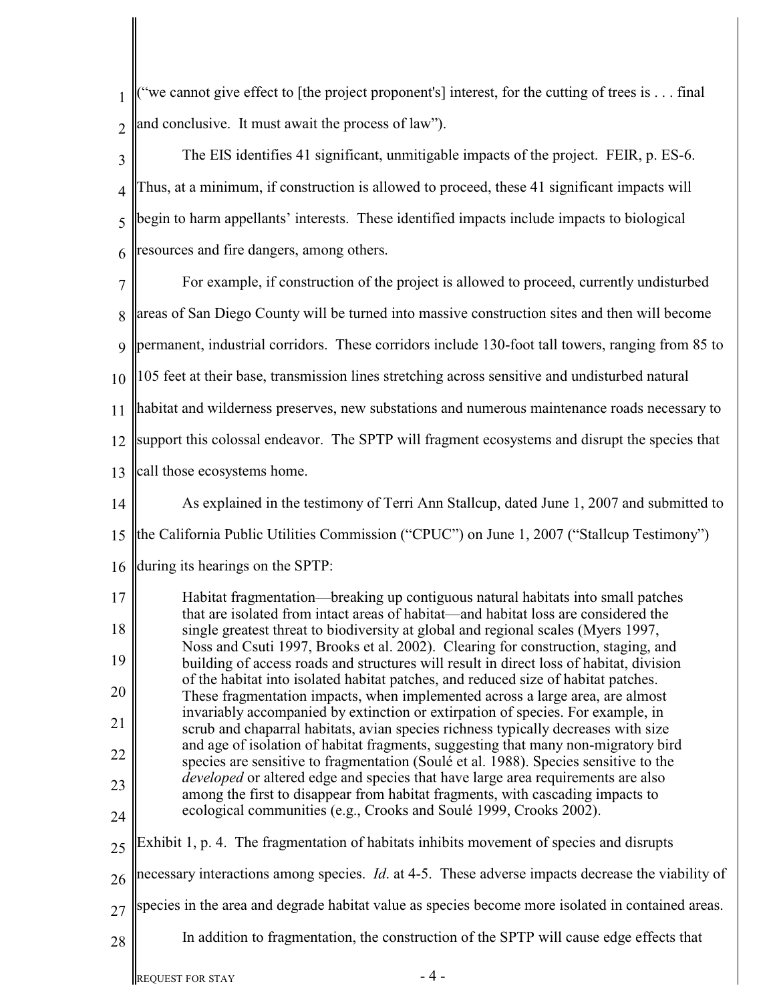$\| \cdot \|$  ("we cannot give effect to [the project proponent's] interest, for the cutting of trees is . . . final  $2 \int$  and conclusive. It must await the process of law").

| 3              | The EIS identifies 41 significant, unmitigable impacts of the project. FEIR, p. ES-6.                                                                                           |
|----------------|---------------------------------------------------------------------------------------------------------------------------------------------------------------------------------|
| 4              | Thus, at a minimum, if construction is allowed to proceed, these 41 significant impacts will                                                                                    |
| 5              | begin to harm appellants' interests. These identified impacts include impacts to biological                                                                                     |
| 6              | resources and fire dangers, among others.                                                                                                                                       |
| $\overline{7}$ | For example, if construction of the project is allowed to proceed, currently undisturbed                                                                                        |
| 8              | areas of San Diego County will be turned into massive construction sites and then will become                                                                                   |
| $\mathbf Q$    | permanent, industrial corridors. These corridors include 130-foot tall towers, ranging from 85 to                                                                               |
| 10             | 105 feet at their base, transmission lines stretching across sensitive and undisturbed natural                                                                                  |
| 11             | habitat and wilderness preserves, new substations and numerous maintenance roads necessary to                                                                                   |
| 12             | support this colossal endeavor. The SPTP will fragment ecosystems and disrupt the species that                                                                                  |
| 13             | call those ecosystems home.                                                                                                                                                     |
| 14             | As explained in the testimony of Terri Ann Stallcup, dated June 1, 2007 and submitted to                                                                                        |
| 15             | the California Public Utilities Commission ("CPUC") on June 1, 2007 ("Stallcup Testimony")                                                                                      |
| 16             | during its hearings on the SPTP:                                                                                                                                                |
| 17             | Habitat fragmentation—breaking up contiguous natural habitats into small patches<br>that are isolated from intact areas of habitat—and habitat loss are considered the          |
| 18             | single greatest threat to biodiversity at global and regional scales (Myers 1997,<br>Noss and Csuti 1997, Brooks et al. 2002). Clearing for construction, staging, and          |
| 19             | building of access roads and structures will result in direct loss of habitat, division<br>of the habitat into isolated habitat patches, and reduced size of habitat patches.   |
| 20             | These fragmentation impacts, when implemented across a large area, are almost<br>invariably accompanied by extinction or extirpation of species. For example, in                |
| 21             | scrub and chaparral habitats, avian species richness typically decreases with size<br>and age of isolation of habitat fragments, suggesting that many non-migratory bird        |
| 22             | species are sensitive to fragmentation (Soulé et al. 1988). Species sensitive to the<br><i>developed</i> or altered edge and species that have large area requirements are also |
| 23             | among the first to disappear from habitat fragments, with cascading impacts to                                                                                                  |
| 24             | ecological communities (e.g., Crooks and Soulé 1999, Crooks 2002).                                                                                                              |
| 25             | Exhibit 1, p. 4. The fragmentation of habitats inhibits movement of species and disrupts                                                                                        |
| 26             | necessary interactions among species. <i>Id.</i> at 4-5. These adverse impacts decrease the viability of                                                                        |
| 27             | species in the area and degrade habitat value as species become more isolated in contained areas.                                                                               |
| 28             | In addition to fragmentation, the construction of the SPTP will cause edge effects that                                                                                         |
|                |                                                                                                                                                                                 |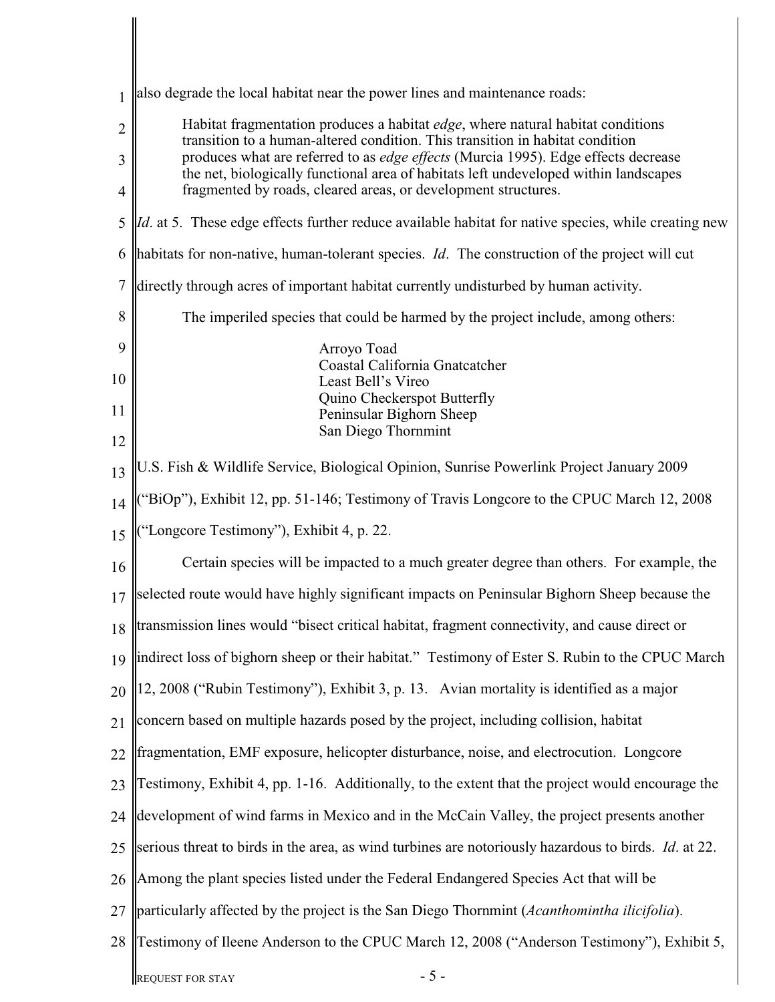| $\mathbf{1}$   | also degrade the local habitat near the power lines and maintenance roads:                                                                                                 |
|----------------|----------------------------------------------------------------------------------------------------------------------------------------------------------------------------|
| $\overline{2}$ | Habitat fragmentation produces a habitat <i>edge</i> , where natural habitat conditions<br>transition to a human-altered condition. This transition in habitat condition   |
| 3              | produces what are referred to as edge effects (Murcia 1995). Edge effects decrease<br>the net, biologically functional area of habitats left undeveloped within landscapes |
| $\overline{4}$ | fragmented by roads, cleared areas, or development structures.                                                                                                             |
| 5              | <i>Id.</i> at 5. These edge effects further reduce available habitat for native species, while creating new                                                                |
| 6              | habitats for non-native, human-tolerant species. <i>Id.</i> The construction of the project will cut                                                                       |
| 7              | directly through acres of important habitat currently undisturbed by human activity.                                                                                       |
| 8              | The imperiled species that could be harmed by the project include, among others:                                                                                           |
| 9              | Arroyo Toad<br>Coastal California Gnatcatcher                                                                                                                              |
| 10             | Least Bell's Vireo<br>Quino Checkerspot Butterfly                                                                                                                          |
| 11             | Peninsular Bighorn Sheep<br>San Diego Thornmint                                                                                                                            |
| 12             |                                                                                                                                                                            |
| 13             | U.S. Fish & Wildlife Service, Biological Opinion, Sunrise Powerlink Project January 2009                                                                                   |
| 14             | "BiOp"), Exhibit 12, pp. 51-146; Testimony of Travis Longcore to the CPUC March 12, 2008                                                                                   |
| 15             | "Longcore Testimony"), Exhibit 4, p. 22.                                                                                                                                   |
| 16             | Certain species will be impacted to a much greater degree than others. For example, the                                                                                    |
| 17             | selected route would have highly significant impacts on Peninsular Bighorn Sheep because the                                                                               |
| 18             | transmission lines would "bisect critical habitat, fragment connectivity, and cause direct or                                                                              |
| 19             | indirect loss of bighorn sheep or their habitat." Testimony of Ester S. Rubin to the CPUC March                                                                            |
| 20             | 12, 2008 ("Rubin Testimony"), Exhibit 3, p. 13. Avian mortality is identified as a major                                                                                   |
| 21             | concern based on multiple hazards posed by the project, including collision, habitat                                                                                       |
| 22             | fragmentation, EMF exposure, helicopter disturbance, noise, and electrocution. Longcore                                                                                    |
| 23             | Testimony, Exhibit 4, pp. 1-16. Additionally, to the extent that the project would encourage the                                                                           |
| 24             | development of wind farms in Mexico and in the McCain Valley, the project presents another                                                                                 |
| 25             | serious threat to birds in the area, as wind turbines are notoriously hazardous to birds. <i>Id.</i> at 22.                                                                |
| 26             | Among the plant species listed under the Federal Endangered Species Act that will be                                                                                       |
| 27             | particularly affected by the project is the San Diego Thornmint (Acanthomintha ilicifolia).                                                                                |
| 28             | Testimony of Ileene Anderson to the CPUC March 12, 2008 ("Anderson Testimony"), Exhibit 5,                                                                                 |
|                | $-5-$<br><b>REQUEST FOR STAY</b>                                                                                                                                           |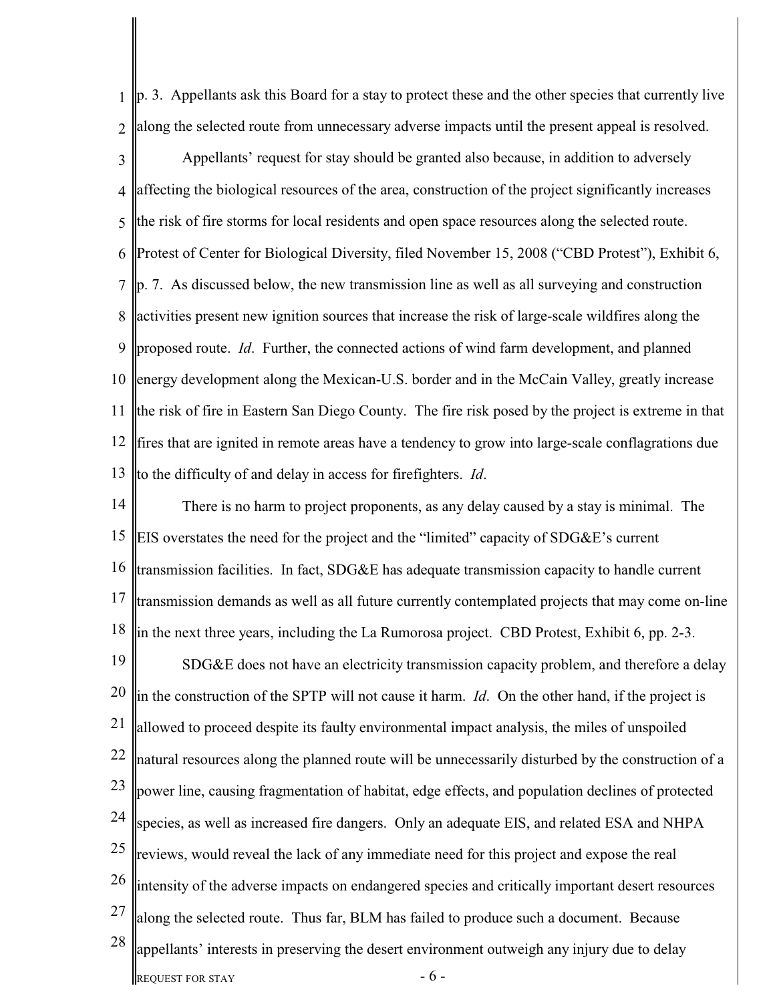1  $\mathcal{L}$ 3 4 5 6 7 8 9 10 11 12 13 p. 3. Appellants ask this Board for a stay to protect these and the other species that currently live along the selected route from unnecessary adverse impacts until the present appeal is resolved. Appellants' request for stay should be granted also because, in addition to adversely affecting the biological resources of the area, construction of the project significantly increases the risk of fire storms for local residents and open space resources along the selected route. Protest of Center for Biological Diversity, filed November 15, 2008 ("CBD Protest"), Exhibit 6, p. 7. As discussed below, the new transmission line as well as all surveying and construction activities present new ignition sources that increase the risk of large-scale wildfires along the proposed route. *Id*. Further, the connected actions of wind farm development, and planned energy development along the Mexican-U.S. border and in the McCain Valley, greatly increase the risk of fire in Eastern San Diego County. The fire risk posed by the project is extreme in that fires that are ignited in remote areas have a tendency to grow into large-scale conflagrations due to the difficulty of and delay in access for firefighters. *Id*.

14 15 16 17 18 19 20 21 22 23 24 25 26 27 28 REQUEST FOR STAY  $-6$  -There is no harm to project proponents, as any delay caused by a stay is minimal. The EIS overstates the need for the project and the "limited" capacity of SDG&E's current transmission facilities. In fact, SDG&E has adequate transmission capacity to handle current transmission demands as well as all future currently contemplated projects that may come on-line in the next three years, including the La Rumorosa project. CBD Protest, Exhibit 6, pp. 2-3. SDG&E does not have an electricity transmission capacity problem, and therefore a delay in the construction of the SPTP will not cause it harm. *Id*. On the other hand, if the project is allowed to proceed despite its faulty environmental impact analysis, the miles of unspoiled natural resources along the planned route will be unnecessarily disturbed by the construction of a power line, causing fragmentation of habitat, edge effects, and population declines of protected species, as well as increased fire dangers. Only an adequate EIS, and related ESA and NHPA reviews, would reveal the lack of any immediate need for this project and expose the real intensity of the adverse impacts on endangered species and critically important desert resources along the selected route. Thus far, BLM has failed to produce such a document. Because appellants' interests in preserving the desert environment outweigh any injury due to delay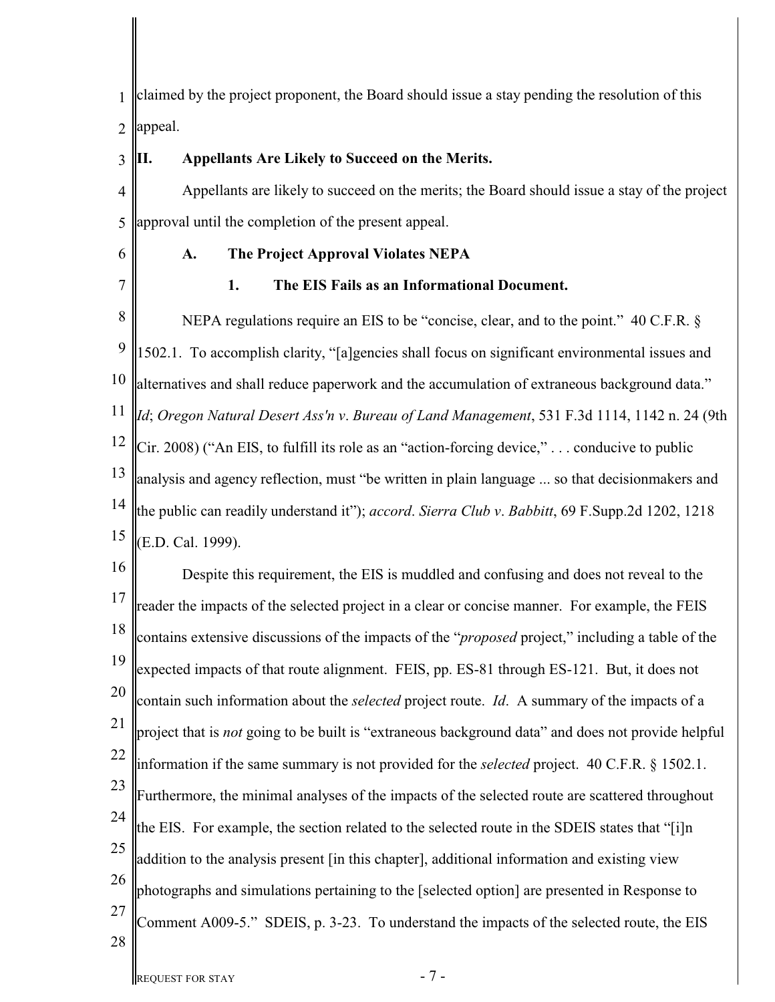1  $\mathcal{L}$ claimed by the project proponent, the Board should issue a stay pending the resolution of this appeal.

- 3 4 5 6 7 8 9 10 11 12 13 14 15 16 17 18 19 20 21 22 23 24 25 26 27 **II. Appellants Are Likely to Succeed on the Merits.** Appellants are likely to succeed on the merits; the Board should issue a stay of the project approval until the completion of the present appeal. **A. The Project Approval Violates NEPA 1. The EIS Fails as an Informational Document.** NEPA regulations require an EIS to be "concise, clear, and to the point." 40 C.F.R. § 1502.1. To accomplish clarity, "[a]gencies shall focus on significant environmental issues and alternatives and shall reduce paperwork and the accumulation of extraneous background data." *Id*; *Oregon Natural Desert Ass'n v*. *Bureau of Land Management*, 531 F.3d 1114, 1142 n. 24 (9th  $\vert$ Cir. 2008) ("An EIS, to fulfill its role as an "action-forcing device," ... conducive to public analysis and agency reflection, must "be written in plain language ... so that decisionmakers and the public can readily understand it"); *accord*. *Sierra Club v*. *Babbitt*, 69 F.Supp.2d 1202, 1218 (E.D. Cal. 1999). Despite this requirement, the EIS is muddled and confusing and does not reveal to the reader the impacts of the selected project in a clear or concise manner. For example, the FEIS contains extensive discussions of the impacts of the "*proposed* project," including a table of the expected impacts of that route alignment. FEIS, pp. ES-81 through ES-121. But, it does not contain such information about the *selected* project route. *Id*. A summary of the impacts of a project that is *not* going to be built is "extraneous background data" and does not provide helpful information if the same summary is not provided for the *selected* project. 40 C.F.R. § 1502.1. Furthermore, the minimal analyses of the impacts of the selected route are scattered throughout the EIS. For example, the section related to the selected route in the SDEIS states that "[i]n addition to the analysis present [in this chapter], additional information and existing view photographs and simulations pertaining to the [selected option] are presented in Response to Comment A009-5." SDEIS, p. 3-23. To understand the impacts of the selected route, the EIS
- 28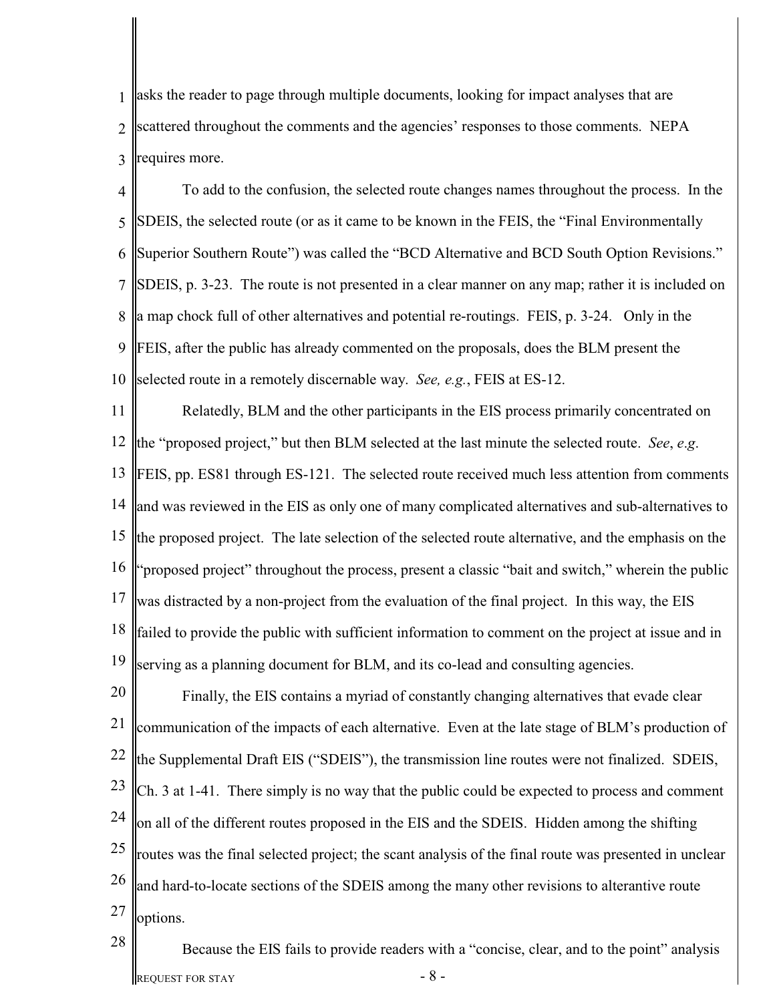1  $\mathcal{L}$ 3 asks the reader to page through multiple documents, looking for impact analyses that are scattered throughout the comments and the agencies' responses to those comments. NEPA requires more.

4 5 6 7 8 9 10 To add to the confusion, the selected route changes names throughout the process. In the SIMPORTIES, the selected route (or as it came to be known in the FEIS, the "Final Environmentally" Superior Southern Route") was called the "BCD Alternative and BCD South Option Revisions." SIMPLET ASSETS, p. 3-23. The route is not presented in a clear manner on any map; rather it is included on a map chock full of other alternatives and potential re-routings. FEIS, p. 3-24. Only in the FEIS, after the public has already commented on the proposals, does the BLM present the selected route in a remotely discernable way. *See, e.g.*, FEIS at ES-12.

11 12 the "proposed project," but then BLM selected at the last minute the selected route. *See*, *e*.*g*. 13 14 and was reviewed in the EIS as only one of many complicated alternatives and sub-alternatives to 15 16 17 18 19 Relatedly, BLM and the other participants in the EIS process primarily concentrated on **FEIS, pp. ES81 through ES-121.** The selected route received much less attention from comments the proposed project. The late selection of the selected route alternative, and the emphasis on the "proposed project" throughout the process, present a classic "bait and switch," wherein the public was distracted by a non-project from the evaluation of the final project. In this way, the EIS failed to provide the public with sufficient information to comment on the project at issue and in serving as a planning document for BLM, and its co-lead and consulting agencies.

20 21 22 23 24 25 26 27 Finally, the EIS contains a myriad of constantly changing alternatives that evade clear communication of the impacts of each alternative. Even at the late stage of BLM's production of the Supplemental Draft EIS ("SDEIS"), the transmission line routes were not finalized. SDEIS, Ch. 3 at 1-41. There simply is no way that the public could be expected to process and comment on all of the different routes proposed in the EIS and the SDEIS. Hidden among the shifting routes was the final selected project; the scant analysis of the final route was presented in unclear and hard-to-locate sections of the SDEIS among the many other revisions to alterantive route options.

REQUEST FOR STAY  $-8$  -Because the EIS fails to provide readers with a "concise, clear, and to the point" analysis

28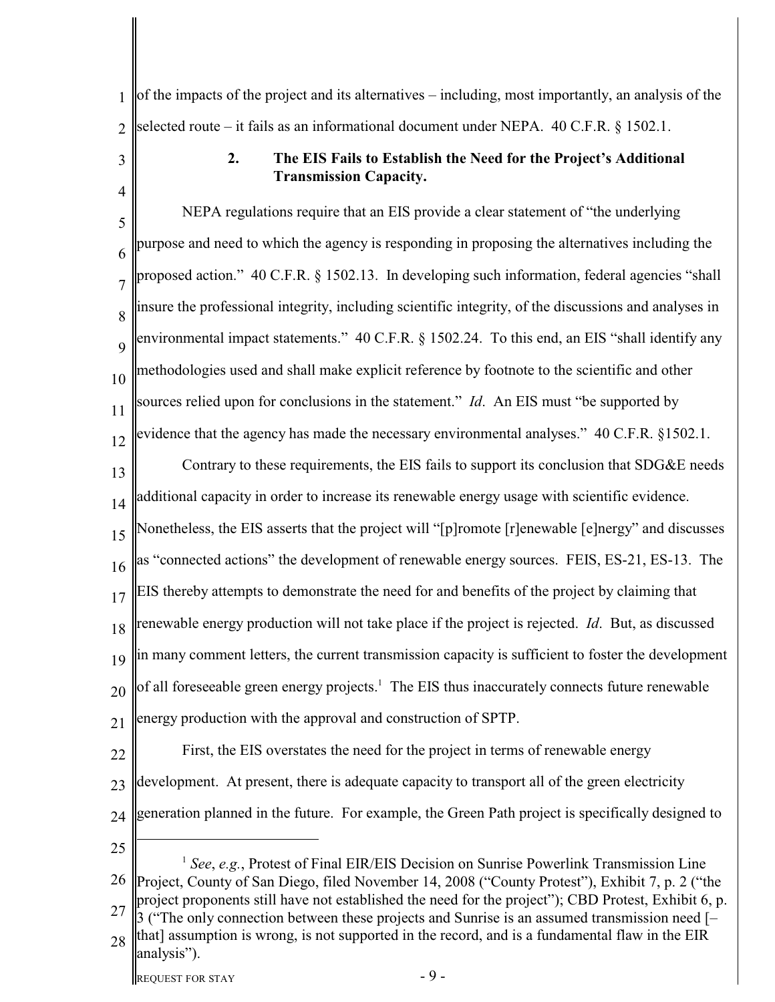1  $\mathcal{D}$ of the impacts of the project and its alternatives – including, most importantly, an analysis of the selected route – it fails as an informational document under NEPA. 40 C.F.R. § 1502.1.

> **2. The EIS Fails to Establish the Need for the Project's Additional Transmission Capacity.**

5 6 7 8 9 10 11 12 13 14 15 16 17 18 19 20 21 22 NEPA regulations require that an EIS provide a clear statement of "the underlying purpose and need to which the agency is responding in proposing the alternatives including the proposed action." 40 C.F.R. § 1502.13. In developing such information, federal agencies "shall insure the professional integrity, including scientific integrity, of the discussions and analyses in environmental impact statements." 40 C.F.R. § 1502.24. To this end, an EIS "shall identify any methodologies used and shall make explicit reference by footnote to the scientific and other sources relied upon for conclusions in the statement." *Id*. An EIS must "be supported by evidence that the agency has made the necessary environmental analyses." 40 C.F.R. §1502.1. Contrary to these requirements, the EIS fails to support its conclusion that SDG&E needs additional capacity in order to increase its renewable energy usage with scientific evidence. Nonetheless, the EIS asserts that the project will "[p]romote [r]enewable [e]nergy" and discusses as "connected actions" the development of renewable energy sources. FEIS, ES-21, ES-13. The EIS thereby attempts to demonstrate the need for and benefits of the project by claiming that renewable energy production will not take place if the project is rejected. *Id*. But, as discussed in many comment letters, the current transmission capacity is sufficient to foster the development of all foreseeable green energy projects.<sup>1</sup> The EIS thus inaccurately connects future renewable energy production with the approval and construction of SPTP. First, the EIS overstates the need for the project in terms of renewable energy

- 23 development. At present, there is adequate capacity to transport all of the green electricity
- 24 generation planned in the future. For example, the Green Path project is specifically designed to
- 25

3

4

26 27 28 <sup>1</sup> See, e.g., Protest of Final EIR/EIS Decision on Sunrise Powerlink Transmission Line Project, County of San Diego, filed November 14, 2008 ("County Protest"), Exhibit 7, p. 2 ("the project proponents still have not established the need for the project"); CBD Protest, Exhibit 6, p. 3 ("The only connection between these projects and Sunrise is an assumed transmission need [– that] assumption is wrong, is not supported in the record, and is a fundamental flaw in the EIR analysis").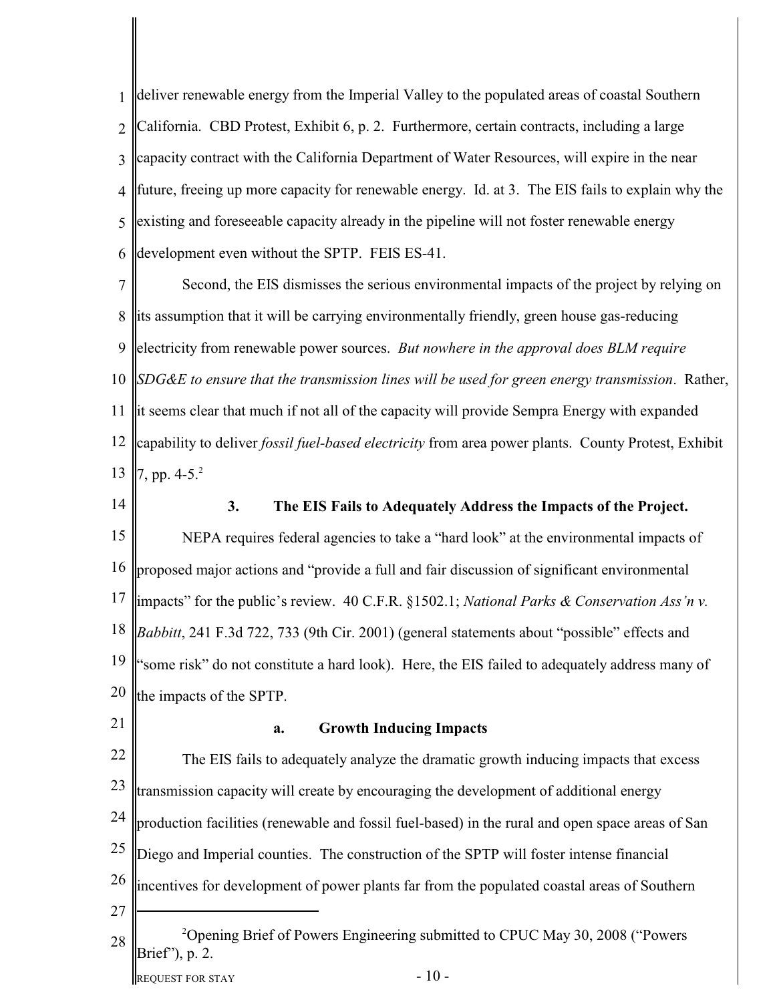1  $\mathcal{L}$ 3 4 5 6 deliver renewable energy from the Imperial Valley to the populated areas of coastal Southern California. CBD Protest, Exhibit 6, p. 2. Furthermore, certain contracts, including a large capacity contract with the California Department of Water Resources, will expire in the near future, freeing up more capacity for renewable energy. Id. at 3. The EIS fails to explain why the existing and foreseeable capacity already in the pipeline will not foster renewable energy development even without the SPTP. FEIS ES-41.

7 8 9 10 *SDG&E to ensure that the transmission lines will be used for green energy transmission*. Rather, 11 lit seems clear that much if not all of the capacity will provide Sempra Energy with expanded 12 capability to deliver *fossil fuel-based electricity* from area power plants. County Protest, Exhibit 13 Second, the EIS dismisses the serious environmental impacts of the project by relying on its assumption that it will be carrying environmentally friendly, green house gas-reducing electricity from renewable power sources. *But nowhere in the approval does BLM require* 7, pp.  $4-5.<sup>2</sup>$ 

- 14 15 16 17 18 19 20 **3. The EIS Fails to Adequately Address the Impacts of the Project.** NEPA requires federal agencies to take a "hard look" at the environmental impacts of proposed major actions and "provide a full and fair discussion of significant environmental impacts" for the public's review. 40 C.F.R. §1502.1; *National Parks & Conservation Ass'n v. Babbitt*, 241 F.3d 722, 733 (9th Cir. 2001) (general statements about "possible" effects and "some risk" do not constitute a hard look). Here, the EIS failed to adequately address many of the impacts of the SPTP.
- 21

# **a. Growth Inducing Impacts**

22 23 24 25 26 27 28 **Opening Brief of Powers Engineering submitted to CPUC May 30, 2008 ("Powers**") Brief"), p. 2. The EIS fails to adequately analyze the dramatic growth inducing impacts that excess transmission capacity will create by encouraging the development of additional energy production facilities (renewable and fossil fuel-based) in the rural and open space areas of San Diego and Imperial counties. The construction of the SPTP will foster intense financial incentives for development of power plants far from the populated coastal areas of Southern

REQUEST FOR STAY  $-10$  -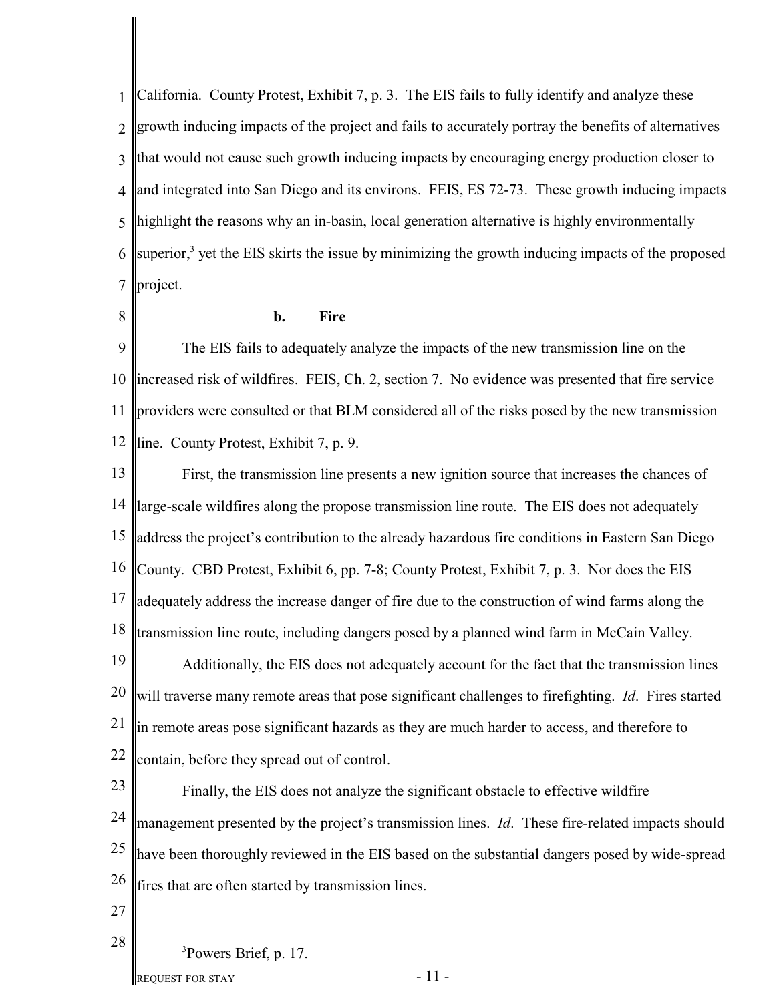1  $\mathcal{L}$ 3 4 5 6 7 California. County Protest, Exhibit 7, p. 3. The EIS fails to fully identify and analyze these growth inducing impacts of the project and fails to accurately portray the benefits of alternatives that would not cause such growth inducing impacts by encouraging energy production closer to and integrated into San Diego and its environs. FEIS, ES 72-73. These growth inducing impacts highlight the reasons why an in-basin, local generation alternative is highly environmentally superior,<sup>3</sup> yet the EIS skirts the issue by minimizing the growth inducing impacts of the proposed project.

8

# **b. Fire**

9 10 11 12 line. County Protest, Exhibit 7, p. 9. The EIS fails to adequately analyze the impacts of the new transmission line on the increased risk of wildfires. FEIS, Ch. 2, section 7. No evidence was presented that fire service providers were consulted or that BLM considered all of the risks posed by the new transmission

13 14 15 16 County. CBD Protest, Exhibit 6, pp. 7-8; County Protest, Exhibit 7, p. 3. Nor does the EIS 17 18 19 20 21 22 First, the transmission line presents a new ignition source that increases the chances of large-scale wildfires along the propose transmission line route. The EIS does not adequately address the project's contribution to the already hazardous fire conditions in Eastern San Diego adequately address the increase danger of fire due to the construction of wind farms along the transmission line route, including dangers posed by a planned wind farm in McCain Valley. Additionally, the EIS does not adequately account for the fact that the transmission lines will traverse many remote areas that pose significant challenges to firefighting. *Id*. Fires started in remote areas pose significant hazards as they are much harder to access, and therefore to contain, before they spread out of control.

23 24 25 26 Finally, the EIS does not analyze the significant obstacle to effective wildfire management presented by the project's transmission lines. *Id*. These fire-related impacts should have been thoroughly reviewed in the EIS based on the substantial dangers posed by wide-spread fires that are often started by transmission lines.

27

28

<sup>3</sup>Powers Brief, p. 17.

REQUEST FOR STAY  $-11$  -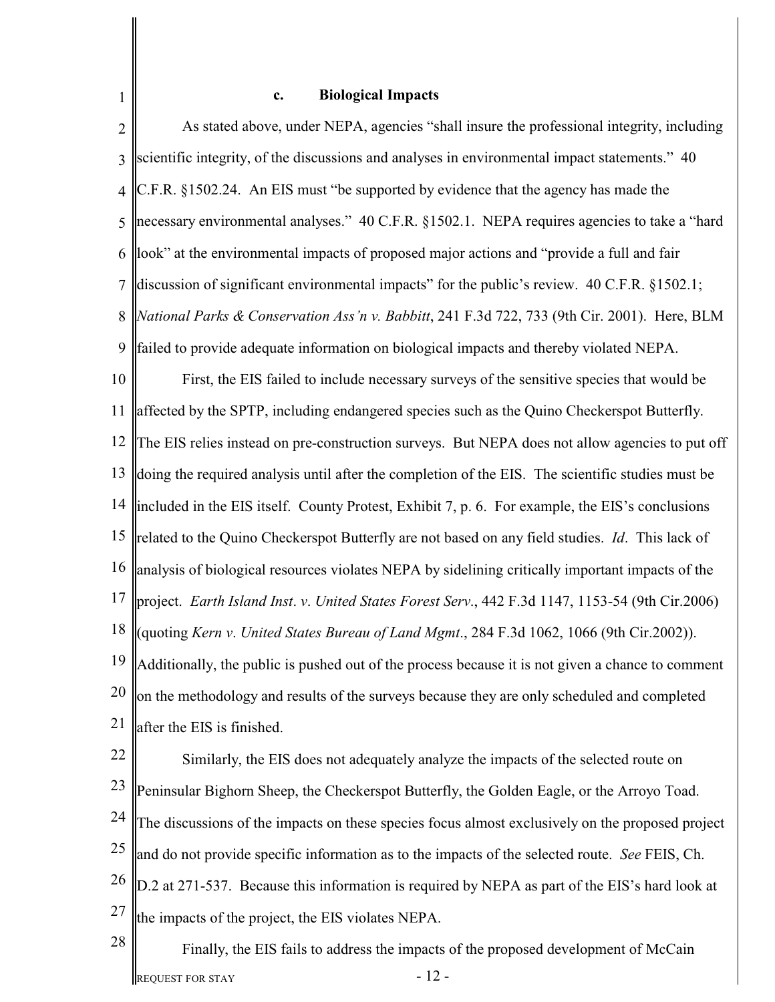# **c. Biological Impacts**

1

2 3 4 5 6 7 8 9 10 11 12 13 14 15 16 17 18 19 20 21 22 As stated above, under NEPA, agencies "shall insure the professional integrity, including scientific integrity, of the discussions and analyses in environmental impact statements." 40 C.F.R. §1502.24. An EIS must "be supported by evidence that the agency has made the necessary environmental analyses." 40 C.F.R. §1502.1. NEPA requires agencies to take a "hard" look" at the environmental impacts of proposed major actions and "provide a full and fair discussion of significant environmental impacts" for the public's review. 40 C.F.R. §1502.1; *National Parks & Conservation Ass'n v. Babbitt*, 241 F.3d 722, 733 (9th Cir. 2001). Here, BLM failed to provide adequate information on biological impacts and thereby violated NEPA. First, the EIS failed to include necessary surveys of the sensitive species that would be affected by the SPTP, including endangered species such as the Quino Checkerspot Butterfly. The EIS relies instead on pre-construction surveys. But NEPA does not allow agencies to put off doing the required analysis until after the completion of the EIS. The scientific studies must be included in the EIS itself. County Protest, Exhibit 7, p. 6. For example, the EIS's conclusions related to the Quino Checkerspot Butterfly are not based on any field studies. *Id*. This lack of analysis of biological resources violates NEPA by sidelining critically important impacts of the project. *Earth Island Inst*. *v*. *United States Forest Serv*., 442 F.3d 1147, 1153-54 (9th Cir.2006) (quoting *Kern v*. *United States Bureau of Land Mgmt*., 284 F.3d 1062, 1066 (9th Cir.2002)). Additionally, the public is pushed out of the process because it is not given a chance to comment on the methodology and results of the surveys because they are only scheduled and completed after the EIS is finished.

- 23 24 25 26 27 Similarly, the EIS does not adequately analyze the impacts of the selected route on Peninsular Bighorn Sheep, the Checkerspot Butterfly, the Golden Eagle, or the Arroyo Toad. The discussions of the impacts on these species focus almost exclusively on the proposed project and do not provide specific information as to the impacts of the selected route. *See* FEIS, Ch. D.2 at 271-537. Because this information is required by NEPA as part of the EIS's hard look at the impacts of the project, the EIS violates NEPA.
- 28 REQUEST FOR STAY  $-12$  -Finally, the EIS fails to address the impacts of the proposed development of McCain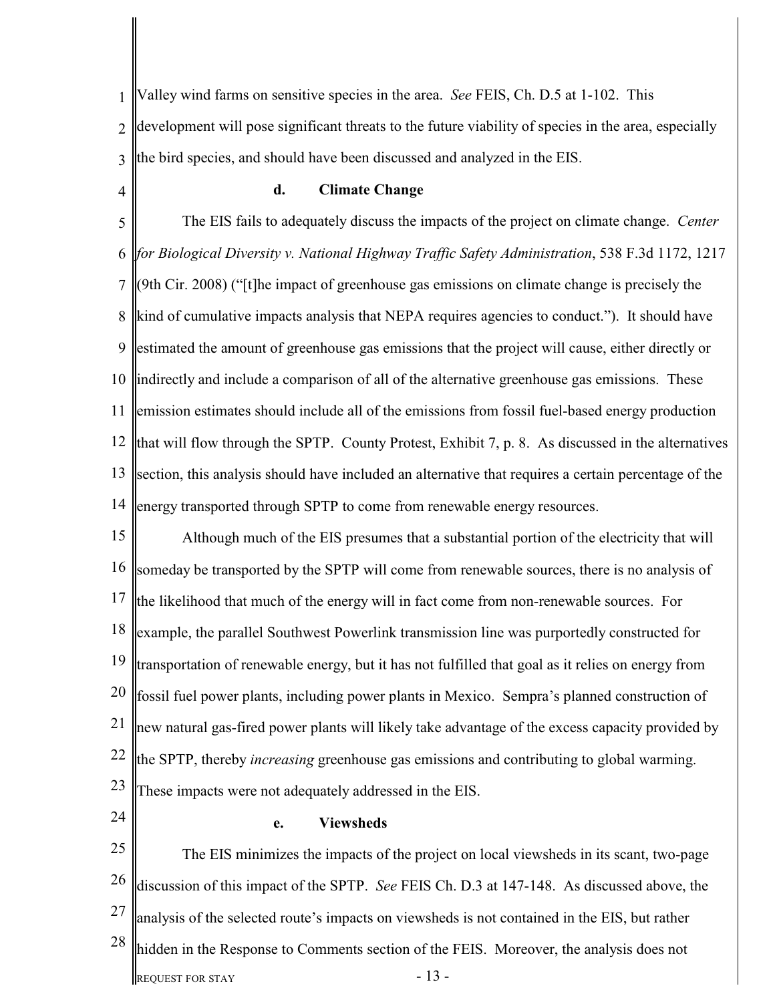1  $\mathcal{D}_{\mathcal{L}}$ 3 Valley wind farms on sensitive species in the area. *See* FEIS, Ch. D.5 at 1-102. This development will pose significant threats to the future viability of species in the area, especially the bird species, and should have been discussed and analyzed in the EIS.

4

# **d. Climate Change**

5 6 7 8 9 10 11 12 that will flow through the SPTP. County Protest, Exhibit 7, p. 8. As discussed in the alternatives 13 14 The EIS fails to adequately discuss the impacts of the project on climate change. *Center for Biological Diversity v. National Highway Traffic Safety Administration*, 538 F.3d 1172, 1217 (9th Cir. 2008) ("[t]he impact of greenhouse gas emissions on climate change is precisely the kind of cumulative impacts analysis that NEPA requires agencies to conduct."). It should have estimated the amount of greenhouse gas emissions that the project will cause, either directly or indirectly and include a comparison of all of the alternative greenhouse gas emissions. These emission estimates should include all of the emissions from fossil fuel-based energy production section, this analysis should have included an alternative that requires a certain percentage of the energy transported through SPTP to come from renewable energy resources.

15 16 17 18 19 20 21 22 23 Although much of the EIS presumes that a substantial portion of the electricity that will someday be transported by the SPTP will come from renewable sources, there is no analysis of the likelihood that much of the energy will in fact come from non-renewable sources. For example, the parallel Southwest Powerlink transmission line was purportedly constructed for transportation of renewable energy, but it has not fulfilled that goal as it relies on energy from fossil fuel power plants, including power plants in Mexico. Sempra's planned construction of new natural gas-fired power plants will likely take advantage of the excess capacity provided by the SPTP, thereby *increasing* greenhouse gas emissions and contributing to global warming. These impacts were not adequately addressed in the EIS.

24

#### **e. Viewsheds**

25 26 27 28 REQUEST FOR STAY  $-13$  -The EIS minimizes the impacts of the project on local viewsheds in its scant, two-page discussion of this impact of the SPTP. *See* FEIS Ch. D.3 at 147-148. As discussed above, the analysis of the selected route's impacts on viewsheds is not contained in the EIS, but rather hidden in the Response to Comments section of the FEIS. Moreover, the analysis does not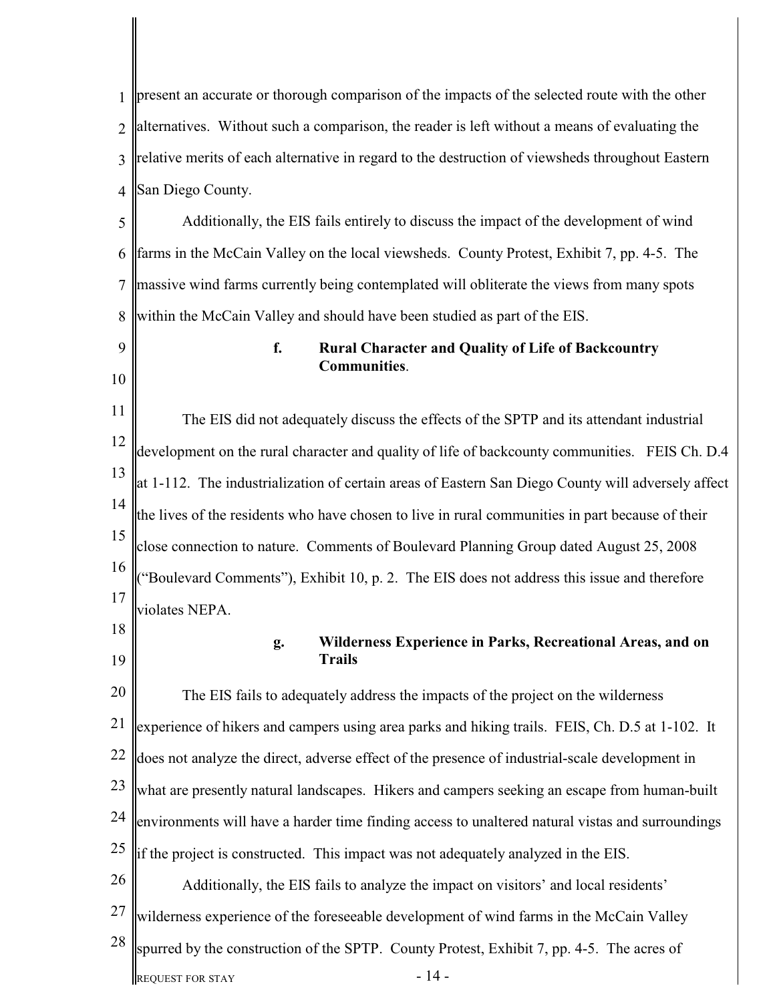1  $\mathcal{L}$ 3 4 5 6 7 8 9 10 11 12 13 14 15 16 17 18 19 20 21 22 23 24 25 26 27 28 present an accurate or thorough comparison of the impacts of the selected route with the other alternatives. Without such a comparison, the reader is left without a means of evaluating the relative merits of each alternative in regard to the destruction of viewsheds throughout Eastern San Diego County. Additionally, the EIS fails entirely to discuss the impact of the development of wind farms in the McCain Valley on the local viewsheds. County Protest, Exhibit 7, pp. 4-5. The massive wind farms currently being contemplated will obliterate the views from many spots within the McCain Valley and should have been studied as part of the EIS. **f. Rural Character and Quality of Life of Backcountry Communities**. The EIS did not adequately discuss the effects of the SPTP and its attendant industrial development on the rural character and quality of life of backcounty communities. FEIS Ch. D.4 at 1-112. The industrialization of certain areas of Eastern San Diego County will adversely affect the lives of the residents who have chosen to live in rural communities in part because of their close connection to nature. Comments of Boulevard Planning Group dated August 25, 2008 ("Boulevard Comments"), Exhibit 10, p. 2. The EIS does not address this issue and therefore violates NEPA. **g. Wilderness Experience in Parks, Recreational Areas, and on Trails** The EIS fails to adequately address the impacts of the project on the wilderness experience of hikers and campers using area parks and hiking trails. FEIS, Ch. D.5 at 1-102. It does not analyze the direct, adverse effect of the presence of industrial-scale development in what are presently natural landscapes. Hikers and campers seeking an escape from human-built environments will have a harder time finding access to unaltered natural vistas and surroundings if the project is constructed. This impact was not adequately analyzed in the EIS. Additionally, the EIS fails to analyze the impact on visitors' and local residents' wilderness experience of the foreseeable development of wind farms in the McCain Valley spurred by the construction of the SPTP. County Protest, Exhibit 7, pp. 4-5. The acres of

REQUEST FOR STAY  $-14$  -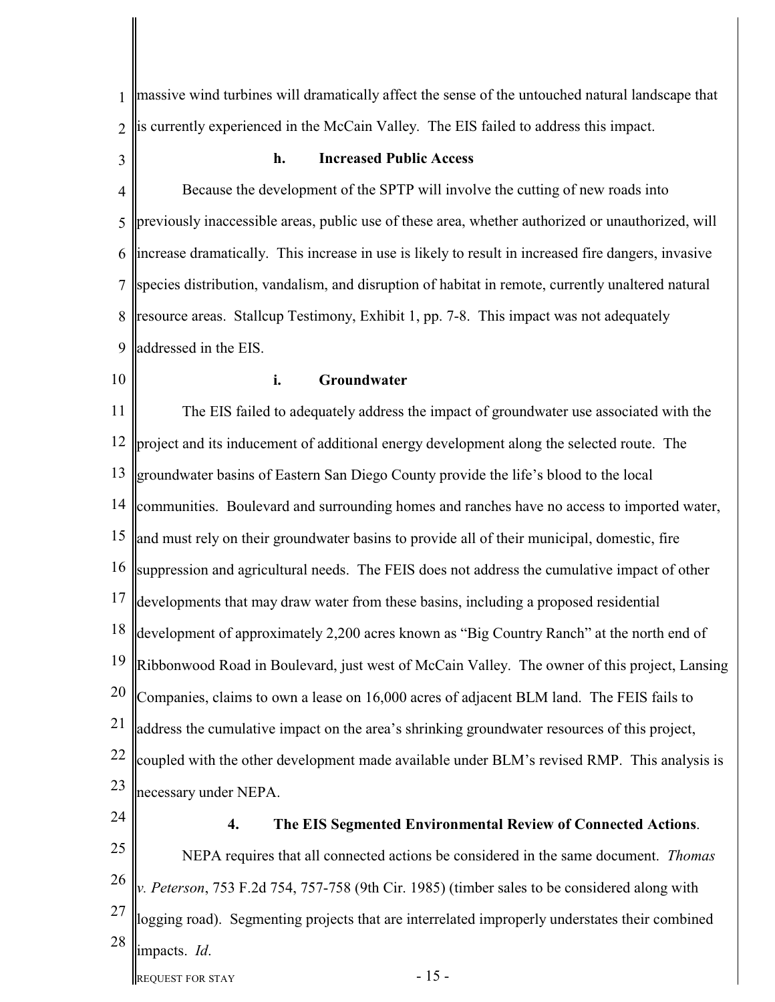1  $\mathcal{L}$ massive wind turbines will dramatically affect the sense of the untouched natural landscape that is currently experienced in the McCain Valley. The EIS failed to address this impact.

3

# **h. Increased Public Access**

4 5 6 7 8 9 Because the development of the SPTP will involve the cutting of new roads into previously inaccessible areas, public use of these area, whether authorized or unauthorized, will increase dramatically. This increase in use is likely to result in increased fire dangers, invasive species distribution, vandalism, and disruption of habitat in remote, currently unaltered natural resource areas. Stallcup Testimony, Exhibit 1, pp. 7-8. This impact was not adequately addressed in the EIS.

10

# **i. Groundwater**

11 12 13 14 15 16 17 18 19 20 21 22 23 The EIS failed to adequately address the impact of groundwater use associated with the project and its inducement of additional energy development along the selected route. The groundwater basins of Eastern San Diego County provide the life's blood to the local communities. Boulevard and surrounding homes and ranches have no access to imported water, and must rely on their groundwater basins to provide all of their municipal, domestic, fire suppression and agricultural needs. The FEIS does not address the cumulative impact of other developments that may draw water from these basins, including a proposed residential development of approximately 2,200 acres known as "Big Country Ranch" at the north end of Ribbonwood Road in Boulevard, just west of McCain Valley. The owner of this project, Lansing Companies, claims to own a lease on 16,000 acres of adjacent BLM land. The FEIS fails to address the cumulative impact on the area's shrinking groundwater resources of this project, coupled with the other development made available under BLM's revised RMP. This analysis is necessary under NEPA.

24

**4. The EIS Segmented Environmental Review of Connected Actions**.

25 26 27 28 REQUEST FOR STAY  $-15$  -NEPA requires that all connected actions be considered in the same document. *Thomas v. Peterson*, 753 F.2d 754, 757-758 (9th Cir. 1985) (timber sales to be considered along with logging road). Segmenting projects that are interrelated improperly understates their combined impacts. *Id*.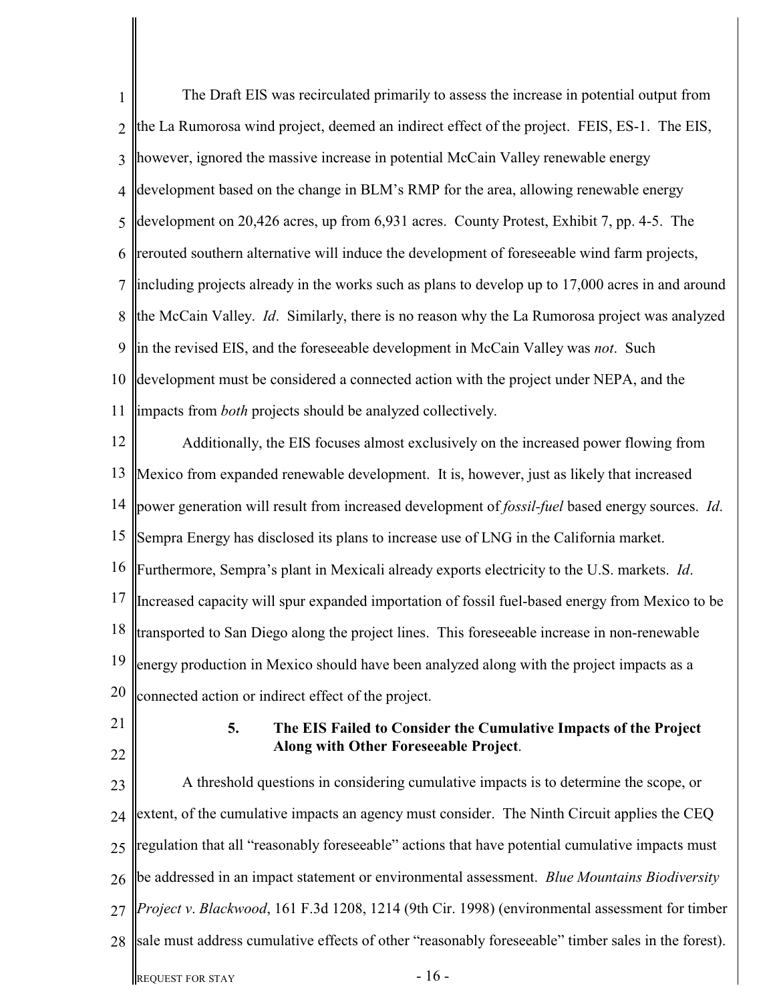| 1              | The Draft EIS was recirculated primarily to assess the increase in potential output from                        |
|----------------|-----------------------------------------------------------------------------------------------------------------|
| $\overline{2}$ | the La Rumorosa wind project, deemed an indirect effect of the project. FEIS, ES-1. The EIS,                    |
| 3              | however, ignored the massive increase in potential McCain Valley renewable energy                               |
| $\overline{4}$ | development based on the change in BLM's RMP for the area, allowing renewable energy                            |
| 5              | development on 20,426 acres, up from 6,931 acres. County Protest, Exhibit 7, pp. 4-5. The                       |
| 6              | rerouted southern alternative will induce the development of foreseeable wind farm projects,                    |
| 7              | including projects already in the works such as plans to develop up to 17,000 acres in and around               |
| 8              | the McCain Valley. Id. Similarly, there is no reason why the La Rumorosa project was analyzed                   |
| 9              | in the revised EIS, and the foreseeable development in McCain Valley was not. Such                              |
| 10             | development must be considered a connected action with the project under NEPA, and the                          |
| 11             | impacts from <i>both</i> projects should be analyzed collectively.                                              |
| 12             | Additionally, the EIS focuses almost exclusively on the increased power flowing from                            |
| 13             | Mexico from expanded renewable development. It is, however, just as likely that increased                       |
| 14             | power generation will result from increased development of <i>fossil-fuel</i> based energy sources. <i>Id.</i>  |
| 15             | Sempra Energy has disclosed its plans to increase use of LNG in the California market.                          |
| 16             | Furthermore, Sempra's plant in Mexicali already exports electricity to the U.S. markets. Id.                    |
| 17             | Increased capacity will spur expanded importation of fossil fuel-based energy from Mexico to be                 |
| 18             | transported to San Diego along the project lines. This foreseeable increase in non-renewable                    |
| 19             | energy production in Mexico should have been analyzed along with the project impacts as a                       |
| 20             | connected action or indirect effect of the project.                                                             |
| 21             | 5.<br>The EIS Failed to Consider the Cumulative Impacts of the Project<br>Along with Other Foreseeable Project. |
| 22             | A threshold questions in considering cumulative impacts is to determine the scope, or                           |
| 23             | extent, of the cumulative impacts an agency must consider. The Ninth Circuit applies the CEQ                    |
| 24             | regulation that all "reasonably foreseeable" actions that have potential cumulative impacts must                |
| 25             |                                                                                                                 |
| 26             | be addressed in an impact statement or environmental assessment. Blue Mountains Biodiversity                    |
| 27             | Project v. Blackwood, 161 F.3d 1208, 1214 (9th Cir. 1998) (environmental assessment for timber                  |
| 28             | sale must address cumulative effects of other "reasonably foreseeable" timber sales in the forest).             |
|                | $-16-$<br><b>REQUEST FOR STAY</b>                                                                               |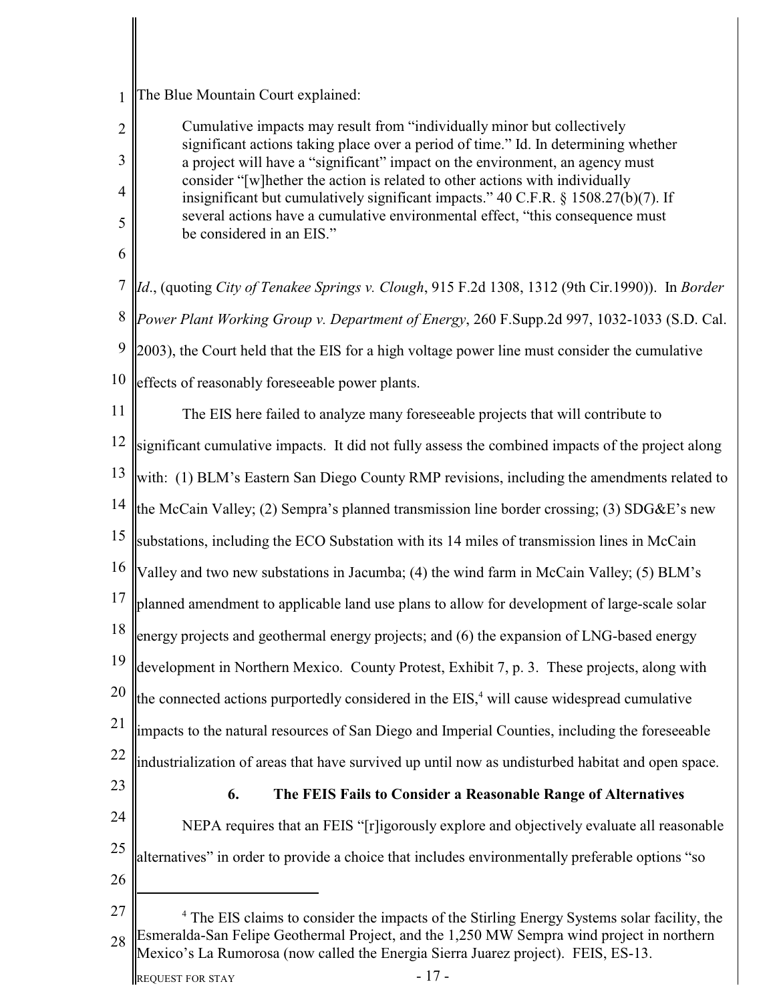1 The Blue Mountain Court explained:

> Cumulative impacts may result from "individually minor but collectively significant actions taking place over a period of time." Id. In determining whether a project will have a "significant" impact on the environment, an agency must consider "[w]hether the action is related to other actions with individually insignificant but cumulatively significant impacts."  $40 \text{ C.F.R.}$  §  $1508.27(b)(7)$ . If several actions have a cumulative environmental effect, "this consequence must be considered in an EIS."

6

2

3

4

5

7 8 9 10 *Id*., (quoting *City of Tenakee Springs v. Clough*, 915 F.2d 1308, 1312 (9th Cir.1990)). In *Border Power Plant Working Group v. Department of Energy*, 260 F.Supp.2d 997, 1032-1033 (S.D. Cal. 2003), the Court held that the EIS for a high voltage power line must consider the cumulative effects of reasonably foreseeable power plants.

11 <sup>12</sup> significant cumulative impacts. It did not fully assess the combined impacts of the project along 13 14 15 16 17 18 19 20 21 22 23 The EIS here failed to analyze many foreseeable projects that will contribute to with: (1) BLM's Eastern San Diego County RMP revisions, including the amendments related to the McCain Valley; (2) Sempra's planned transmission line border crossing; (3) SDG&E's new substations, including the ECO Substation with its 14 miles of transmission lines in McCain Valley and two new substations in Jacumba; (4) the wind farm in McCain Valley; (5) BLM's planned amendment to applicable land use plans to allow for development of large-scale solar energy projects and geothermal energy projects; and (6) the expansion of LNG-based energy development in Northern Mexico. County Protest, Exhibit 7, p. 3. These projects, along with the connected actions purportedly considered in the  $EIS<sub>1</sub><sup>4</sup>$  will cause widespread cumulative impacts to the natural resources of San Diego and Imperial Counties, including the foreseeable industrialization of areas that have survived up until now as undisturbed habitat and open space. **6. The FEIS Fails to Consider a Reasonable Range of Alternatives**

24 25 NEPA requires that an FEIS "[r]igorously explore and objectively evaluate all reasonable alternatives" in order to provide a choice that includes environmentally preferable options "so

- 26
- 27 28 <sup>4</sup> The EIS claims to consider the impacts of the Stirling Energy Systems solar facility, the Esmeralda-San Felipe Geothermal Project, and the 1,250 MW Sempra wind project in northern Mexico's La Rumorosa (now called the Energia Sierra Juarez project). FEIS, ES-13.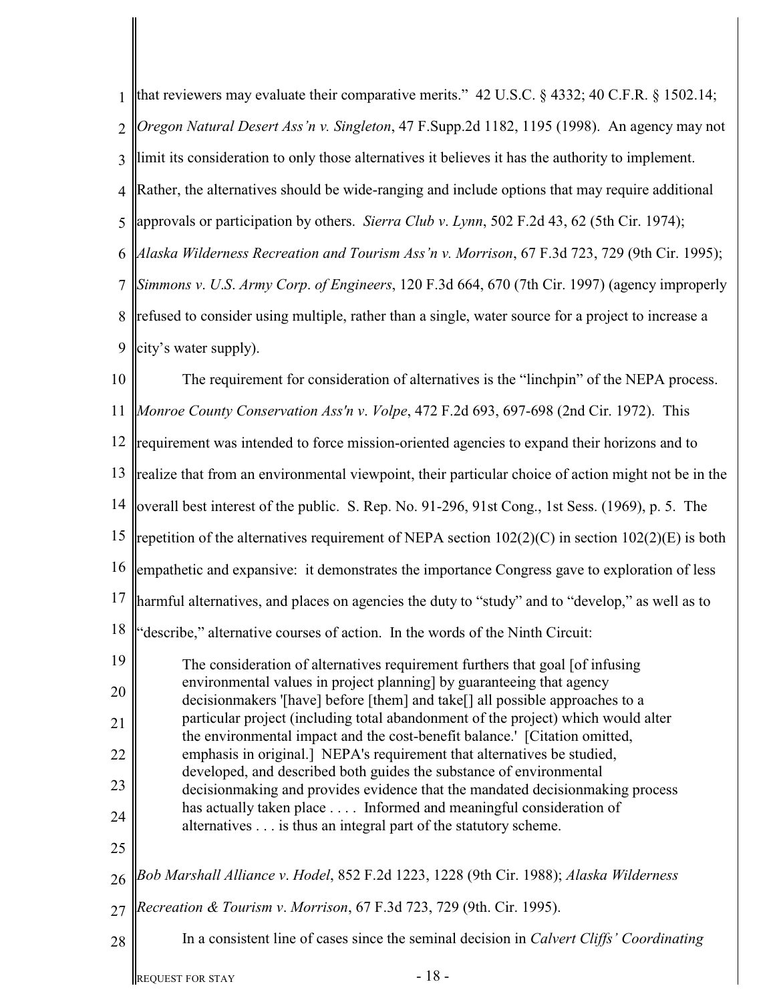| $\mathbf{1}$   | that reviewers may evaluate their comparative merits." 42 U.S.C. $\S$ 4332; 40 C.F.R. $\S$ 1502.14;                                                             |
|----------------|-----------------------------------------------------------------------------------------------------------------------------------------------------------------|
| $\overline{2}$ | Oregon Natural Desert Ass'n v. Singleton, 47 F.Supp.2d 1182, 1195 (1998). An agency may not                                                                     |
| 3              | limit its consideration to only those alternatives it believes it has the authority to implement.                                                               |
| $\overline{4}$ | Rather, the alternatives should be wide-ranging and include options that may require additional                                                                 |
| 5              | approvals or participation by others. Sierra Club v. Lynn, 502 F.2d 43, 62 (5th Cir. 1974);                                                                     |
| 6              | Alaska Wilderness Recreation and Tourism Ass'n v. Morrison, 67 F.3d 723, 729 (9th Cir. 1995);                                                                   |
| 7              | Simmons v. U.S. Army Corp. of Engineers, 120 F.3d 664, 670 (7th Cir. 1997) (agency improperly                                                                   |
| 8              | refused to consider using multiple, rather than a single, water source for a project to increase a                                                              |
| 9              | city's water supply).                                                                                                                                           |
| 10             | The requirement for consideration of alternatives is the "linchpin" of the NEPA process.                                                                        |
| 11             | Monroe County Conservation Ass'n v. Volpe, 472 F.2d 693, 697-698 (2nd Cir. 1972). This                                                                          |
| 12             | requirement was intended to force mission-oriented agencies to expand their horizons and to                                                                     |
| 13             | realize that from an environmental viewpoint, their particular choice of action might not be in the                                                             |
| 14             | loverall best interest of the public. S. Rep. No. 91-296, 91st Cong., 1st Sess. (1969), p. 5. The                                                               |
| 15             | repetition of the alternatives requirement of NEPA section $102(2)(C)$ in section $102(2)(E)$ is both                                                           |
| 16             | empathetic and expansive: it demonstrates the importance Congress gave to exploration of less                                                                   |
| 17             | harmful alternatives, and places on agencies the duty to "study" and to "develop," as well as to                                                                |
| 18             | "describe," alternative courses of action. In the words of the Ninth Circuit:                                                                                   |
| 19             | The consideration of alternatives requirement furthers that goal [of infusing<br>environmental values in project planning] by guaranteeing that agency          |
| 20             | decisionmakers '[have] before [them] and take[] all possible approaches to a                                                                                    |
| 21             | particular project (including total abandonment of the project) which would alter<br>the environmental impact and the cost-benefit balance.' [Citation omitted, |
| 22             | emphasis in original.] NEPA's requirement that alternatives be studied,<br>developed, and described both guides the substance of environmental                  |
| 23             | decision making and provides evidence that the mandated decision making process<br>has actually taken place  Informed and meaningful consideration of           |
| 24             | alternatives is thus an integral part of the statutory scheme.                                                                                                  |
| 25             |                                                                                                                                                                 |
| 26             | Bob Marshall Alliance v. Hodel, 852 F.2d 1223, 1228 (9th Cir. 1988); Alaska Wilderness                                                                          |
| 27             | Recreation & Tourism v. Morrison, 67 F.3d 723, 729 (9th. Cir. 1995).                                                                                            |
| 28             | In a consistent line of cases since the seminal decision in <i>Calvert Cliffs' Coordinating</i>                                                                 |
|                | $-18-$<br>REQUEST FOR STAY                                                                                                                                      |

║

I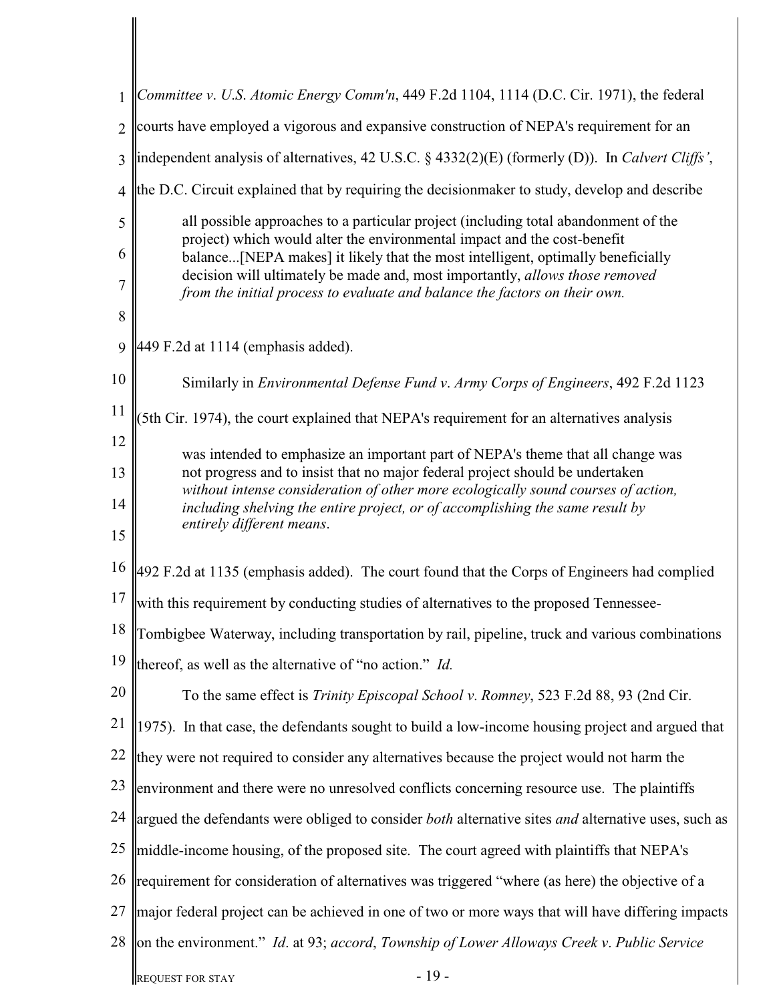| $\mathbf{1}$   | Committee v. U.S. Atomic Energy Comm'n, 449 F.2d 1104, 1114 (D.C. Cir. 1971), the federal                                                                          |  |  |  |
|----------------|--------------------------------------------------------------------------------------------------------------------------------------------------------------------|--|--|--|
| $\overline{2}$ | courts have employed a vigorous and expansive construction of NEPA's requirement for an                                                                            |  |  |  |
| 3              | independent analysis of alternatives, 42 U.S.C. § 4332(2)(E) (formerly (D)). In Calvert Cliffs',                                                                   |  |  |  |
| $\overline{4}$ | the D.C. Circuit explained that by requiring the decision maker to study, develop and describe                                                                     |  |  |  |
| 5              | all possible approaches to a particular project (including total abandonment of the                                                                                |  |  |  |
| 6              | project) which would alter the environmental impact and the cost-benefit<br>balance[NEPA makes] it likely that the most intelligent, optimally beneficially        |  |  |  |
| 7              | decision will ultimately be made and, most importantly, allows those removed<br>from the initial process to evaluate and balance the factors on their own.         |  |  |  |
| 8              |                                                                                                                                                                    |  |  |  |
| 9              | 449 F.2d at 1114 (emphasis added).                                                                                                                                 |  |  |  |
| 10             | Similarly in <i>Environmental Defense Fund v. Army Corps of Engineers</i> , 492 F.2d 1123                                                                          |  |  |  |
| 11             | 5th Cir. 1974), the court explained that NEPA's requirement for an alternatives analysis                                                                           |  |  |  |
| 12             | was intended to emphasize an important part of NEPA's theme that all change was                                                                                    |  |  |  |
| 13             | not progress and to insist that no major federal project should be undertaken<br>without intense consideration of other more ecologically sound courses of action, |  |  |  |
| 14<br>15       | including shelving the entire project, or of accomplishing the same result by<br>entirely different means.                                                         |  |  |  |
| 16             |                                                                                                                                                                    |  |  |  |
| 17             | 492 F.2d at 1135 (emphasis added). The court found that the Corps of Engineers had complied                                                                        |  |  |  |
| 18             | with this requirement by conducting studies of alternatives to the proposed Tennessee-                                                                             |  |  |  |
| 19             | Tombigbee Waterway, including transportation by rail, pipeline, truck and various combinations                                                                     |  |  |  |
|                | thereof, as well as the alternative of "no action." <i>Id.</i>                                                                                                     |  |  |  |
| 20             | To the same effect is <i>Trinity Episcopal School v. Romney</i> , 523 F.2d 88, 93 (2nd Cir.                                                                        |  |  |  |
| 21             | 1975). In that case, the defendants sought to build a low-income housing project and argued that                                                                   |  |  |  |
| 22             | they were not required to consider any alternatives because the project would not harm the                                                                         |  |  |  |
| 23             | environment and there were no unresolved conflicts concerning resource use. The plaintiffs                                                                         |  |  |  |
| 24             | argued the defendants were obliged to consider both alternative sites and alternative uses, such as                                                                |  |  |  |
| 25             | middle-income housing, of the proposed site. The court agreed with plaintiffs that NEPA's                                                                          |  |  |  |
| 26             | requirement for consideration of alternatives was triggered "where (as here) the objective of a                                                                    |  |  |  |
| 27             | major federal project can be achieved in one of two or more ways that will have differing impacts                                                                  |  |  |  |
| 28             | on the environment." Id. at 93; accord, Township of Lower Alloways Creek v. Public Service                                                                         |  |  |  |
|                | $-19-$<br><b>REQUEST FOR STAY</b>                                                                                                                                  |  |  |  |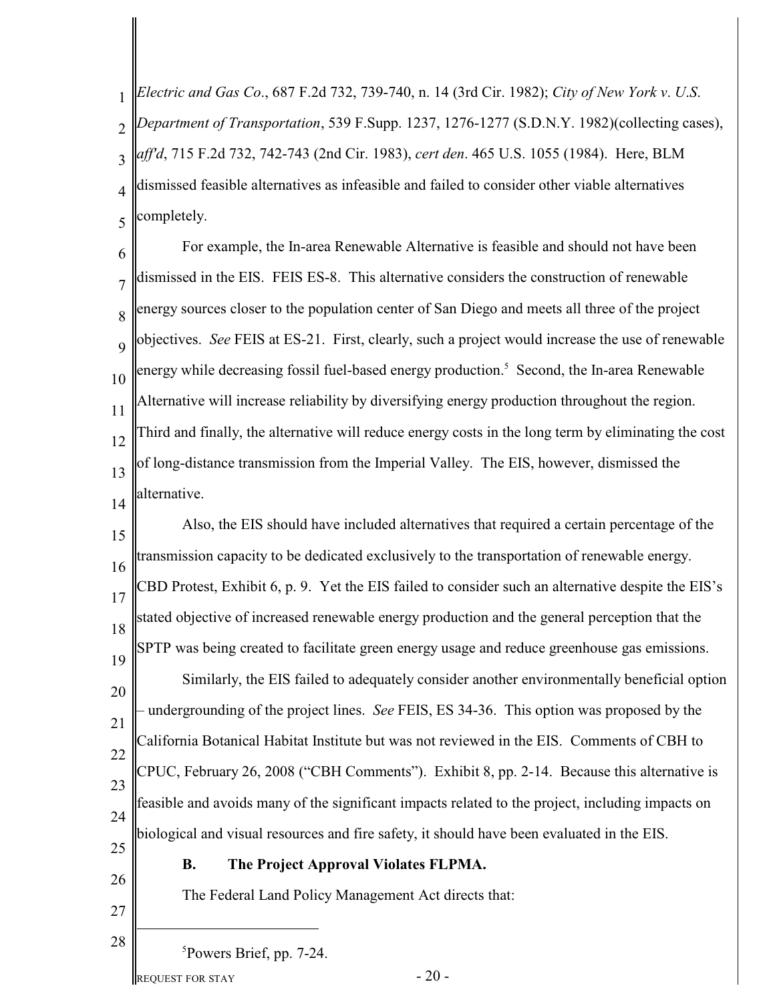1  $\mathcal{D}$ 3 4 5 *Electric and Gas Co*., 687 F.2d 732, 739-740, n. 14 (3rd Cir. 1982); *City of New York v*. *U*.*S*. *Department of Transportation*, 539 F.Supp. 1237, 1276-1277 (S.D.N.Y. 1982)(collecting cases), *aff'd*, 715 F.2d 732, 742-743 (2nd Cir. 1983), *cert den*. 465 U.S. 1055 (1984). Here, BLM dismissed feasible alternatives as infeasible and failed to consider other viable alternatives completely.

6 7 8  $\overline{Q}$ 10 11 12 13 14 For example, the In-area Renewable Alternative is feasible and should not have been dismissed in the EIS. FEIS ES-8. This alternative considers the construction of renewable energy sources closer to the population center of San Diego and meets all three of the project objectives. *See* FEIS at ES-21. First, clearly, such a project would increase the use of renewable energy while decreasing fossil fuel-based energy production.<sup>5</sup> Second, the In-area Renewable Alternative will increase reliability by diversifying energy production throughout the region. Third and finally, the alternative will reduce energy costs in the long term by eliminating the cost of long-distance transmission from the Imperial Valley. The EIS, however, dismissed the alternative.

15 16 17 18 19 20 21 22 23 24 25 Also, the EIS should have included alternatives that required a certain percentage of the transmission capacity to be dedicated exclusively to the transportation of renewable energy. CBD Protest, Exhibit 6, p. 9. Yet the EIS failed to consider such an alternative despite the EIS's stated objective of increased renewable energy production and the general perception that the SPTP was being created to facilitate green energy usage and reduce greenhouse gas emissions. Similarly, the EIS failed to adequately consider another environmentally beneficial option – undergrounding of the project lines. *See* FEIS, ES 34-36. This option was proposed by the California Botanical Habitat Institute but was not reviewed in the EIS. Comments of CBH to CPUC, February 26, 2008 ("CBH Comments"). Exhibit 8, pp. 2-14. Because this alternative is feasible and avoids many of the significant impacts related to the project, including impacts on biological and visual resources and fire safety, it should have been evaluated in the EIS.

26 27

28

# **B. The Project Approval Violates FLPMA.**

The Federal Land Policy Management Act directs that:

 ${}^{5}$ Powers Brief, pp. 7-24.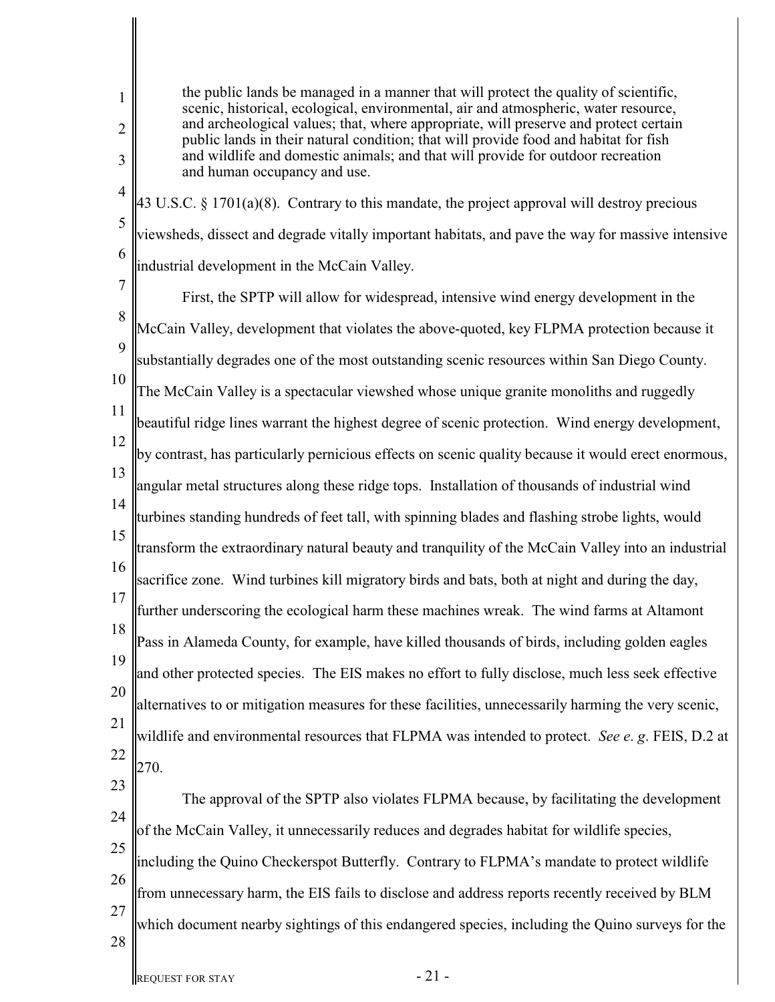2 3

4

5

6

1

the public lands be managed in a manner that will protect the quality of scientific, scenic, historical, ecological, environmental, air and atmospheric, water resource, and archeological values; that, where appropriate, will preserve and protect certain public lands in their natural condition; that will provide food and habitat for fish and wildlife and domestic animals; and that will provide for outdoor recreation and human occupancy and use.

43 U.S.C. § 1701(a)(8). Contrary to this mandate, the project approval will destroy precious viewsheds, dissect and degrade vitally important habitats, and pave the way for massive intensive industrial development in the McCain Valley.

7 8 9 10 11 12 13 14 15 16 17 18 19 20 21 22 23 First, the SPTP will allow for widespread, intensive wind energy development in the McCain Valley, development that violates the above-quoted, key FLPMA protection because it substantially degrades one of the most outstanding scenic resources within San Diego County. The McCain Valley is a spectacular viewshed whose unique granite monoliths and ruggedly beautiful ridge lines warrant the highest degree of scenic protection. Wind energy development, by contrast, has particularly pernicious effects on scenic quality because it would erect enormous, angular metal structures along these ridge tops. Installation of thousands of industrial wind turbines standing hundreds of feet tall, with spinning blades and flashing strobe lights, would transform the extraordinary natural beauty and tranquility of the McCain Valley into an industrial sacrifice zone. Wind turbines kill migratory birds and bats, both at night and during the day, further underscoring the ecological harm these machines wreak. The wind farms at Altamont Pass in Alameda County, for example, have killed thousands of birds, including golden eagles and other protected species. The EIS makes no effort to fully disclose, much less seek effective alternatives to or mitigation measures for these facilities, unnecessarily harming the very scenic, wildlife and environmental resources that FLPMA was intended to protect. *See e*. *g*. FEIS, D.2 at 270. The approval of the SPTP also violates FLPMA because, by facilitating the development

24 25 of the McCain Valley, it unnecessarily reduces and degrades habitat for wildlife species, including the Quino Checkerspot Butterfly. Contrary to FLPMA's mandate to protect wildlife

26 27 from unnecessary harm, the EIS fails to disclose and address reports recently received by BLM which document nearby sightings of this endangered species, including the Quino surveys for the

28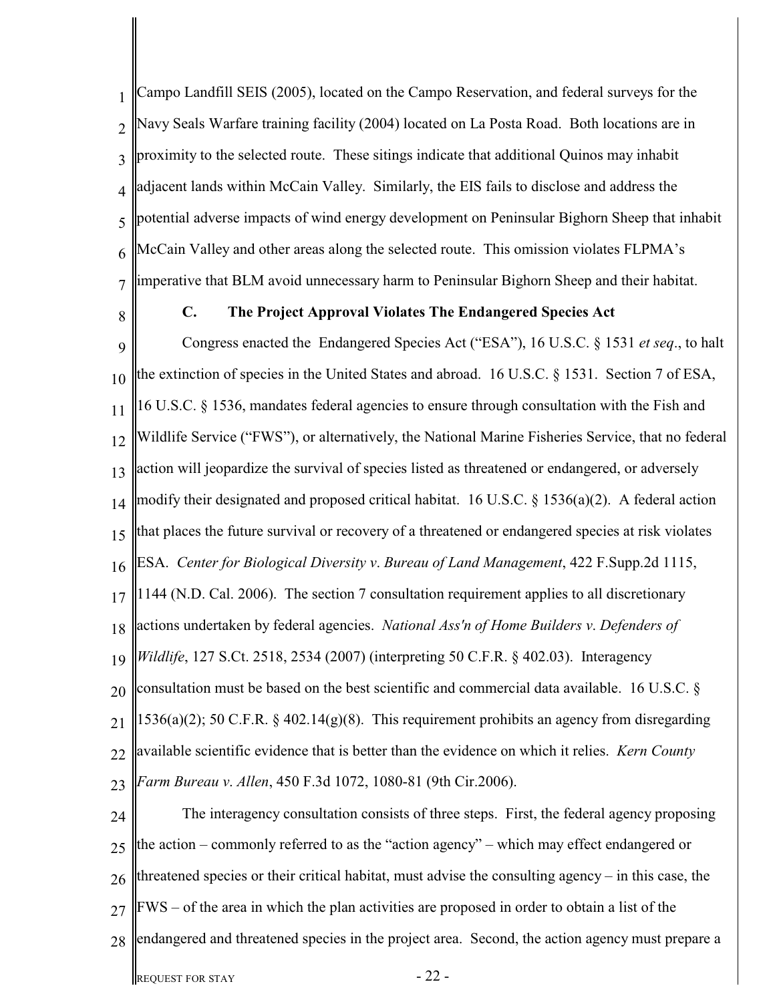1  $\mathcal{D}$ 3 4 5 6 7 Campo Landfill SEIS (2005), located on the Campo Reservation, and federal surveys for the Navy Seals Warfare training facility (2004) located on La Posta Road. Both locations are in proximity to the selected route. These sitings indicate that additional Quinos may inhabit adjacent lands within McCain Valley. Similarly, the EIS fails to disclose and address the potential adverse impacts of wind energy development on Peninsular Bighorn Sheep that inhabit McCain Valley and other areas along the selected route. This omission violates FLPMA's imperative that BLM avoid unnecessary harm to Peninsular Bighorn Sheep and their habitat.

8

# **C. The Project Approval Violates The Endangered Species Act**

9 10 11 12 13 14 15 16 17 18 19 20 21 22 23 Congress enacted the Endangered Species Act ("ESA"), 16 U.S.C. § 1531 *et seq*., to halt the extinction of species in the United States and abroad. 16 U.S.C. § 1531. Section 7 of ESA, 16 U.S.C. § 1536, mandates federal agencies to ensure through consultation with the Fish and Wildlife Service ("FWS"), or alternatively, the National Marine Fisheries Service, that no federal action will jeopardize the survival of species listed as threatened or endangered, or adversely modify their designated and proposed critical habitat. 16 U.S.C. § 1536(a)(2). A federal action that places the future survival or recovery of a threatened or endangered species at risk violates ESA. *Center for Biological Diversity v*. *Bureau of Land Management*, 422 F.Supp.2d 1115, 1144 (N.D. Cal. 2006). The section 7 consultation requirement applies to all discretionary actions undertaken by federal agencies. *National Ass'n of Home Builders v*. *Defenders of Wildlife*, 127 S.Ct. 2518, 2534 (2007) (interpreting 50 C.F.R. § 402.03). Interagency consultation must be based on the best scientific and commercial data available. 16 U.S.C. §  $1536(a)(2)$ ; 50 C.F.R. § 402.14(g)(8). This requirement prohibits an agency from disregarding available scientific evidence that is better than the evidence on which it relies. *Kern County Farm Bureau v*. *Allen*, 450 F.3d 1072, 1080-81 (9th Cir.2006). The interagency consultation consists of three steps. First, the federal agency proposing

24 25 26 27 28 the action – commonly referred to as the "action agency" – which may effect endangered or threatened species or their critical habitat, must advise the consulting agency – in this case, the FWS – of the area in which the plan activities are proposed in order to obtain a list of the endangered and threatened species in the project area. Second, the action agency must prepare a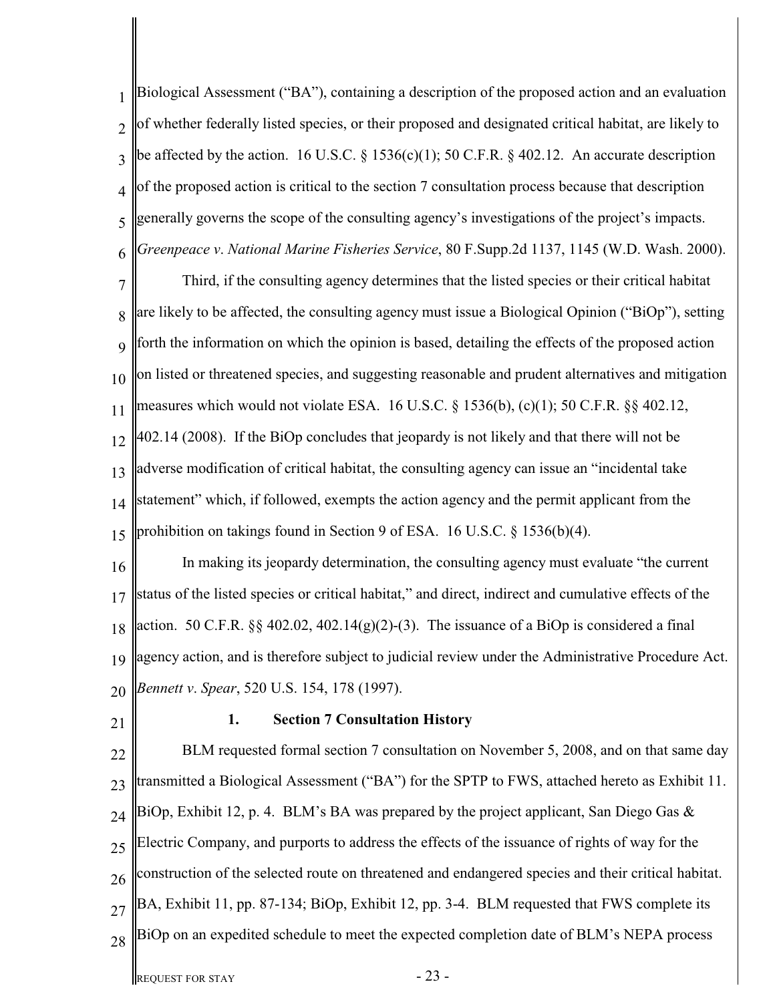1  $\overline{\mathcal{L}}$ 3 4 5 6 Biological Assessment ("BA"), containing a description of the proposed action and an evaluation of whether federally listed species, or their proposed and designated critical habitat, are likely to be affected by the action. 16 U.S.C.  $\S 1536(c)(1)$ ; 50 C.F.R.  $\S 402.12$ . An accurate description of the proposed action is critical to the section 7 consultation process because that description generally governs the scope of the consulting agency's investigations of the project's impacts. *Greenpeace v*. *National Marine Fisheries Service*, 80 F.Supp.2d 1137, 1145 (W.D. Wash. 2000).

7 8 9 10 11 12 13 14 15 Third, if the consulting agency determines that the listed species or their critical habitat are likely to be affected, the consulting agency must issue a Biological Opinion ("BiOp"), setting forth the information on which the opinion is based, detailing the effects of the proposed action on listed or threatened species, and suggesting reasonable and prudent alternatives and mitigation measures which would not violate ESA. 16 U.S.C. § 1536(b), (c)(1); 50 C.F.R. §§ 402.12, 402.14 (2008). If the BiOp concludes that jeopardy is not likely and that there will not be adverse modification of critical habitat, the consulting agency can issue an "incidental take statement" which, if followed, exempts the action agency and the permit applicant from the prohibition on takings found in Section 9 of ESA. 16 U.S.C. § 1536(b)(4).

16 17 18 19 20 In making its jeopardy determination, the consulting agency must evaluate "the current status of the listed species or critical habitat," and direct, indirect and cumulative effects of the action. 50 C.F.R.  $\S\S 402.02$ , 402.14(g)(2)-(3). The issuance of a BiOp is considered a final agency action, and is therefore subject to judicial review under the Administrative Procedure Act. *Bennett v*. *Spear*, 520 U.S. 154, 178 (1997).

21

### **1. Section 7 Consultation History**

22 23 24 25 26 27 28 BLM requested formal section 7 consultation on November 5, 2008, and on that same day transmitted a Biological Assessment ("BA") for the SPTP to FWS, attached hereto as Exhibit 11. BiOp, Exhibit 12, p. 4. BLM's BA was prepared by the project applicant, San Diego Gas  $\&$ Electric Company, and purports to address the effects of the issuance of rights of way for the construction of the selected route on threatened and endangered species and their critical habitat. BA, Exhibit 11, pp. 87-134; BiOp, Exhibit 12, pp. 3-4. BLM requested that FWS complete its BiOp on an expedited schedule to meet the expected completion date of BLM's NEPA process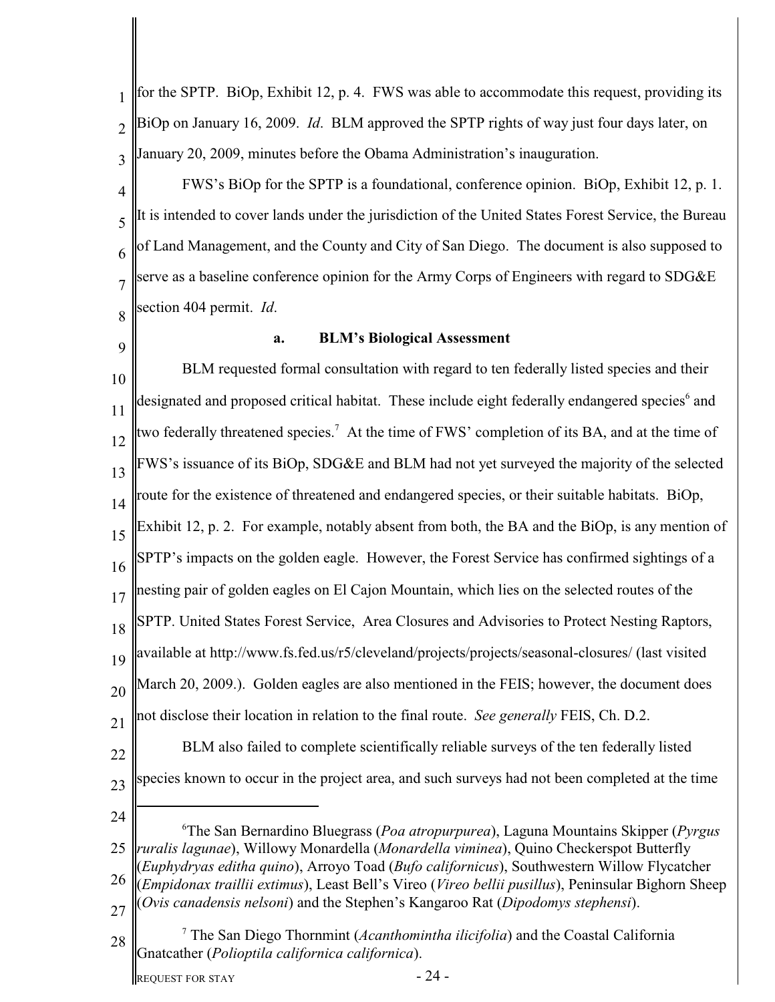1  $\overline{\mathcal{L}}$ 3 4 5 6 7 8 9 10 11 12 13 14 15 16 17 18 19 20 21 22 23 24 25 26 27 28 The San Bernardino Bluegrass (*Poa atropurpurea*), Laguna Mountains Skipper (*Pyrgus* <sup>6</sup> *ruralis lagunae*), Willowy Monardella (*Monardella viminea*), Quino Checkerspot Butterfly (*Euphydryas editha quino*), Arroyo Toad (*Bufo californicus*), Southwestern Willow Flycatcher (*Empidonax traillii extimus*), Least Bell's Vireo (*Vireo bellii pusillus*), Peninsular Bighorn Sheep (*Ovis canadensis nelsoni*) and the Stephen's Kangaroo Rat (*Dipodomys stephensi*). The San Diego Thornmint (*Acanthomintha ilicifolia*) and the Coastal California <sup>7</sup> Gnatcather (*Polioptila californica californica*). for the SPTP. BiOp, Exhibit 12, p. 4. FWS was able to accommodate this request, providing its BiOp on January 16, 2009. *Id*. BLM approved the SPTP rights of way just four days later, on January 20, 2009, minutes before the Obama Administration's inauguration. FWS's BiOp for the SPTP is a foundational, conference opinion. BiOp, Exhibit 12, p. 1. It is intended to cover lands under the jurisdiction of the United States Forest Service, the Bureau of Land Management, and the County and City of San Diego. The document is also supposed to serve as a baseline conference opinion for the Army Corps of Engineers with regard to SDG&E section 404 permit. *Id*. **a. BLM's Biological Assessment** BLM requested formal consultation with regard to ten federally listed species and their designated and proposed critical habitat. These include eight federally endangered species and two federally threatened species.<sup>7</sup> At the time of FWS' completion of its BA, and at the time of FWS's issuance of its BiOp, SDG&E and BLM had not yet surveyed the majority of the selected route for the existence of threatened and endangered species, or their suitable habitats. BiOp, Exhibit 12, p. 2. For example, notably absent from both, the BA and the BiOp, is any mention of SPTP's impacts on the golden eagle. However, the Forest Service has confirmed sightings of a nesting pair of golden eagles on El Cajon Mountain, which lies on the selected routes of the SPTP. United States Forest Service, Area Closures and Advisories to Protect Nesting Raptors, available at http://www.fs.fed.us/r5/cleveland/projects/projects/seasonal-closures/ (last visited March 20, 2009.). Golden eagles are also mentioned in the FEIS; however, the document does not disclose their location in relation to the final route. *See generally* FEIS, Ch. D.2. BLM also failed to complete scientifically reliable surveys of the ten federally listed species known to occur in the project area, and such surveys had not been completed at the time

REQUEST FOR STAY  $-24$  -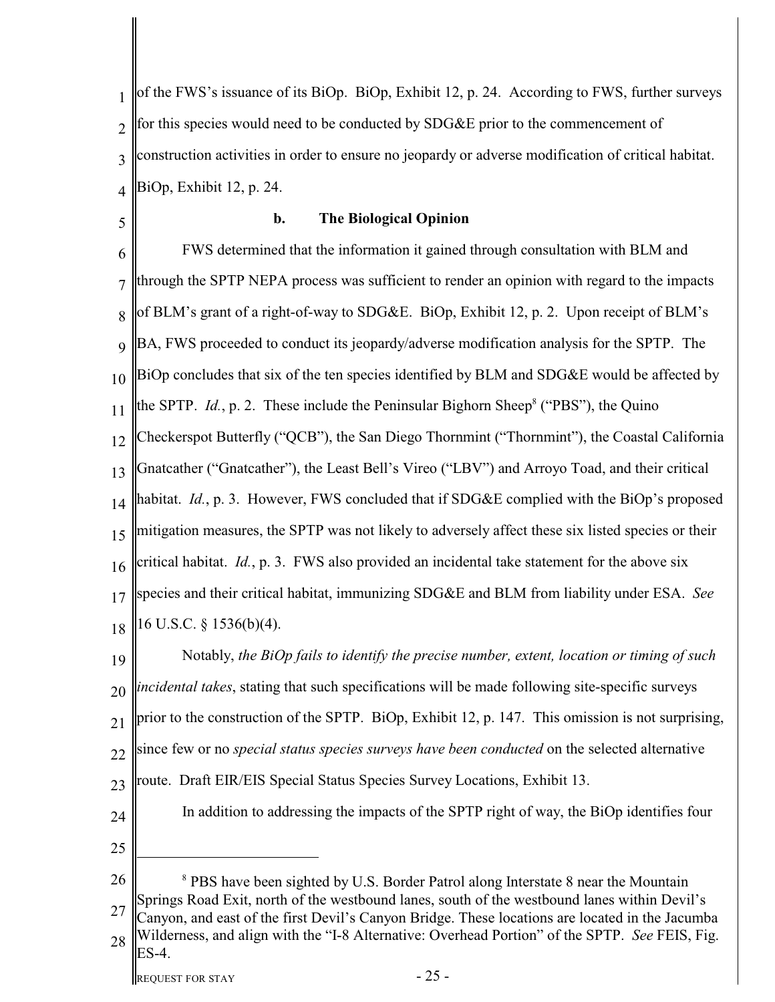1  $\mathfrak{D}$ 3 4 of the FWS's issuance of its BiOp. BiOp, Exhibit 12, p. 24. According to FWS, further surveys for this species would need to be conducted by SDG&E prior to the commencement of construction activities in order to ensure no jeopardy or adverse modification of critical habitat. BiOp, Exhibit 12, p. 24.

5

# **b. The Biological Opinion**

6 7 8 9 10 11 12 13 14 15 16 17 18 FWS determined that the information it gained through consultation with BLM and through the SPTP NEPA process was sufficient to render an opinion with regard to the impacts of BLM's grant of a right-of-way to SDG&E. BiOp, Exhibit 12, p. 2. Upon receipt of BLM's BA, FWS proceeded to conduct its jeopardy/adverse modification analysis for the SPTP. The BiOp concludes that six of the ten species identified by BLM and SDG&E would be affected by the SPTP. *Id.*, p. 2. These include the Peninsular Bighorn Sheep<sup>8</sup> ("PBS"), the Quino Checkerspot Butterfly ("QCB"), the San Diego Thornmint ("Thornmint"), the Coastal California Gnatcather ("Gnatcather"), the Least Bell's Vireo ("LBV") and Arroyo Toad, and their critical habitat. *Id.*, p. 3. However, FWS concluded that if SDG&E complied with the BiOp's proposed mitigation measures, the SPTP was not likely to adversely affect these six listed species or their critical habitat. *Id.*, p. 3. FWS also provided an incidental take statement for the above six species and their critical habitat, immunizing SDG&E and BLM from liability under ESA. *See* 16 U.S.C. § 1536(b)(4).

19 20 21 22 23 24 25 Notably, *the BiOp fails to identify the precise number, extent, location or timing of such incidental takes*, stating that such specifications will be made following site-specific surveys prior to the construction of the SPTP. BiOp, Exhibit 12, p. 147. This omission is not surprising, since few or no *special status species surveys have been conducted* on the selected alternative route. Draft EIR/EIS Special Status Species Survey Locations, Exhibit 13. In addition to addressing the impacts of the SPTP right of way, the BiOp identifies four

26 27 28 <sup>8</sup> PBS have been sighted by U.S. Border Patrol along Interstate 8 near the Mountain Springs Road Exit, north of the westbound lanes, south of the westbound lanes within Devil's Canyon, and east of the first Devil's Canyon Bridge. These locations are located in the Jacumba Wilderness, and align with the "I-8 Alternative: Overhead Portion" of the SPTP. *See* FEIS, Fig. ES-4.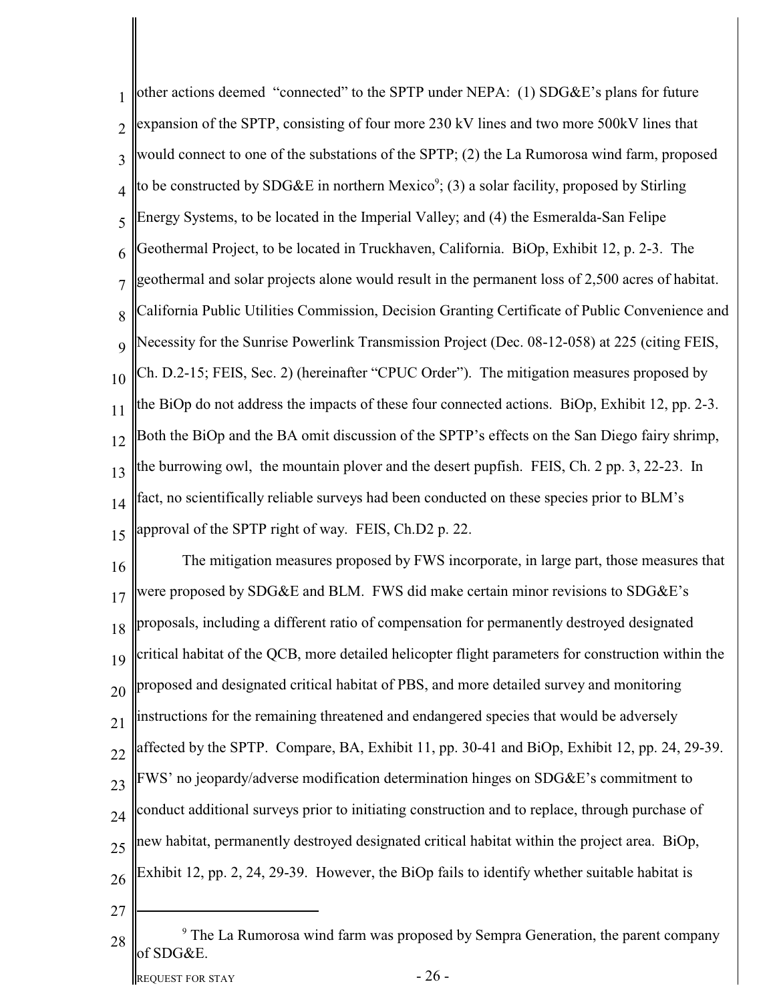| 1              | other actions deemed "connected" to the SPTP under NEPA: (1) SDG&E's plans for future                     |
|----------------|-----------------------------------------------------------------------------------------------------------|
| $\overline{2}$ | expansion of the SPTP, consisting of four more 230 kV lines and two more 500kV lines that                 |
| 3              | would connect to one of the substations of the SPTP; (2) the La Rumorosa wind farm, proposed              |
| 4              | to be constructed by SDG&E in northern Mexico <sup>9</sup> ; (3) a solar facility, proposed by Stirling   |
| 5              | Energy Systems, to be located in the Imperial Valley; and (4) the Esmeralda-San Felipe                    |
| 6              | Geothermal Project, to be located in Truckhaven, California. BiOp, Exhibit 12, p. 2-3. The                |
| $\overline{7}$ | geothermal and solar projects alone would result in the permanent loss of 2,500 acres of habitat.         |
| 8              | California Public Utilities Commission, Decision Granting Certificate of Public Convenience and           |
| 9              | Necessity for the Sunrise Powerlink Transmission Project (Dec. 08-12-058) at 225 (citing FEIS,            |
| 10             | Ch. D.2-15; FEIS, Sec. 2) (hereinafter "CPUC Order"). The mitigation measures proposed by                 |
| 11             | the BiOp do not address the impacts of these four connected actions. BiOp, Exhibit 12, pp. 2-3.           |
| 12             | Both the BiOp and the BA omit discussion of the SPTP's effects on the San Diego fairy shrimp,             |
| 13             | the burrowing owl, the mountain plover and the desert pupfish. FEIS, Ch. 2 pp. 3, 22-23. In               |
| 14             | fact, no scientifically reliable surveys had been conducted on these species prior to BLM's               |
| 15             | approval of the SPTP right of way. FEIS, Ch.D2 p. 22.                                                     |
| 16             | The mitigation measures proposed by FWS incorporate, in large part, those measures that                   |
| 17             | were proposed by SDG&E and BLM. FWS did make certain minor revisions to SDG&E's                           |
| 18             | proposals, including a different ratio of compensation for permanently destroyed designated               |
| 19             | critical habitat of the QCB, more detailed helicopter flight parameters for construction within the       |
| 20             | proposed and designated critical habitat of PBS, and more detailed survey and monitoring                  |
| 21             | instructions for the remaining threatened and endangered species that would be adversely                  |
| 22             | affected by the SPTP. Compare, BA, Exhibit 11, pp. 30-41 and BiOp, Exhibit 12, pp. 24, 29-39.             |
| 23             | FWS' no jeopardy/adverse modification determination hinges on SDG&E's commitment to                       |
| 24             | conduct additional surveys prior to initiating construction and to replace, through purchase of           |
| 25             | new habitat, permanently destroyed designated critical habitat within the project area. BiOp,             |
| 26             | Exhibit 12, pp. 2, 24, 29-39. However, the BiOp fails to identify whether suitable habitat is             |
| 27             |                                                                                                           |
| 28             | <sup>9</sup> The La Rumorosa wind farm was proposed by Sempra Generation, the parent company<br>of SDG&E. |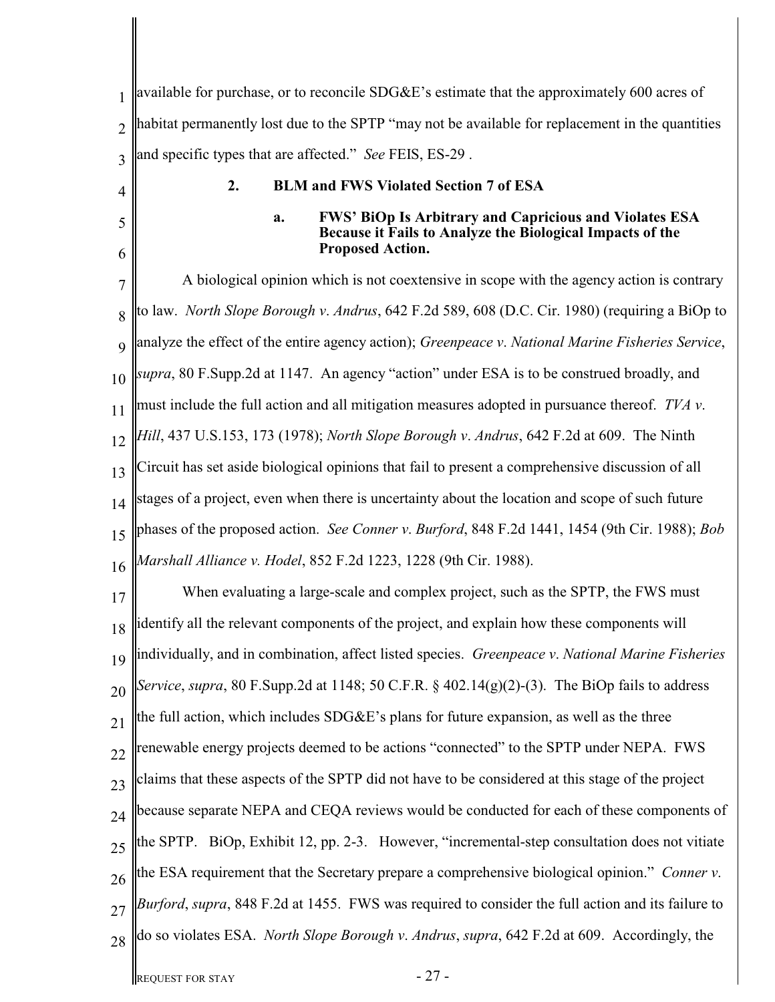|                 | available for purchase, or to reconcile SDG&E's estimate that the approximately 600 acres of                                                                |  |  |
|-----------------|-------------------------------------------------------------------------------------------------------------------------------------------------------------|--|--|
| $\overline{2}$  | habitat permanently lost due to the SPTP "may not be available for replacement in the quantities                                                            |  |  |
| 3               | and specific types that are affected." See FEIS, ES-29.                                                                                                     |  |  |
| 4               | 2.<br><b>BLM and FWS Violated Section 7 of ESA</b>                                                                                                          |  |  |
| 5<br>6          | <b>FWS' BiOp Is Arbitrary and Capricious and Violates ESA</b><br>a.<br>Because it Fails to Analyze the Biological Impacts of the<br><b>Proposed Action.</b> |  |  |
| 7               | A biological opinion which is not coextensive in scope with the agency action is contrary                                                                   |  |  |
| 8               | to law. <i>North Slope Borough v. Andrus</i> , 642 F.2d 589, 608 (D.C. Cir. 1980) (requiring a BiOp to                                                      |  |  |
| $\mathbf Q$     | analyze the effect of the entire agency action); Greenpeace v. National Marine Fisheries Service,                                                           |  |  |
| 10              | supra, 80 F.Supp.2d at 1147. An agency "action" under ESA is to be construed broadly, and                                                                   |  |  |
| 11              | must include the full action and all mitigation measures adopted in pursuance thereof. TVA v.                                                               |  |  |
| 12              | Hill, 437 U.S.153, 173 (1978); North Slope Borough v. Andrus, 642 F.2d at 609. The Ninth                                                                    |  |  |
| 13              | Circuit has set aside biological opinions that fail to present a comprehensive discussion of all                                                            |  |  |
| 14              | stages of a project, even when there is uncertainty about the location and scope of such future                                                             |  |  |
| 15              | phases of the proposed action. See Conner v. Burford, 848 F.2d 1441, 1454 (9th Cir. 1988); Bob                                                              |  |  |
| 16              | Marshall Alliance v. Hodel, 852 F.2d 1223, 1228 (9th Cir. 1988).                                                                                            |  |  |
| 17              | When evaluating a large-scale and complex project, such as the SPTP, the FWS must                                                                           |  |  |
| 18              | dentify all the relevant components of the project, and explain how these components will                                                                   |  |  |
| 19              | individually, and in combination, affect listed species. Greenpeace v. National Marine Fisheries                                                            |  |  |
| 20              | Service, supra, 80 F.Supp.2d at 1148; 50 C.F.R. § 402.14(g)(2)-(3). The BiOp fails to address                                                               |  |  |
| $\overline{21}$ | the full action, which includes SDG&E's plans for future expansion, as well as the three                                                                    |  |  |
| 22              | renewable energy projects deemed to be actions "connected" to the SPTP under NEPA. FWS                                                                      |  |  |
| 23              | claims that these aspects of the SPTP did not have to be considered at this stage of the project                                                            |  |  |
| 24              | because separate NEPA and CEQA reviews would be conducted for each of these components of                                                                   |  |  |
| 25              | the SPTP. BiOp, Exhibit 12, pp. 2-3. However, "incremental-step consultation does not vitiate                                                               |  |  |
| 26              | the ESA requirement that the Secretary prepare a comprehensive biological opinion." Conner v.                                                               |  |  |
| 27              | Burford, supra, 848 F.2d at 1455. FWS was required to consider the full action and its failure to                                                           |  |  |
| 28              | do so violates ESA. North Slope Borough v. Andrus, supra, 642 F.2d at 609. Accordingly, the                                                                 |  |  |
|                 | $-27-$<br><b>REQUEST FOR STAY</b>                                                                                                                           |  |  |

║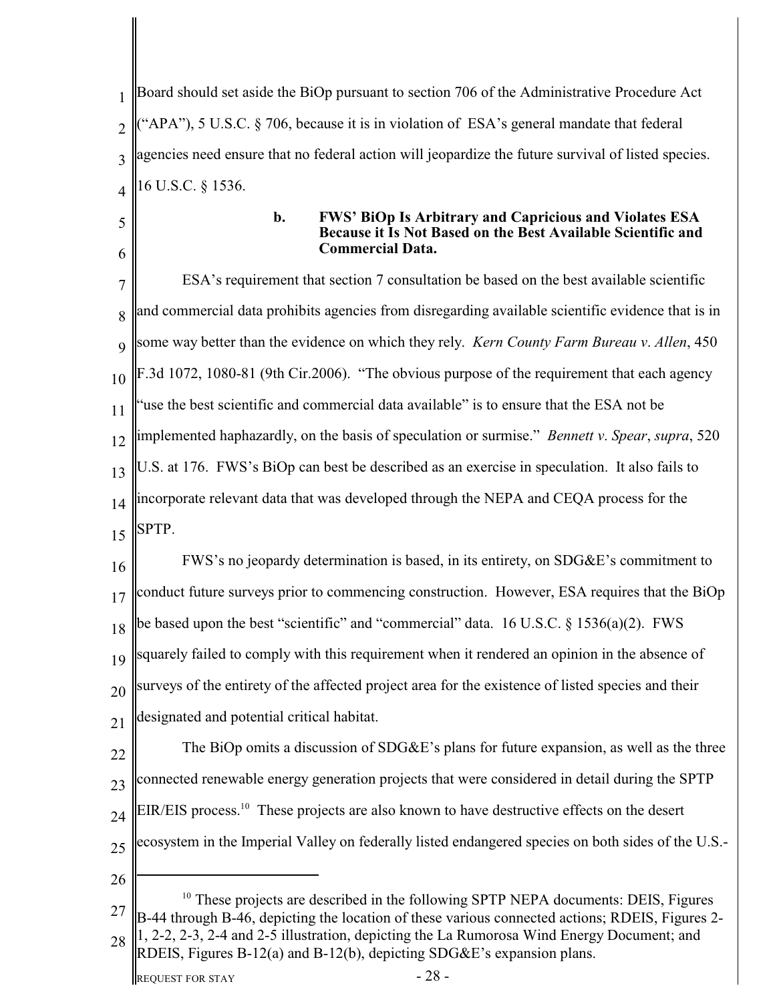1  $\overline{\mathcal{L}}$ 3 4 5 Board should set aside the BiOp pursuant to section 706 of the Administrative Procedure Act  $(APA)$ , 5 U.S.C. § 706, because it is in violation of ESA's general mandate that federal agencies need ensure that no federal action will jeopardize the future survival of listed species. 16 U.S.C. § 1536.

6

### **b. FWS' BiOp Is Arbitrary and Capricious and Violates ESA Because it Is Not Based on the Best Available Scientific and Commercial Data.**

7 8 9 10 11 12 13 14 15 16 17 18 19 20 ESA's requirement that section 7 consultation be based on the best available scientific and commercial data prohibits agencies from disregarding available scientific evidence that is in some way better than the evidence on which they rely. *Kern County Farm Bureau v*. *Allen*, 450 F.3d 1072, 1080-81 (9th Cir.2006). "The obvious purpose of the requirement that each agency use the best scientific and commercial data available" is to ensure that the ESA not be implemented haphazardly, on the basis of speculation or surmise." *Bennett v*. *Spear*, *supra*, 520 U.S. at 176. FWS's BiOp can best be described as an exercise in speculation. It also fails to incorporate relevant data that was developed through the NEPA and CEQA process for the SPTP. FWS's no jeopardy determination is based, in its entirety, on SDG&E's commitment to conduct future surveys prior to commencing construction. However, ESA requires that the BiOp be based upon the best "scientific" and "commercial" data. 16 U.S.C. § 1536(a)(2). FWS squarely failed to comply with this requirement when it rendered an opinion in the absence of surveys of the entirety of the affected project area for the existence of listed species and their

21 designated and potential critical habitat.

22 23 24 25 The BiOp omits a discussion of SDG&E's plans for future expansion, as well as the three connected renewable energy generation projects that were considered in detail during the SPTP EIR/EIS process.<sup>10</sup> These projects are also known to have destructive effects on the desert ecosystem in the Imperial Valley on federally listed endangered species on both sides of the U.S.-

26

<sup>27</sup> 28  $10$  These projects are described in the following SPTP NEPA documents: DEIS, Figures B-44 through B-46, depicting the location of these various connected actions; RDEIS, Figures 2- 1, 2-2, 2-3, 2-4 and 2-5 illustration, depicting the La Rumorosa Wind Energy Document; and RDEIS, Figures B-12(a) and B-12(b), depicting SDG&E's expansion plans.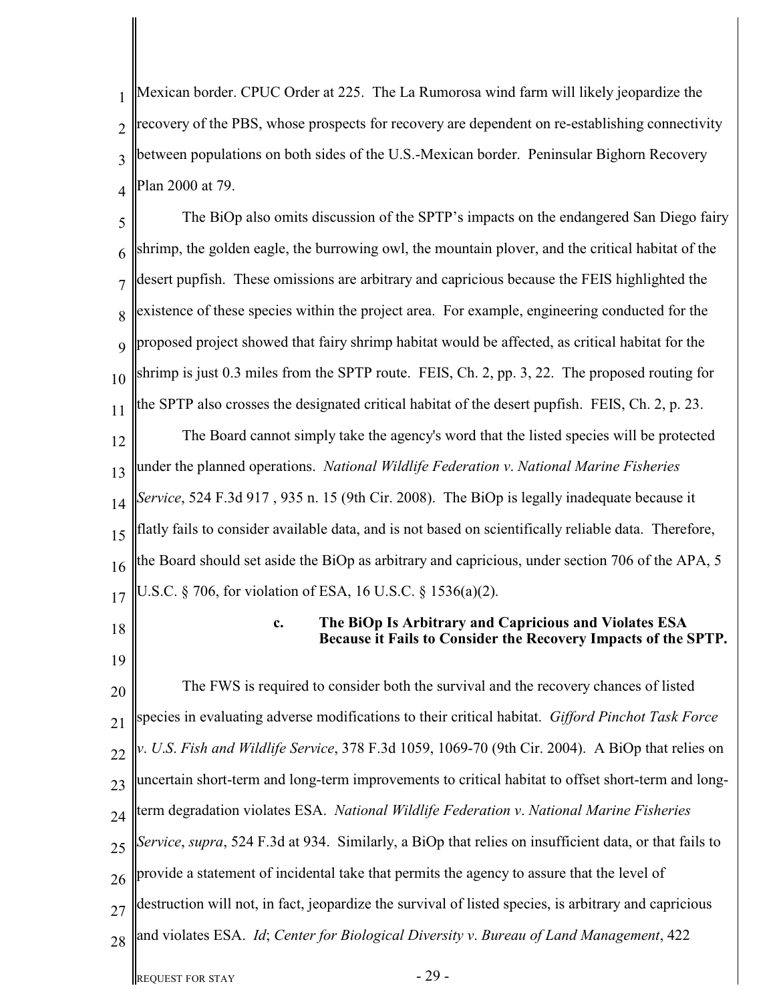1  $\overline{\mathcal{L}}$ 3 4 Mexican border. CPUC Order at 225. The La Rumorosa wind farm will likely jeopardize the recovery of the PBS, whose prospects for recovery are dependent on re-establishing connectivity between populations on both sides of the U.S.-Mexican border. Peninsular Bighorn Recovery Plan 2000 at 79.

5 6 7 8 9 10 11 12 13 14 15 16 17 The BiOp also omits discussion of the SPTP's impacts on the endangered San Diego fairy shrimp, the golden eagle, the burrowing owl, the mountain plover, and the critical habitat of the desert pupfish. These omissions are arbitrary and capricious because the FEIS highlighted the existence of these species within the project area. For example, engineering conducted for the proposed project showed that fairy shrimp habitat would be affected, as critical habitat for the shrimp is just 0.3 miles from the SPTP route. FEIS, Ch. 2, pp. 3, 22. The proposed routing for the SPTP also crosses the designated critical habitat of the desert pupfish. FEIS, Ch. 2, p. 23. The Board cannot simply take the agency's word that the listed species will be protected under the planned operations. *National Wildlife Federation v*. *National Marine Fisheries Service*, 524 F.3d 917 , 935 n. 15 (9th Cir. 2008). The BiOp is legally inadequate because it flatly fails to consider available data, and is not based on scientifically reliable data. Therefore, he Board should set aside the BiOp as arbitrary and capricious, under section 706 of the APA, 5 U.S.C. § 706, for violation of ESA, 16 U.S.C. § 1536(a)(2).

18

19

# **c. The BiOp Is Arbitrary and Capricious and Violates ESA Because it Fails to Consider the Recovery Impacts of the SPTP.**

20 21 22 23 24 25 26 27 28 The FWS is required to consider both the survival and the recovery chances of listed species in evaluating adverse modifications to their critical habitat. *Gifford Pinchot Task Force v*. *U*.*S*. *Fish and Wildlife Service*, 378 F.3d 1059, 1069-70 (9th Cir. 2004). A BiOp that relies on uncertain short-term and long-term improvements to critical habitat to offset short-term and longterm degradation violates ESA. *National Wildlife Federation v*. *National Marine Fisheries Service*, *supra*, 524 F.3d at 934. Similarly, a BiOp that relies on insufficient data, or that fails to provide a statement of incidental take that permits the agency to assure that the level of destruction will not, in fact, jeopardize the survival of listed species, is arbitrary and capricious and violates ESA. *Id*; *Center for Biological Diversity v*. *Bureau of Land Management*, 422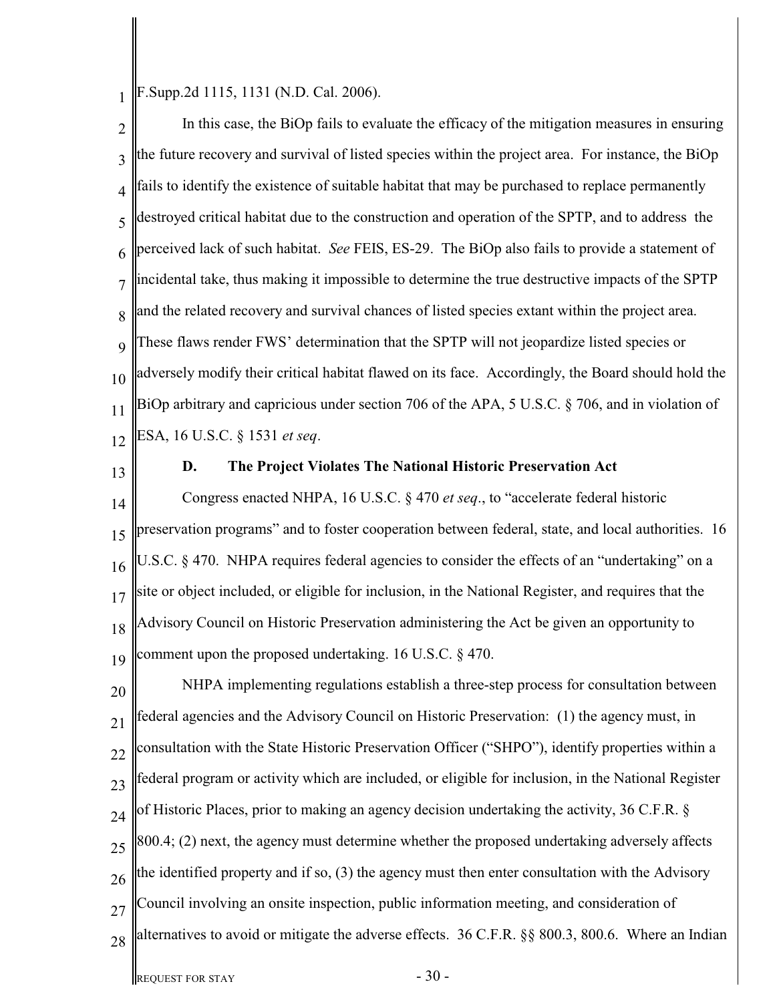1 F.Supp.2d 1115, 1131 (N.D. Cal. 2006).

2 3 4 5 6 7 8 9 10 11 12 In this case, the BiOp fails to evaluate the efficacy of the mitigation measures in ensuring the future recovery and survival of listed species within the project area. For instance, the BiOp fails to identify the existence of suitable habitat that may be purchased to replace permanently destroyed critical habitat due to the construction and operation of the SPTP, and to address the perceived lack of such habitat. *See* FEIS, ES-29. The BiOp also fails to provide a statement of incidental take, thus making it impossible to determine the true destructive impacts of the SPTP and the related recovery and survival chances of listed species extant within the project area. These flaws render FWS' determination that the SPTP will not jeopardize listed species or adversely modify their critical habitat flawed on its face. Accordingly, the Board should hold the BiOp arbitrary and capricious under section 706 of the APA, 5 U.S.C. § 706, and in violation of ESA, 16 U.S.C. § 1531 *et seq*.

13

#### **D. The Project Violates The National Historic Preservation Act**

14 15 16 17 18 19 Congress enacted NHPA, 16 U.S.C. § 470 *et seq*., to "accelerate federal historic preservation programs" and to foster cooperation between federal, state, and local authorities. 16 U.S.C. § 470. NHPA requires federal agencies to consider the effects of an "undertaking" on a site or object included, or eligible for inclusion, in the National Register, and requires that the Advisory Council on Historic Preservation administering the Act be given an opportunity to comment upon the proposed undertaking. 16 U.S.C. § 470.

20 21 22 23 24 25 26 27 28 NHPA implementing regulations establish a three-step process for consultation between federal agencies and the Advisory Council on Historic Preservation: (1) the agency must, in consultation with the State Historic Preservation Officer ("SHPO"), identify properties within a federal program or activity which are included, or eligible for inclusion, in the National Register of Historic Places, prior to making an agency decision undertaking the activity, 36 C.F.R. § 800.4; (2) next, the agency must determine whether the proposed undertaking adversely affects the identified property and if so, (3) the agency must then enter consultation with the Advisory Council involving an onsite inspection, public information meeting, and consideration of alternatives to avoid or mitigate the adverse effects. 36 C.F.R. §§ 800.3, 800.6. Where an Indian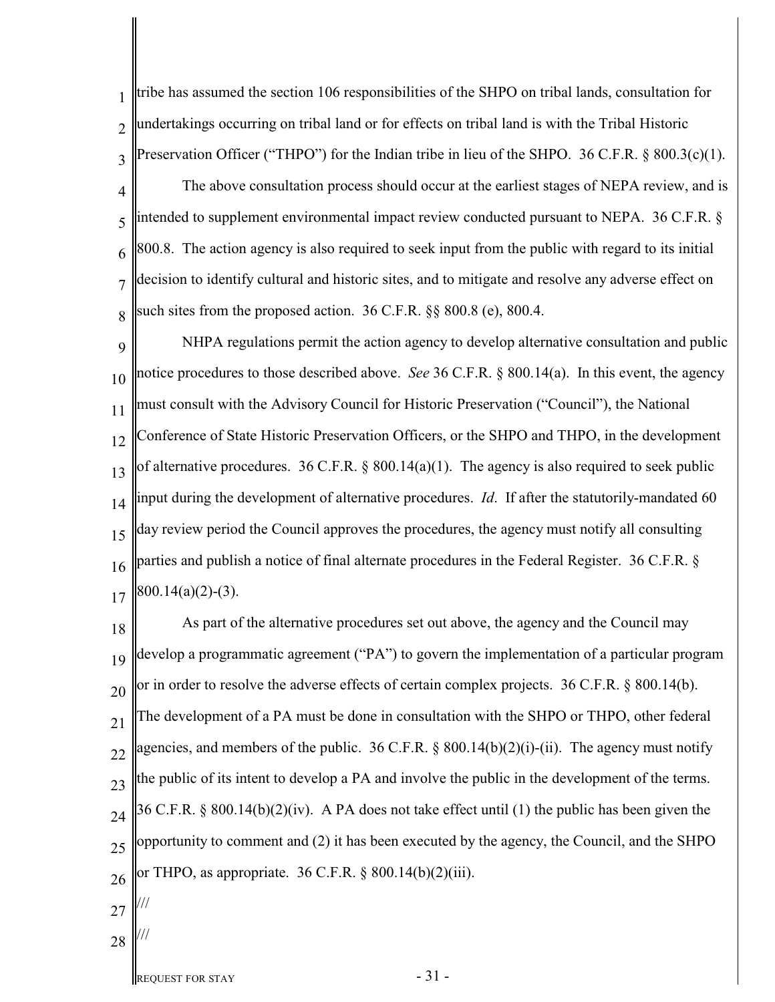1  $\overline{\mathcal{L}}$ 3 4 5 6 7 8 tribe has assumed the section 106 responsibilities of the SHPO on tribal lands, consultation for undertakings occurring on tribal land or for effects on tribal land is with the Tribal Historic Preservation Officer ("THPO") for the Indian tribe in lieu of the SHPO. 36 C.F.R. § 800.3(c)(1). The above consultation process should occur at the earliest stages of NEPA review, and is intended to supplement environmental impact review conducted pursuant to NEPA. 36 C.F.R. § 800.8. The action agency is also required to seek input from the public with regard to its initial decision to identify cultural and historic sites, and to mitigate and resolve any adverse effect on such sites from the proposed action. 36 C.F.R. §§ 800.8 (e), 800.4.

9 10 11 12 13 14 15 16 17 NHPA regulations permit the action agency to develop alternative consultation and public notice procedures to those described above. *See* 36 C.F.R. § 800.14(a). In this event, the agency must consult with the Advisory Council for Historic Preservation ("Council"), the National Conference of State Historic Preservation Officers, or the SHPO and THPO, in the development of alternative procedures. 36 C.F.R. § 800.14(a)(1). The agency is also required to seek public input during the development of alternative procedures. *Id*. If after the statutorily-mandated 60 day review period the Council approves the procedures, the agency must notify all consulting parties and publish a notice of final alternate procedures in the Federal Register. 36 C.F.R. § 800.14(a)(2)-(3).

18 19 20 21 22 23 24 25 26 As part of the alternative procedures set out above, the agency and the Council may develop a programmatic agreement ("PA") to govern the implementation of a particular program or in order to resolve the adverse effects of certain complex projects. 36 C.F.R. § 800.14(b). The development of a PA must be done in consultation with the SHPO or THPO, other federal agencies, and members of the public. 36 C.F.R.  $\S$  800.14(b)(2)(i)-(ii). The agency must notify the public of its intent to develop a PA and involve the public in the development of the terms. 36 C.F.R. § 800.14(b)(2)(iv). A PA does not take effect until (1) the public has been given the opportunity to comment and (2) it has been executed by the agency, the Council, and the SHPO or THPO, as appropriate. 36 C.F.R. § 800.14(b)(2)(iii).

27

///

///

- 28
	-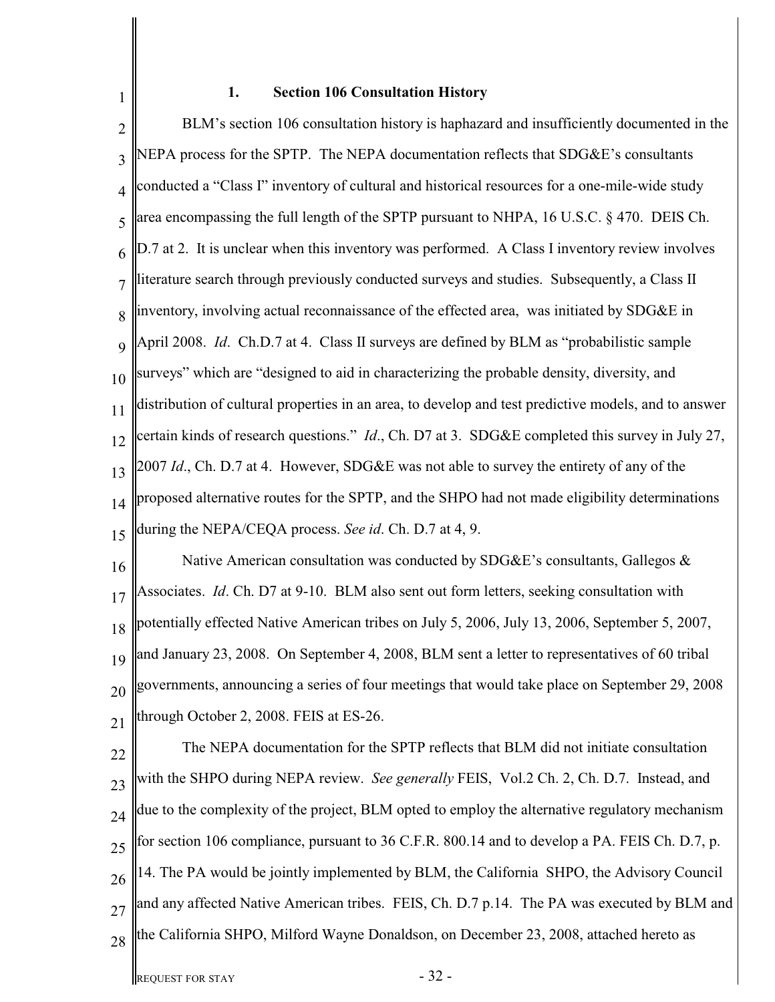# **1. Section 106 Consultation History**

1

2 3 4 5 6 7 8 9 10 11 12 13 14 15 16 BLM's section 106 consultation history is haphazard and insufficiently documented in the NEPA process for the SPTP. The NEPA documentation reflects that SDG&E's consultants conducted a "Class I" inventory of cultural and historical resources for a one-mile-wide study area encompassing the full length of the SPTP pursuant to NHPA, 16 U.S.C. § 470. DEIS Ch. D.7 at 2. It is unclear when this inventory was performed. A Class I inventory review involves literature search through previously conducted surveys and studies. Subsequently, a Class II inventory, involving actual reconnaissance of the effected area, was initiated by SDG&E in April 2008. *Id*. Ch.D.7 at 4. Class II surveys are defined by BLM as "probabilistic sample surveys" which are "designed to aid in characterizing the probable density, diversity, and distribution of cultural properties in an area, to develop and test predictive models, and to answer certain kinds of research questions." *Id*., Ch. D7 at 3. SDG&E completed this survey in July 27, 2007 *Id*., Ch. D.7 at 4. However, SDG&E was not able to survey the entirety of any of the proposed alternative routes for the SPTP, and the SHPO had not made eligibility determinations during the NEPA/CEQA process. *See id*. Ch. D.7 at 4, 9. Native American consultation was conducted by SDG&E's consultants, Gallegos &

17 18 19 20 21 Associates. *Id*. Ch. D7 at 9-10. BLM also sent out form letters, seeking consultation with potentially effected Native American tribes on July 5, 2006, July 13, 2006, September 5, 2007, and January 23, 2008. On September 4, 2008, BLM sent a letter to representatives of 60 tribal governments, announcing a series of four meetings that would take place on September 29, 2008 through October 2, 2008. FEIS at ES-26.

22 23 24 25 26 27 28 The NEPA documentation for the SPTP reflects that BLM did not initiate consultation with the SHPO during NEPA review. *See generally* FEIS, Vol.2 Ch. 2, Ch. D.7. Instead, and due to the complexity of the project, BLM opted to employ the alternative regulatory mechanism for section 106 compliance, pursuant to 36 C.F.R. 800.14 and to develop a PA. FEIS Ch. D.7, p. 14. The PA would be jointly implemented by BLM, the California SHPO, the Advisory Council and any affected Native American tribes. FEIS, Ch. D.7 p.14. The PA was executed by BLM and the California SHPO, Milford Wayne Donaldson, on December 23, 2008, attached hereto as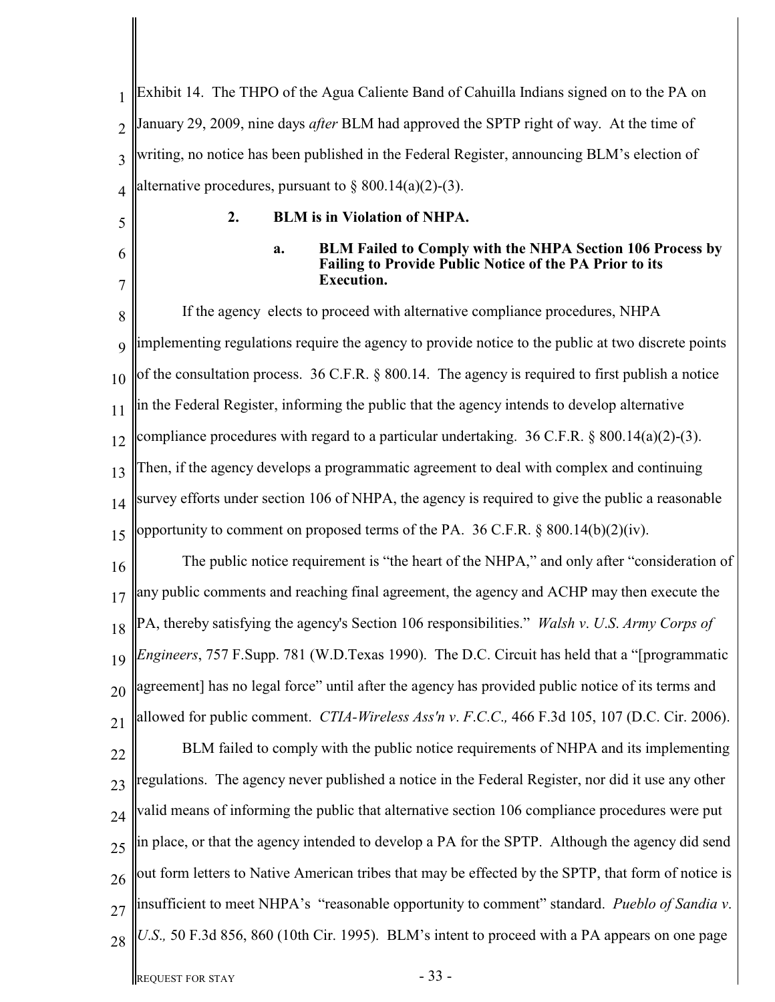| $\mathbf{1}$   | Exhibit 14. The THPO of the Agua Caliente Band of Cahuilla Indians signed on to the PA on                                                                     |
|----------------|---------------------------------------------------------------------------------------------------------------------------------------------------------------|
| $\overline{2}$ | January 29, 2009, nine days after BLM had approved the SPTP right of way. At the time of                                                                      |
| 3              | writing, no notice has been published in the Federal Register, announcing BLM's election of                                                                   |
| 4              | alternative procedures, pursuant to $\S 800.14(a)(2)-(3)$ .                                                                                                   |
| 5              | 2.<br><b>BLM</b> is in Violation of NHPA.                                                                                                                     |
| 6<br>7         | <b>BLM Failed to Comply with the NHPA Section 106 Process by</b><br>a.<br><b>Failing to Provide Public Notice of the PA Prior to its</b><br><b>Execution.</b> |
| 8              | If the agency elects to proceed with alternative compliance procedures, NHPA                                                                                  |
| 9              | implementing regulations require the agency to provide notice to the public at two discrete points                                                            |
| 10             | of the consultation process. 36 C.F.R. § 800.14. The agency is required to first publish a notice                                                             |
| 11             | in the Federal Register, informing the public that the agency intends to develop alternative                                                                  |
| 12             | compliance procedures with regard to a particular undertaking. 36 C.F.R. § 800.14(a)(2)-(3).                                                                  |
| 13             | Then, if the agency develops a programmatic agreement to deal with complex and continuing                                                                     |
| 14             | survey efforts under section 106 of NHPA, the agency is required to give the public a reasonable                                                              |
| 15             | opportunity to comment on proposed terms of the PA. $36$ C.F.R. $\S$ 800.14(b)(2)(iv).                                                                        |
| 16             | The public notice requirement is "the heart of the NHPA," and only after "consideration of                                                                    |
| 17             | any public comments and reaching final agreement, the agency and ACHP may then execute the                                                                    |
| 18             | PA, thereby satisfying the agency's Section 106 responsibilities." Walsh v. U.S. Army Corps of                                                                |
| 19             | Engineers, 757 F.Supp. 781 (W.D.Texas 1990). The D.C. Circuit has held that a "[programmatic                                                                  |
| 20             | agreement] has no legal force" until after the agency has provided public notice of its terms and                                                             |
| 21             | allowed for public comment. CTIA-Wireless Ass'n v. F.C.C., 466 F.3d 105, 107 (D.C. Cir. 2006).                                                                |
| 22             | BLM failed to comply with the public notice requirements of NHPA and its implementing                                                                         |
| 23             | regulations. The agency never published a notice in the Federal Register, nor did it use any other                                                            |
| 24             | valid means of informing the public that alternative section 106 compliance procedures were put                                                               |
| 25             | in place, or that the agency intended to develop a PA for the SPTP. Although the agency did send                                                              |
| 26             | out form letters to Native American tribes that may be effected by the SPTP, that form of notice is                                                           |
| 27             | insufficient to meet NHPA's "reasonable opportunity to comment" standard. Pueblo of Sandia v.                                                                 |
| 28             | U.S., 50 F.3d 856, 860 (10th Cir. 1995). BLM's intent to proceed with a PA appears on one page                                                                |
|                | $-33-$<br><b>REQUEST FOR STAY</b>                                                                                                                             |

║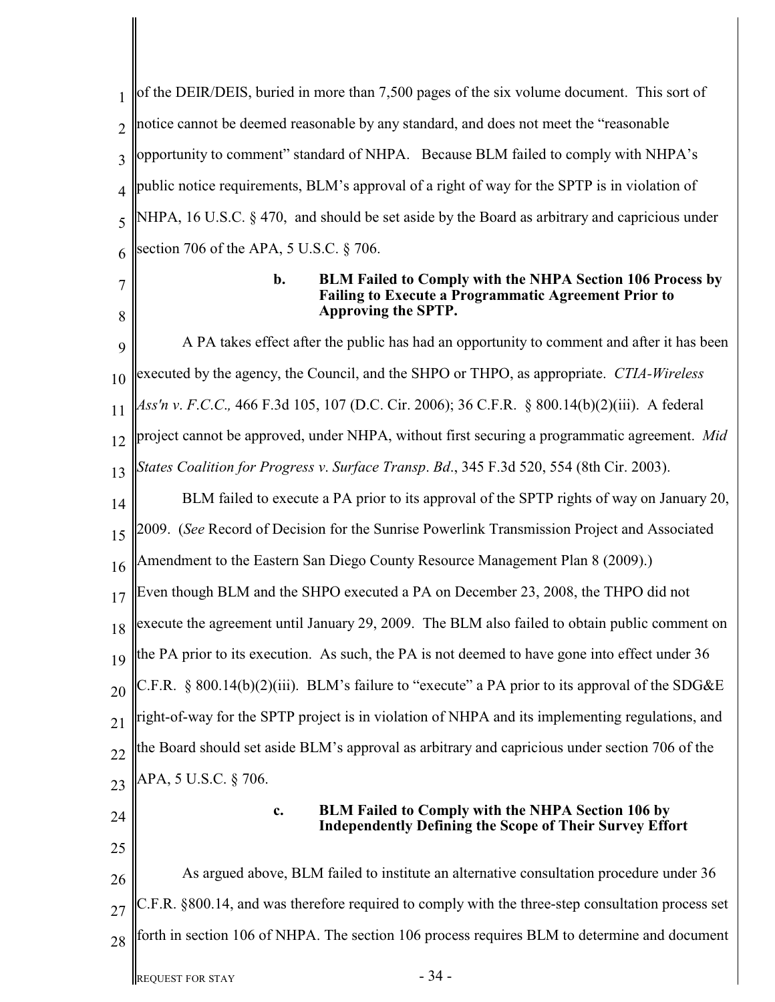1  $\mathfrak{D}$ 3 4 5 6 7 8 9 10 11 12 13 14 15 16 17 18 19 20 21 22 23 24 25 26 27 28 of the DEIR/DEIS, buried in more than 7,500 pages of the six volume document. This sort of notice cannot be deemed reasonable by any standard, and does not meet the "reasonable opportunity to comment" standard of NHPA. Because BLM failed to comply with NHPA's public notice requirements, BLM's approval of a right of way for the SPTP is in violation of NHPA, 16 U.S.C. § 470, and should be set aside by the Board as arbitrary and capricious under section 706 of the APA, 5 U.S.C. § 706. **b. BLM Failed to Comply with the NHPA Section 106 Process by Failing to Execute a Programmatic Agreement Prior to Approving the SPTP.**  A PA takes effect after the public has had an opportunity to comment and after it has been executed by the agency, the Council, and the SHPO or THPO, as appropriate. *CTIA-Wireless Ass'n v*. *F*.*C*.*C*.*,* 466 F.3d 105, 107 (D.C. Cir. 2006); 36 C.F.R. § 800.14(b)(2)(iii). A federal project cannot be approved, under NHPA, without first securing a programmatic agreement. *Mid States Coalition for Progress v*. *Surface Transp*. *Bd*., 345 F.3d 520, 554 (8th Cir. 2003). BLM failed to execute a PA prior to its approval of the SPTP rights of way on January 20, 2009. (*See* Record of Decision for the Sunrise Powerlink Transmission Project and Associated Amendment to the Eastern San Diego County Resource Management Plan 8 (2009).) Even though BLM and the SHPO executed a PA on December 23, 2008, the THPO did not execute the agreement until January 29, 2009. The BLM also failed to obtain public comment on the PA prior to its execution. As such, the PA is not deemed to have gone into effect under 36 C.F.R. § 800.14(b)(2)(iii). BLM's failure to "execute" a PA prior to its approval of the SDG&E right-of-way for the SPTP project is in violation of NHPA and its implementing regulations, and the Board should set aside BLM's approval as arbitrary and capricious under section 706 of the APA, 5 U.S.C. § 706. **c. BLM Failed to Comply with the NHPA Section 106 by Independently Defining the Scope of Their Survey Effort** As argued above, BLM failed to institute an alternative consultation procedure under 36 C.F.R. §800.14, and was therefore required to comply with the three-step consultation process set forth in section 106 of NHPA. The section 106 process requires BLM to determine and document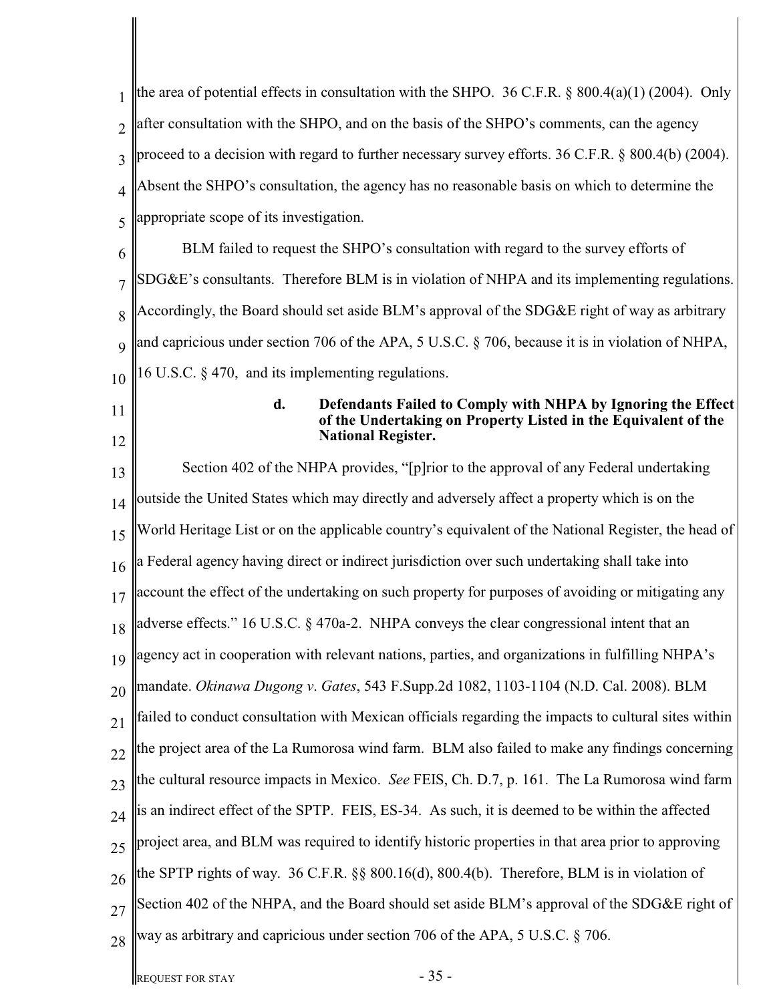| 1               | the area of potential effects in consultation with the SHPO. 36 C.F.R. $\S$ 800.4(a)(1) (2004). Only                                 |  |  |
|-----------------|--------------------------------------------------------------------------------------------------------------------------------------|--|--|
| $\overline{2}$  | after consultation with the SHPO, and on the basis of the SHPO's comments, can the agency                                            |  |  |
| 3               | proceed to a decision with regard to further necessary survey efforts. 36 C.F.R. § 800.4(b) (2004).                                  |  |  |
| 4               | Absent the SHPO's consultation, the agency has no reasonable basis on which to determine the                                         |  |  |
| 5               | appropriate scope of its investigation.                                                                                              |  |  |
| 6               | BLM failed to request the SHPO's consultation with regard to the survey efforts of                                                   |  |  |
| $\overline{7}$  | $SDG\&E$ 's consultants. Therefore BLM is in violation of NHPA and its implementing regulations.                                     |  |  |
| 8               | Accordingly, the Board should set aside BLM's approval of the SDG&E right of way as arbitrary                                        |  |  |
| 9               | and capricious under section 706 of the APA, 5 U.S.C. § 706, because it is in violation of NHPA,                                     |  |  |
| 10              | 16 U.S.C. § 470, and its implementing regulations.                                                                                   |  |  |
| 11              | d.<br>Defendants Failed to Comply with NHPA by Ignoring the Effect<br>of the Undertaking on Property Listed in the Equivalent of the |  |  |
| 12              | <b>National Register.</b>                                                                                                            |  |  |
| 13              | Section 402 of the NHPA provides, "[p]rior to the approval of any Federal undertaking                                                |  |  |
| 14              | outside the United States which may directly and adversely affect a property which is on the                                         |  |  |
| 15              | World Heritage List or on the applicable country's equivalent of the National Register, the head of                                  |  |  |
| 16              | a Federal agency having direct or indirect jurisdiction over such undertaking shall take into                                        |  |  |
| 17              | account the effect of the undertaking on such property for purposes of avoiding or mitigating any                                    |  |  |
| 18              | adverse effects." 16 U.S.C. § 470a-2. NHPA conveys the clear congressional intent that an                                            |  |  |
| 19              | agency act in cooperation with relevant nations, parties, and organizations in fulfilling NHPA's                                     |  |  |
| 20              | mandate. Okinawa Dugong v. Gates, 543 F.Supp.2d 1082, 1103-1104 (N.D. Cal. 2008). BLM                                                |  |  |
| 21              | failed to conduct consultation with Mexican officials regarding the impacts to cultural sites within                                 |  |  |
| $\overline{22}$ | the project area of the La Rumorosa wind farm. BLM also failed to make any findings concerning                                       |  |  |
| 23              | the cultural resource impacts in Mexico. See FEIS, Ch. D.7, p. 161. The La Rumorosa wind farm                                        |  |  |
| 24              | is an indirect effect of the SPTP. FEIS, ES-34. As such, it is deemed to be within the affected                                      |  |  |
| 25              | project area, and BLM was required to identify historic properties in that area prior to approving                                   |  |  |
| 26              | the SPTP rights of way. 36 C.F.R. §§ 800.16(d), 800.4(b). Therefore, BLM is in violation of                                          |  |  |
| 27              | Section 402 of the NHPA, and the Board should set aside BLM's approval of the SDG&E right of                                         |  |  |
| 28              | way as arbitrary and capricious under section 706 of the APA, 5 U.S.C. § 706.                                                        |  |  |
|                 | $-35-$<br><b>REQUEST FOR STAY</b>                                                                                                    |  |  |

∥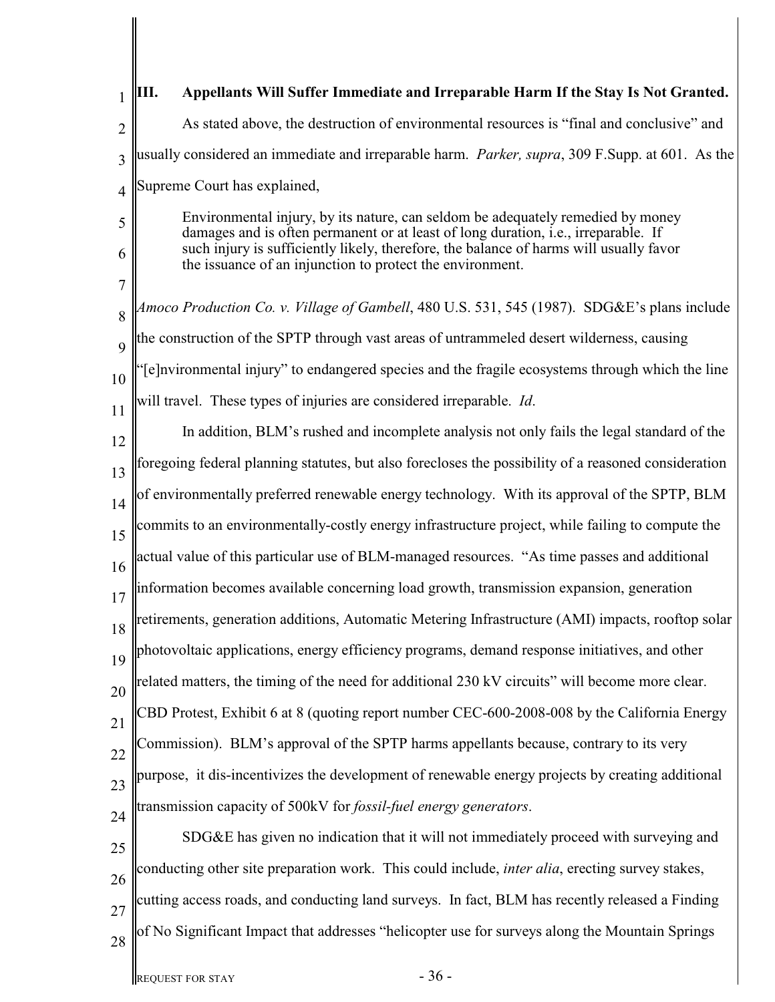|        | Appellants Will Suffer Immediate and Irreparable Harm If the Stay Is Not Granted.<br>Ш.                                                                                       |  |  |
|--------|-------------------------------------------------------------------------------------------------------------------------------------------------------------------------------|--|--|
| 2      | As stated above, the destruction of environmental resources is "final and conclusive" and                                                                                     |  |  |
| 3      | usually considered an immediate and irreparable harm. <i>Parker, supra</i> , 309 F.Supp. at 601. As the                                                                       |  |  |
| 4      | Supreme Court has explained,                                                                                                                                                  |  |  |
| 5      | Environmental injury, by its nature, can seldom be adequately remedied by money<br>damages and is often permanent or at least of long duration, <i>i.e.</i> , irreparable. If |  |  |
| 6      | such injury is sufficiently likely, therefore, the balance of harms will usually favor<br>the issuance of an injunction to protect the environment.                           |  |  |
| 7<br>8 | Amoco Production Co. v. Village of Gambell, 480 U.S. 531, 545 (1987). SDG&E's plans include                                                                                   |  |  |
| 9      | the construction of the SPTP through vast areas of untrammeled desert wilderness, causing                                                                                     |  |  |
| 10     | [e]nvironmental injury" to endangered species and the fragile ecosystems through which the line                                                                               |  |  |
| 11     | will travel. These types of injuries are considered irreparable. <i>Id.</i>                                                                                                   |  |  |
| 12     | In addition, BLM's rushed and incomplete analysis not only fails the legal standard of the                                                                                    |  |  |
| 13     | foregoing federal planning statutes, but also forecloses the possibility of a reasoned consideration                                                                          |  |  |
| 14     | of environmentally preferred renewable energy technology. With its approval of the SPTP, BLM                                                                                  |  |  |
| 15     | commits to an environmentally-costly energy infrastructure project, while failing to compute the                                                                              |  |  |
| 16     | actual value of this particular use of BLM-managed resources. "As time passes and additional                                                                                  |  |  |
| 17     | information becomes available concerning load growth, transmission expansion, generation                                                                                      |  |  |
| 18     | retirements, generation additions, Automatic Metering Infrastructure (AMI) impacts, rooftop solar                                                                             |  |  |
| 19     | photovoltaic applications, energy efficiency programs, demand response initiatives, and other                                                                                 |  |  |
| 20     | related matters, the timing of the need for additional 230 kV circuits" will become more clear.                                                                               |  |  |
| 21     | CBD Protest, Exhibit 6 at 8 (quoting report number CEC-600-2008-008 by the California Energy                                                                                  |  |  |
| 22     | Commission). BLM's approval of the SPTP harms appellants because, contrary to its very                                                                                        |  |  |
| 23     | purpose, it dis-incentivizes the development of renewable energy projects by creating additional                                                                              |  |  |
| 24     | transmission capacity of 500kV for <i>fossil-fuel energy generators</i> .                                                                                                     |  |  |
| 25     | SDG&E has given no indication that it will not immediately proceed with surveying and                                                                                         |  |  |
| 26     | conducting other site preparation work. This could include, <i>inter alia</i> , erecting survey stakes,                                                                       |  |  |
| 27     | cutting access roads, and conducting land surveys. In fact, BLM has recently released a Finding                                                                               |  |  |
| 28     | of No Significant Impact that addresses "helicopter use for surveys along the Mountain Springs                                                                                |  |  |
|        | $-36-$<br><b>REQUEST FOR STAY</b>                                                                                                                                             |  |  |

║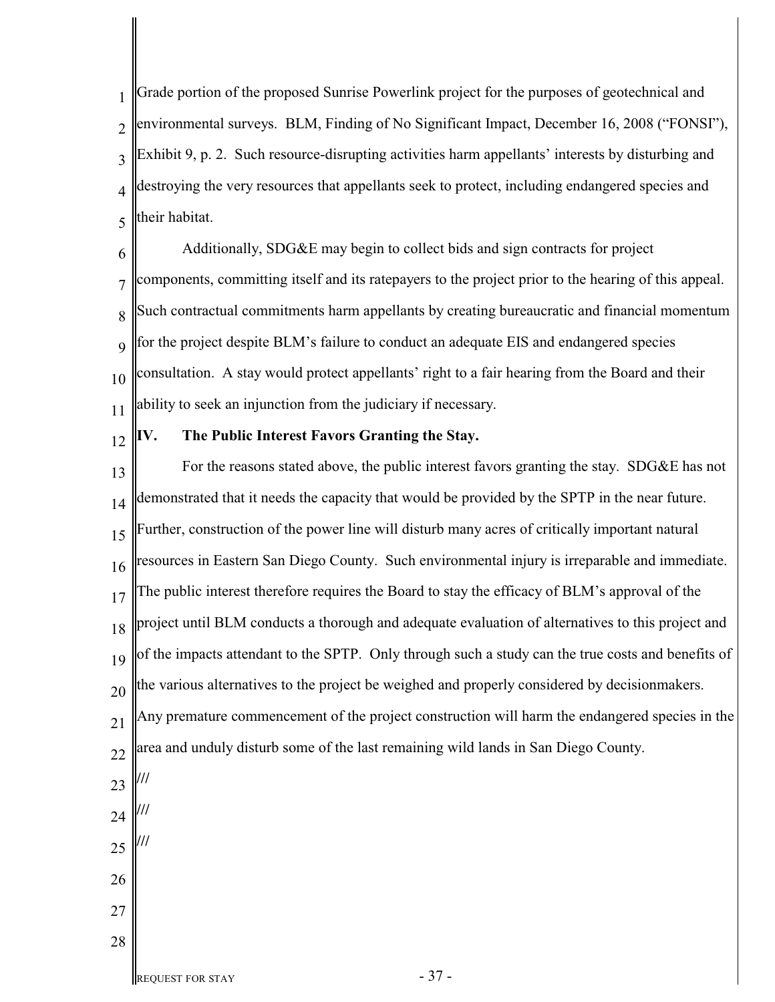1  $\overline{\mathcal{L}}$ 3 4 5 Grade portion of the proposed Sunrise Powerlink project for the purposes of geotechnical and environmental surveys. BLM, Finding of No Significant Impact, December 16, 2008 ("FONSI"), Exhibit 9, p. 2. Such resource-disrupting activities harm appellants' interests by disturbing and destroying the very resources that appellants seek to protect, including endangered species and their habitat.

6 7 8 9 10 11 Additionally, SDG&E may begin to collect bids and sign contracts for project components, committing itself and its ratepayers to the project prior to the hearing of this appeal. Such contractual commitments harm appellants by creating bureaucratic and financial momentum for the project despite BLM's failure to conduct an adequate EIS and endangered species consultation. A stay would protect appellants' right to a fair hearing from the Board and their ability to seek an injunction from the judiciary if necessary.

12

# **IV. The Public Interest Favors Granting the Stay.**

13 14 15 16 17 18 19 20 21 22 23 24 25 26 27 For the reasons stated above, the public interest favors granting the stay. SDG&E has not demonstrated that it needs the capacity that would be provided by the SPTP in the near future. Further, construction of the power line will disturb many acres of critically important natural resources in Eastern San Diego County. Such environmental injury is irreparable and immediate. The public interest therefore requires the Board to stay the efficacy of BLM's approval of the project until BLM conducts a thorough and adequate evaluation of alternatives to this project and of the impacts attendant to the SPTP. Only through such a study can the true costs and benefits of the various alternatives to the project be weighed and properly considered by decisionmakers. Any premature commencement of the project construction will harm the endangered species in the area and unduly disturb some of the last remaining wild lands in San Diego County. **/// /// ///**

28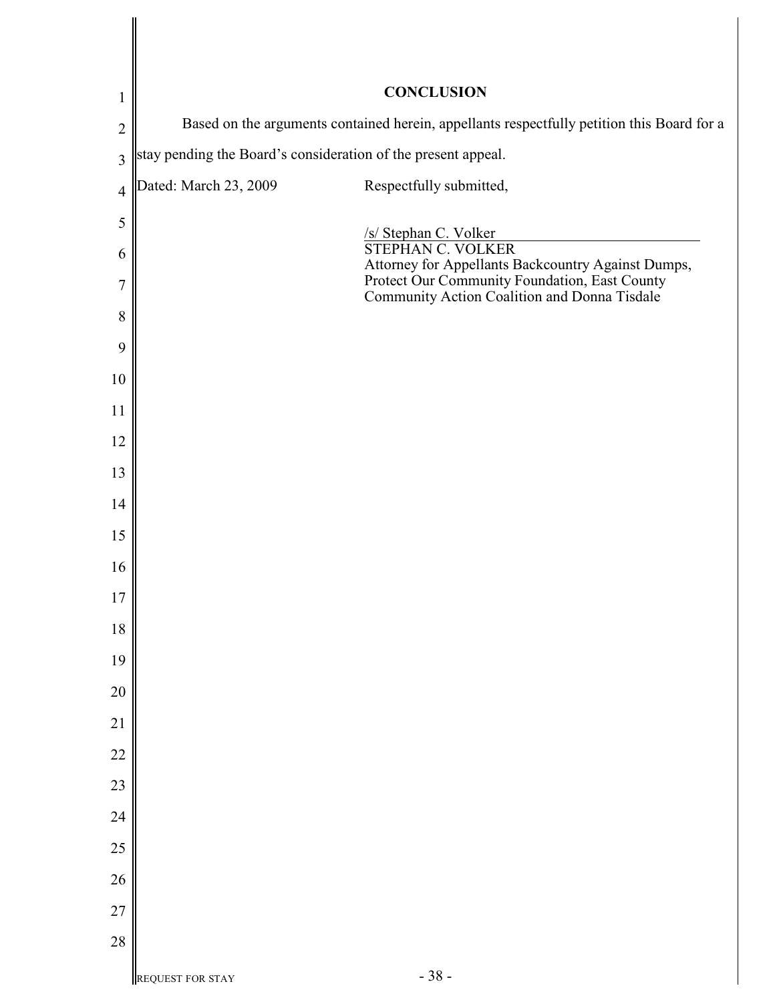| $\mathbf{1}$   | <b>CONCLUSION</b>                                                                          |                                                                                               |
|----------------|--------------------------------------------------------------------------------------------|-----------------------------------------------------------------------------------------------|
| $\overline{2}$ | Based on the arguments contained herein, appellants respectfully petition this Board for a |                                                                                               |
| $\overline{3}$ | stay pending the Board's consideration of the present appeal.                              |                                                                                               |
| $\overline{4}$ | Dated: March 23, 2009                                                                      | Respectfully submitted,                                                                       |
| 5              |                                                                                            | /s/ Stephan C. Volker                                                                         |
| 6              |                                                                                            | <b>STEPHAN C. VOLKER</b><br>Attorney for Appellants Backcountry Against Dumps,                |
| 7              |                                                                                            | Protect Our Community Foundation, East County<br>Community Action Coalition and Donna Tisdale |
| 8              |                                                                                            |                                                                                               |
| 9              |                                                                                            |                                                                                               |
| 10             |                                                                                            |                                                                                               |
| 11             |                                                                                            |                                                                                               |
| 12             |                                                                                            |                                                                                               |
| 13             |                                                                                            |                                                                                               |
| 14             |                                                                                            |                                                                                               |
| 15             |                                                                                            |                                                                                               |
| 16             |                                                                                            |                                                                                               |
| 17             |                                                                                            |                                                                                               |
| 18             |                                                                                            |                                                                                               |
| 19             |                                                                                            |                                                                                               |
| 20             |                                                                                            |                                                                                               |
| 21             |                                                                                            |                                                                                               |
| 22             |                                                                                            |                                                                                               |
| 23             |                                                                                            |                                                                                               |
| 24             |                                                                                            |                                                                                               |
| 25             |                                                                                            |                                                                                               |
| 26             |                                                                                            |                                                                                               |
| 27             |                                                                                            |                                                                                               |
| 28             |                                                                                            |                                                                                               |
|                | <b>REQUEST FOR STAY</b>                                                                    | $-38-$                                                                                        |